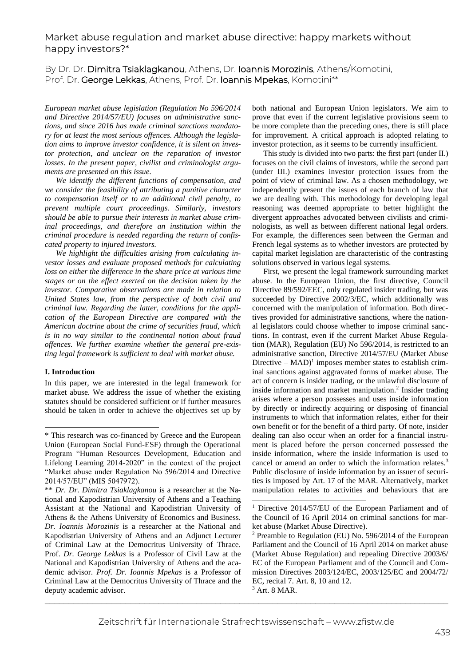# Market abuse regulation and market abuse directive: happy markets without happy investors?\*

By Dr. Dr. Dimitra Tsiaklagkanou, Athens, Dr. Ioannis Morozinis, Athens/Komotini, Prof. Dr. George Lekkas, Athens, Prof. Dr. Ioannis Mpekas, Komotini\*\*

*European market abuse legislation (Regulation No 596/2014 and Directive 2014/57/EU) focuses on administrative sanctions, and since 2016 has made criminal sanctions mandatory for at least the most serious offences. Although the legislation aims to improve investor confidence, it is silent on investor protection, and unclear on the reparation of investor losses. In the present paper, civilist and criminologist arguments are presented on this issue.*

*We identify the different functions of compensation, and we consider the feasibility of attributing a punitive character to compensation itself or to an additional civil penalty, to prevent multiple court proceedings. Similarly, investors should be able to pursue their interests in market abuse criminal proceedings, and therefore an institution within the criminal procedure is needed regarding the return of confiscated property to injured investors.*

*We highlight the difficulties arising from calculating investor losses and evaluate proposed methods for calculating loss on either the difference in the share price at various time stages or on the effect exerted on the decision taken by the investor. Comparative observations are made in relation to United States law, from the perspective of both civil and criminal law. Regarding the latter, conditions for the application of the European Directive are compared with the American doctrine about the crime of securities fraud, which is in no way similar to the continental notion about fraud offences. We further examine whether the general pre-existing legal framework is sufficient to deal with market abuse.*

## **I. Introduction**

In this paper, we are interested in the legal framework for market abuse. We address the issue of whether the existing statutes should be considered sufficient or if further measures should be taken in order to achieve the objectives set up by both national and European Union legislators. We aim to prove that even if the current legislative provisions seem to be more complete than the preceding ones, there is still place for improvement. A critical approach is adopted relating to investor protection, as it seems to be currently insufficient.

This study is divided into two parts: the first part (under II.) focuses on the civil claims of investors, while the second part (under III.) examines investor protection issues from the point of view of criminal law. As a chosen methodology, we independently present the issues of each branch of law that we are dealing with. This methodology for developing legal reasoning was deemed appropriate to better highlight the divergent approaches advocated between civilists and criminologists, as well as between different national legal orders. For example, the differences seen between the German and French legal systems as to whether investors are protected by capital market legislation are characteristic of the contrasting solutions observed in various legal systems.

First, we present the legal framework surrounding market abuse. In the European Union, the first directive, Council Directive 89/592/EEC, only regulated insider trading, but was succeeded by Directive 2002/3/EC, which additionally was concerned with the manipulation of information. Both directives provided for administrative sanctions, where the national legislators could choose whether to impose criminal sanctions. In contrast, even if the current Market Abuse Regulation (MAR), Regulation (EU) No 596/2014, is restricted to an administrative sanction, Directive 2014/57/EU (Market Abuse Directive  $-$  MAD)<sup>1</sup> imposes member states to establish criminal sanctions against aggravated forms of market abuse. The act of concern is insider trading, or the unlawful disclosure of inside information and market manipulation.<sup>2</sup> Insider trading arises where a person possesses and uses inside information by directly or indirectly acquiring or disposing of financial instruments to which that information relates, either for their own benefit or for the benefit of a third party. Of note, insider dealing can also occur when an order for a financial instrument is placed before the person concerned possessed the inside information, where the inside information is used to cancel or amend an order to which the information relates.<sup>3</sup> Public disclosure of inside information by an issuer of securities is imposed by Art. 17 of the MAR. Alternatively, market manipulation relates to activities and behaviours that are

<sup>\*</sup> This research was co-financed by Greece and the European Union (European Social Fund-ESF) through the Operational Program "Human Resources Development, Education and Lifelong Learning 2014-2020" in the context of the project "Market abuse under Regulation No 596/2014 and Directive 2014/57/EU" (MIS 5047972).

<sup>\*\*</sup> *Dr. Dr. Dimitra Tsiaklagkanou* is a researcher at the National and Κapodistrian University of Athens and a Teaching Assistant at the National and Κapodistrian University of Athens & the Athens University of Economics and Business. *Dr. Ioannis Morozinis* is a researcher at the National and Κapodistrian University of Athens and an Adjunct Lecturer of Criminal Law at the Democritus University of Thrace. Prof. *Dr. George Lekkas* is a Professor of Civil Law at the National and Κapodistrian University of Athens and the academic advisor. *Prof. Dr. Ioannis Mpekas* is a Professor of Criminal Law at the Democritus University of Thrace and the deputy academic advisor.

<sup>&</sup>lt;sup>1</sup> Directive 2014/57/EU of the European Parliament and of the Council of 16 April 2014 on criminal sanctions for market abuse (Market Abuse Directive).

<sup>2</sup> Preamble to Regulation (EU) No. 596/2014 of the European Parliament and the Council of 16 April 2014 on market abuse (Market Abuse Regulation) and repealing Directive 2003/6/ EC of the European Parliament and of the Council and Commission Directives 2003/124/EC, 2003/125/EC and 2004/72/ EC, recital 7. Art. 8, 10 and 12. <sup>3</sup> Art. 8 MAR.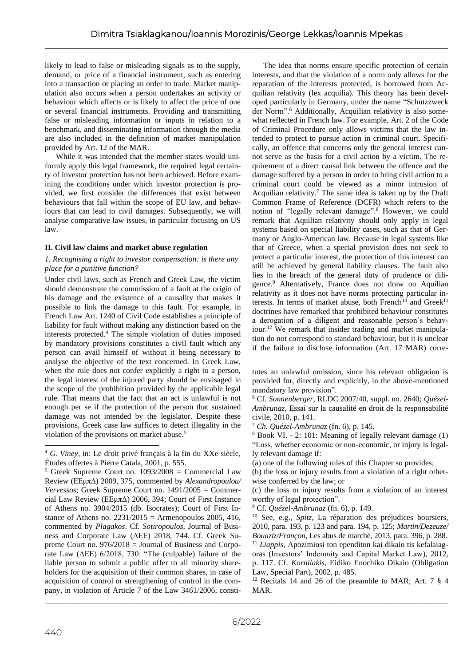likely to lead to false or misleading signals as to the supply, demand, or price of a financial instrument, such as entering into a transaction or placing an order to trade. Market manipulation also occurs when a person undertakes an activity or behaviour which affects or is likely to affect the price of one or several financial instruments. Providing and transmitting false or misleading information or inputs in relation to a benchmark, and disseminating information through the media are also included in the definition of market manipulation provided by Art. 12 of the MAR.

While it was intended that the member states would uniformly apply this legal framework, the required legal certainty of investor protection has not been achieved. Before examining the conditions under which investor protection is provided, we first consider the differences that exist between behaviours that fall within the scope of EU law, and behaviours that can lead to civil damages. Subsequently, we will analyse comparative law issues, in particular focusing on US law.

# **II. Civil law claims and market abuse regulation**

## *1. Recognising a right to investor compensation: is there any place for a punitive function?*

Under civil laws, such as French and Greek Law, the victim should demonstrate the commission of a fault at the origin of his damage and the existence of a causality that makes it possible to link the damage to this fault. For example, in French Law Art. 1240 of Civil Code establishes a principle of liability for fault without making any distinction based on the interests protected.<sup>4</sup> The simple violation of duties imposed by mandatory provisions constitutes a civil fault which any person can avail himself of without it being necessary to analyse the objective of the text concerned. In Greek Law, when the rule does not confer explicitly a right to a person, the legal interest of the injured party should be envisaged in the scope of the prohibition provided by the applicable legal rule. That means that the fact that an act is unlawful is not enough per se if the protection of the person that sustained damage was not intended by the legislator. Despite these provisions, Greek case law suffices to detect illegality in the violation of the provisions on market abuse.<sup>5</sup>

The idea that norms ensure specific protection of certain interests, and that the violation of a norm only allows for the reparation of the interests protected, is borrowed from Acquilian relativity (lex acquilia). This theory has been developed particularly in Germany, under the name "Schutzzweck der Norm".<sup>6</sup> Additionally, Acquilian relativity is also somewhat reflected in French law. For example, Art. 2 of the Code of Criminal Procedure only allows victims that the law intended to protect to pursue action in criminal court. Specifically, an offence that concerns only the general interest cannot serve as the basis for a civil action by a victim. The requirement of a direct causal link between the offence and the damage suffered by a person in order to bring civil action to a criminal court could be viewed as a minor intrusion of Acquilian relativity.<sup>7</sup> The same idea is taken up by the Draft Common Frame of Reference (DCFR) which refers to the notion of "legally relevant damage".<sup>8</sup> However, we could remark that Aquilian relativity should only apply in legal systems based on special liability cases, such as that of Germany or Anglo-American law. Because in legal systems like that of Greece, when a special provision does not seek to protect a particular interest, the protection of this interest can still be achieved by general liability clauses. The fault also lies in the breach of the general duty of prudence or diligence.<sup>9</sup> Alternatively, France does not draw on Aquilian relativity as it does not have norms protecting particular interests. In terms of market abuse, both French<sup>10</sup> and Greek<sup>11</sup> doctrines have remarked that prohibited behaviour constitutes a derogation of a diligent and reasonable person's behaviour.<sup>12</sup> We remark that insider trading and market manipulation do not correspond to standard behaviour, but it is unclear if the failure to disclose information (Art. 17 MAR) corre-

<sup>9</sup> Cf. *Quézel-Ambrunaz* (fn. 6), p. 149.

<sup>10</sup> See, e.g., *Spitz*, La réparation des préjudices boursiers, 2010, para. 193, p. 123 and para. 194, p. 125; *Martin/Dezeuze/ Bouaziz/Françon*, Les abus de marché, 2013, para. 396, p. 288. <sup>11</sup> *Liappis*, Apozimiosi ton ependiton kai dikaio tis kefalaiagoras (Investors' Indemnity and Capital Market Law), 2012, p. 117. Cf. *Kornilakis*, Eidiko Enochiko Dikaio (Obligation Law, Special Part), 2002, p. 485.

<sup>12</sup> Recitals 14 and 26 of the preamble to MAR; Art. 7  $\S$  4 MAR.

<sup>4</sup> *G. Viney*, in: Le droit privé français à la fin du XXe siècle, Études offertes à Pierre Catala, 2001, p. 555.

 $5$  Greek Supreme Court no. 1093/2008 = Commercial Law Review (ΕΕμπΔ) 2009, 375, commented by *Alexandropoulou/ Vervessos*; Greek Supreme Court no. 1491/2005 = Commercial Law Review (ΕΕμπΔ) 2006, 394; Court of First Instance of Athens no. 3904/2015 (db. Isocrates); Court of First Instance of Athens no.  $2231/2015 =$  Armenopoulos 2005, 416, commented by *Plagakos*. Cf. *Sotiropoulos*, Journal of Business and Corporate Law (ΔΕΕ) 2018, 744. Cf. Greek Supreme Court no. 976/2018 = Journal of Business and Corporate Law (ΔΕΕ) 6/2018, 730: "Τhe (culpable) failure of the liable person to submit a public offer to all minority shareholders for the acquisition of their common shares, in case of acquisition of control or strengthening of control in the company, in violation of Article 7 of the Law 3461/2006, consti-

tutes an unlawful omission, since his relevant obligation is provided for, directly and explicitly, in the above-mentioned mandatory law provision".

<sup>6</sup> Cf. *Sonnenberger*, RLDC 2007/40, suppl. no. 2640; *Quézel-Ambrunaz*, Essai sur la causalité en droit de la responsabilité civile, 2010, p. 141.

<sup>7</sup> *Ch. Quézel-Ambrunaz* (fn. 6), p. 145.

<sup>8</sup> Book VI. - 2: 101: Meaning of legally relevant damage (1) "Loss, whether economic or non-economic, or injury is legally relevant damage if:

<sup>(</sup>a) one of the following rules of this Chapter so provides;

<sup>(</sup>b) the loss or injury results from a violation of a right otherwise conferred by the law; or

<sup>(</sup>c) the loss or injury results from a violation of an interest worthy of legal protection".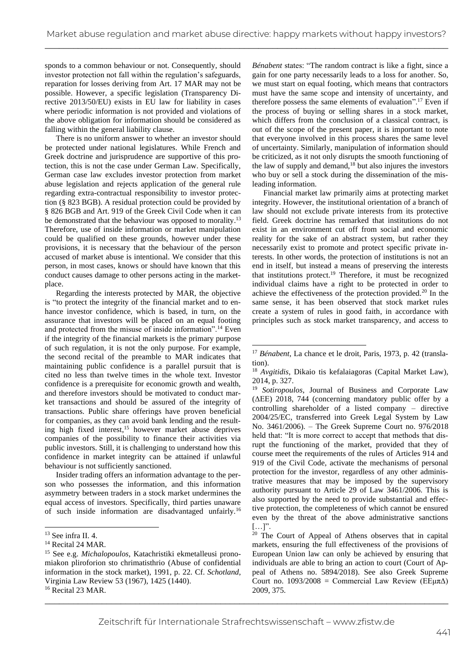sponds to a common behaviour or not. Consequently, should investor protection not fall within the regulation's safeguards, reparation for losses deriving from Art. 17 MAR may not be possible. However, a specific legislation (Transparency Directive 2013/50/EU) exists in EU law for liability in cases where periodic information is not provided and violations of the above obligation for information should be considered as falling within the general liability clause.

There is no uniform answer to whether an investor should be protected under national legislatures. While French and Greek doctrine and jurisprudence are supportive of this protection, this is not the case under German Law. Specifically, German case law excludes investor protection from market abuse legislation and rejects application of the general rule regarding extra-contractual responsibility to investor protection (§ 823 BGB). A residual protection could be provided by § 826 BGB and Art. 919 of the Greek Civil Code when it can be demonstrated that the behaviour was opposed to morality.<sup>13</sup> Therefore, use of inside information or market manipulation could be qualified on these grounds, however under these provisions, it is necessary that the behaviour of the person accused of market abuse is intentional. We consider that this person, in most cases, knows or should have known that this conduct causes damage to other persons acting in the marketplace.

Regarding the interests protected by MAR, the objective is "to protect the integrity of the financial market and to enhance investor confidence, which is based, in turn, on the assurance that investors will be placed on an equal footing and protected from the misuse of inside information".<sup>14</sup> Even if the integrity of the financial markets is the primary purpose of such regulation, it is not the only purpose. For example, the second recital of the preamble to MAR indicates that maintaining public confidence is a parallel pursuit that is cited no less than twelve times in the whole text. Investor confidence is a prerequisite for economic growth and wealth, and therefore investors should be motivated to conduct market transactions and should be assured of the integrity of transactions. Public share offerings have proven beneficial for companies, as they can avoid bank lending and the resulting high fixed interest, <sup>15</sup> however market abuse deprives companies of the possibility to finance their activities via public investors. Still, it is challenging to understand how this confidence in market integrity can be attained if unlawful behaviour is not sufficiently sanctioned.

Insider trading offers an information advantage to the person who possesses the information, and this information asymmetry between traders in a stock market undermines the equal access of investors. Specifically, third parties unaware of such inside information are disadvantaged unfairly.<sup>16</sup>

*Bénabent* states: "The random contract is like a fight, since a gain for one party necessarily leads to a loss for another. So, we must start on equal footing, which means that contractors must have the same scope and intensity of uncertainty, and therefore possess the same elements of evaluation".<sup>17</sup> Even if the process of buying or selling shares in a stock market, which differs from the conclusion of a classical contract, is out of the scope of the present paper, it is important to note that everyone involved in this process shares the same level of uncertainty. Similarly, manipulation of information should be criticized, as it not only disrupts the smooth functioning of the law of supply and demand, $18$  but also injures the investors who buy or sell a stock during the dissemination of the misleading information.

Financial market law primarily aims at protecting market integrity. However, the institutional orientation of a branch of law should not exclude private interests from its protective field. Greek doctrine has remarked that institutions do not exist in an environment cut off from social and economic reality for the sake of an abstract system, but rather they necessarily exist to promote and protect specific private interests. In other words, the protection of institutions is not an end in itself, but instead a means of preserving the interests that institutions protect.<sup>19</sup> Therefore, it must be recognized individual claims have a right to be protected in order to achieve the effectiveness of the protection provided.<sup>20</sup> In the same sense, it has been observed that stock market rules create a system of rules in good faith, in accordance with principles such as stock market transparency, and access to

<sup>19</sup> *Sotiropoulos*, Journal of Business and Corporate Law (ΔΕΕ) 2018, 744 (concerning mandatory public offer by a controlling shareholder of a listed company – directive 2004/25/EC, transferred into Greek Legal System by Law No. 3461/2006). – The Greek Supreme Court no. 976/2018 held that: "It is more correct to accept that methods that disrupt the functioning of the market, provided that they of course meet the requirements of the rules of Articles 914 and 919 of the Civil Code, activate the mechanisms of personal protection for the investor, regardless of any other administrative measures that may be imposed by the supervisory authority pursuant to Article 29 of Law 3461/2006. This is also supported by the need to provide substantial and effective protection, the completeness of which cannot be ensured even by the threat of the above administrative sanctions  $[...]$ ".

<sup>20</sup> The Court of Appeal of Athens observes that in capital markets, ensuring the full effectiveness of the provisions of European Union law can only be achieved by ensuring that individuals are able to bring an action to court (Court of Appeal of Athens no. 5894/2018). See also Greek Supreme Court no. 1093/2008 = Commercial Law Review (ΕΕμπΔ) 2009, 375.

<sup>13</sup> See infra II. 4.

<sup>&</sup>lt;sup>14</sup> Recital 24 MAR.

<sup>15</sup> See e.g. *Michalopoulos*, Katachristiki ekmetalleusi pronomiakon pliroforion sto chrimatisthrio (Abuse of confidential information in the stock market), 1991, p. 22. Cf. *Schotland*, Virginia Law Review 53 (1967), 1425 (1440). <sup>16</sup> Recital 23 MAR.

<sup>17</sup> *Bénabent*, La chance et le droit, Paris, 1973, p. 42 (translation).

<sup>18</sup> *Avgitidis*, Dikaio tis kefalaiagoras (Capital Market Law), 2014, p. 327.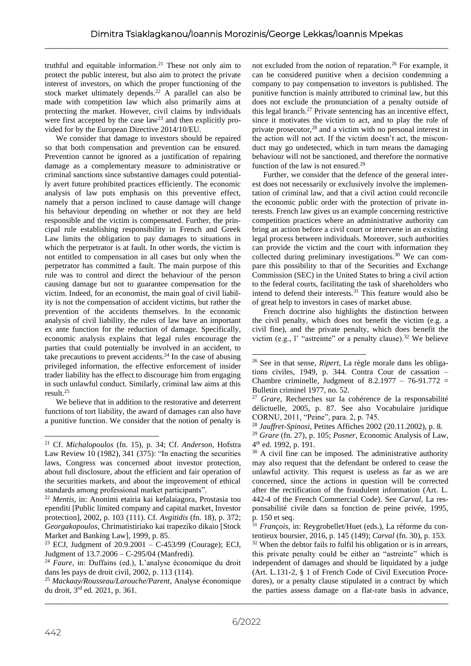truthful and equitable information.<sup>21</sup> These not only aim to protect the public interest, but also aim to protect the private interest of investors, on which the proper functioning of the stock market ultimately depends.<sup>22</sup> A parallel can also be made with competition law which also primarily aims at protecting the market. However, civil claims by individuals were first accepted by the case  $law<sup>23</sup>$  and then explicitly provided for by the European Directive 2014/10/EU.

We consider that damage to investors should be repaired so that both compensation and prevention can be ensured. Prevention cannot be ignored as a justification of repairing damage as a complementary measure to administrative or criminal sanctions since substantive damages could potentially avert future prohibited practices efficiently. The economic analysis of law puts emphasis on this preventive effect, namely that a person inclined to cause damage will change his behaviour depending on whether or not they are held responsible and the victim is compensated. Further, the principal rule establishing responsibility in French and Greek Law limits the obligation to pay damages to situations in which the perpetrator is at fault. In other words, the victim is not entitled to compensation in all cases but only when the perpetrator has committed a fault. The main purpose of this rule was to control and direct the behaviour of the person causing damage but not to guarantee compensation for the victim. Indeed, for an economist, the main goal of civil liability is not the compensation of accident victims, but rather the prevention of the accidents themselves. In the economic analysis of civil liability, the rules of law have an important ex ante function for the reduction of damage. Specifically, economic analysis explains that legal rules encourage the parties that could potentially be involved in an accident, to take precautions to prevent accidents.<sup>24</sup> In the case of abusing privileged information, the effective enforcement of insider trader liability has the effect to discourage him from engaging in such unlawful conduct. Similarly, criminal law aims at this result.<sup>25</sup>

We believe that in addition to the restorative and deterrent functions of tort liability, the award of damages can also have a punitive function. We consider that the notion of penalty is

<sup>22</sup> *Mentis*, in: Anonimi etairia kai kefalaiagora, Prostasia tou ependiti [Public limited company and capital market, Investor protection], 2002, p. 103 (111). Cf. *Avgitidis* (fn. 18), p. 372; *Georgakopoulos*, Chrimatistiriako kai trapeziko dikaio [Stock Market and Banking Law], 1999, p. 85.

<sup>23</sup> ECJ, Judgment of  $20.9.2001 - C - 453/99$  (Courage); ECJ, Judgment of 13.7.2006 – C-295/04 (Manfredi).

<sup>24</sup> *Faure*, in: Duffains (ed.), L'analyse économique du droit dans les pays de droit civil, 2002, p. 113 (114).

<sup>25</sup> *Mackaay/Rousseau/Larouche/Parent*, Analyse économique du droit, 3 rd ed. 2021, p. 361.

not excluded from the notion of reparation.<sup>26</sup> For example, it can be considered punitive when a decision condemning a company to pay compensation to investors is published. The punitive function is mainly attributed to criminal law, but this does not exclude the pronunciation of a penalty outside of this legal branch.<sup>27</sup> Private sentencing has an incentive effect, since it motivates the victim to act, and to play the role of private prosecutor,<sup>28</sup> and a victim with no personal interest in the action will not act. If the victim doesn't act, the misconduct may go undetected, which in turn means the damaging behaviour will not be sanctioned, and therefore the normative function of the law is not ensured.<sup>29</sup>

Further, we consider that the defence of the general interest does not necessarily or exclusively involve the implementation of criminal law, and that a civil action could reconcile the economic public order with the protection of private interests. French law gives us an example concerning restrictive competition practices where an administrative authority can bring an action before a civil court or intervene in an existing legal process between individuals. Moreover, such authorities can provide the victim and the court with information they collected during preliminary investigations.<sup>30</sup> We can compare this possibility to that of the Securities and Exchange Commission (SEC) in the United States to bring a civil action to the federal courts, facilitating the task of shareholders who intend to defend their interests.<sup>31</sup> This feature would also be of great help to investors in cases of market abuse.

French doctrine also highlights the distinction between the civil penalty, which does not benefit the victim (e.g. a civil fine), and the private penalty, which does benefit the victim (e.g., l' "astreinte" or a penalty clause).<sup>32</sup> We believe

<sup>21</sup> Cf. *Michalopoulos* (fn. 15), p. 34; Cf. *Anderson*, Hofstra Law Review 10 (1982), 341 (375): "In enacting the securities laws, Congress was concerned about investor protection, about full disclosure, about the efficient and fair operation of the securities markets, and about the improvement of ethical standards among professional market participants".

<sup>26</sup> See in that sense, *Ripert*, La règle morale dans les obligations civiles, 1949, p. 344. Contra Cour de cassation – Chambre criminelle, Judgment of 8.2.1977 – 76-91.772 = Bulletin criminel 1977, no. 52.

<sup>27</sup> *Grare*, Recherches sur la cohérence de la responsabilité délictuelle, 2005, p. 87. See also Vocabulaire juridique CORNU, 2011, "Peine", para. 2, p. 745.

<sup>28</sup> *Jauffret-Spinosi*, Petites Affiches 2002 (20.11.2002), p. 8. <sup>29</sup> *Grare* (fn. 27), p. 105; *Posner*, Economic Analysis of Law, 4 th ed. 1992, p. 191.

<sup>&</sup>lt;sup>30</sup> A civil fine can be imposed. The administrative authority may also request that the defendant be ordered to cease the unlawful activity. This request is useless as far as we are concerned, since the actions in question will be corrected after the rectification of the fraudulent information (Art. L. 442-4 of the French Commercial Code). See *Carval*, La responsabilité civile dans sa fonction de peine privée, 1995, p. 150 et seq.

<sup>31</sup> *François*, in: Reygrobellet/Huet (eds.), La réforme du contentieux boursier, 2016, p. 145 (149); *Carval* (fn. 30), p. 153.  $32$  When the debtor fails to fulfil his obligation or is in arrears, this private penalty could be either an "astreinte" which is independent of damages and should be liquidated by a judge (Art. L.131-2, § 1 of French Code of Civil Execution Procedures), or a penalty clause stipulated in a contract by which the parties assess damage on a flat-rate basis in advance,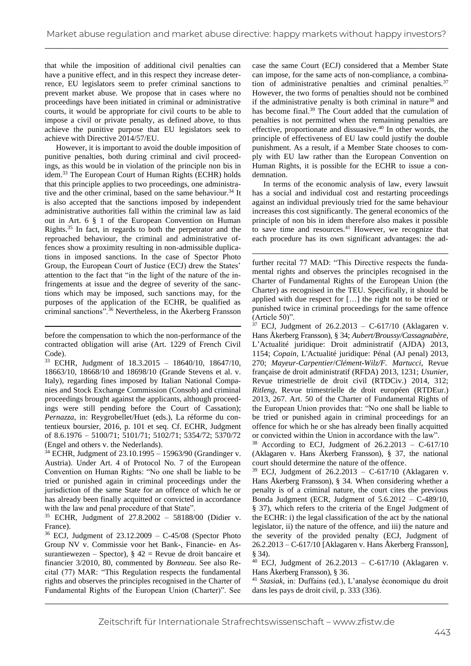that while the imposition of additional civil penalties can have a punitive effect, and in this respect they increase deterrence, EU legislators seem to prefer criminal sanctions to prevent market abuse. We propose that in cases where no proceedings have been initiated in criminal or administrative courts, it would be appropriate for civil courts to be able to impose a civil or private penalty, as defined above, to thus achieve the punitive purpose that EU legislators seek to achieve with Directive 2014/57/EU.

However, it is important to avoid the double imposition of punitive penalties, both during criminal and civil proceedings, as this would be in violation of the principle non bis in idem. <sup>33</sup> The European Court of Human Rights (ECHR) holds that this principle applies to two proceedings, one administrative and the other criminal, based on the same behaviour.<sup>34</sup> It is also accepted that the sanctions imposed by independent administrative authorities fall within the criminal law as laid out in Art. 6 § 1 of the European Convention on Human Rights.<sup>35</sup> In fact, in regards to both the perpetrator and the reproached behaviour, the criminal and administrative offences show a proximity resulting in non-admissible duplications in imposed sanctions. In the case of Spector Photo Group, the European Court of Justice (ECJ) drew the States' attention to the fact that "in the light of the nature of the infringements at issue and the degree of severity of the sanctions which may be imposed, such sanctions may, for the purposes of the application of the ECHR, be qualified as criminal sanctions".<sup>36</sup> Nevertheless, in the Åkerberg Fransson

before the compensation to which the non-performance of the contracted obligation will arise (Art. 1229 of French Civil Code).

<sup>33</sup> ECHR, Judgment of 18.3.2015 – 18640/10, 18647/10, 18663/10, 18668/10 and 18698/10 (Grande Stevens et al. v. Italy), regarding fines imposed by Italian National Companies and Stock Exchange Commission (Consob) and criminal proceedings brought against the applicants, although proceedings were still pending before the Court of Cassation); *Pernazza*, in: Reygrobellet/Huet (eds.), La réforme du contentieux boursier, 2016, p. 101 et seq. Cf. ECHR, Judgment of 8.6.1976 – 5100/71; 5101/71; 5102/71; 5354/72; 5370/72 (Engel and others v. the Nederlands).

<sup>34</sup> ECHR, Judgment of 23.10.1995 – 15963/90 (Grandinger v. Austria). Under Art. 4 of Protocol No. 7 of the European Convention on Human Rights: "No one shall be liable to be tried or punished again in criminal proceedings under the jurisdiction of the same State for an offence of which he or has already been finally acquitted or convicted in accordance with the law and penal procedure of that State".

<sup>35</sup> ECHR, Judgment of 27.8.2002 – 58188/00 (Didier v. France).

<sup>36</sup> ECJ, Judgment of 23.12.2009 – C-45/08 (Spector Photo Group NV v. Commissie voor het Bank-, Financie- en Assurantiewezen – Spector),  $\S$  42 = Revue de droit bancaire et financier 3/2010, 80, commented by *Bonneau*. See also Recital (77) MAR: "This Regulation respects the fundamental rights and observes the principles recognised in the Charter of Fundamental Rights of the European Union (Charter)". See

case the same Court (ECJ) considered that a Member State can impose, for the same acts of non-compliance, a combination of administrative penalties and criminal penalties. $37$ However, the two forms of penalties should not be combined if the administrative penalty is both criminal in nature<sup>38</sup> and has become final.<sup>39</sup> The Court added that the cumulation of penalties is not permitted when the remaining penalties are effective, proportionate and dissuasive.<sup>40</sup> In other words, the principle of effectiveness of EU law could justify the double punishment. As a result, if a Member State chooses to comply with EU law rather than the European Convention on Human Rights, it is possible for the ECHR to issue a condemnation.

In terms of the economic analysis of law, every lawsuit has a social and individual cost and restarting proceedings against an individual previously tried for the same behaviour increases this cost significantly. The general economics of the principle of non bis in idem therefore also makes it possible to save time and resources. $41$  However, we recognize that each procedure has its own significant advantages: the ad-

further recital 77 MAD: "This Directive respects the fundamental rights and observes the principles recognised in the Charter of Fundamental Rights of the European Union (the Charter) as recognised in the TEU. Specifically, it should be applied with due respect for […] the right not to be tried or punished twice in criminal proceedings for the same offence (Article 50)".

 $37$  ECJ, Judgment of 26.2.2013 – C-617/10 (Aklagaren v. Hans Åkerberg Fransson), § 34; *Aubert/Broussy/Cassagnabère*, L'Actualité juridique: Droit administratif (AJDA) 2013, 1154; *Copain*, L'Actualité juridique: Pénal (AJ penal) 2013, 270; *Mayeur-Carpentier*/*Clément-Wilz/F. Martucci*, Revue française de droit administratif (RFDA) 2013, 1231; *Usunier*, Revue trimestrielle de droit civil (RTDCiv.) 2014, 312; *Ritleng*, Revue trimestrielle de droit européen (RTDEur.) 2013, 267. Art. 50 of the Charter of Fundamental Rights of the European Union provides that: "No one shall be liable to be tried or punished again in criminal proceedings for an offence for which he or she has already been finally acquitted or convicted within the Union in accordance with the law".

 $38$  According to ECJ, Judgment of  $26.2.2013 - C - 617/10$ (Aklagaren v. Hans Åkerberg Fransson), § 37, the national court should determine the nature of the offence.

 $39$  ECJ, Judgment of 26.2.2013 – C-617/10 (Aklagaren v. Hans Åkerberg Fransson), § 34*.* When considering whether a penalty is of a criminal nature, the court cites the previous Bonda Judgment (ECR, Judgment of  $5.6.2012 - C-489/10$ , § 37), which refers to the criteria of the Engel Judgment of the ECHR: i) the legal classification of the act by the national legislator, ii) the nature of the offence, and iii) the nature and the severity of the provided penalty (ECJ, Judgment of 26.2.2013 – C-617/10 [Aklagaren v. Hans Åkerberg Fransson], § 34).

<sup>40</sup> ECJ, Judgment of 26.2.2013 – C-617/10 (Aklagaren v. Hans Åkerberg Fransson), § 36.

<sup>41</sup> *Stasiak*, in: Duffains (ed.), L'analyse économique du droit dans les pays de droit civil, p. 333 (336).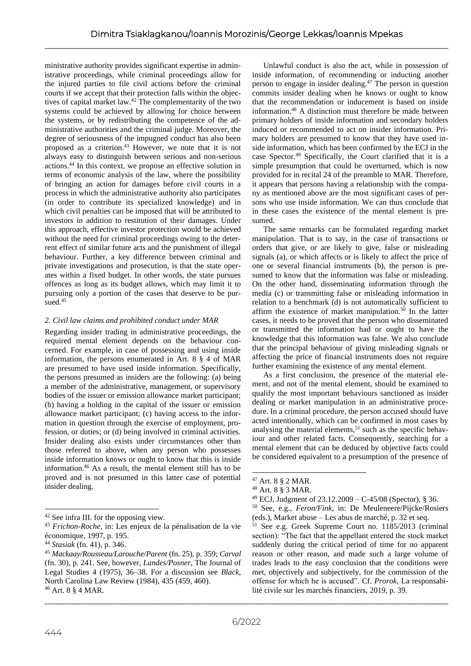ministrative authority provides significant expertise in administrative proceedings, while criminal proceedings allow for the injured parties to file civil actions before the criminal courts if we accept that their protection falls within the objectives of capital market law.<sup>42</sup> The complementarity of the two systems could be achieved by allowing for choice between the systems, or by redistributing the competence of the administrative authorities and the criminal judge. Moreover, the degree of seriousness of the impugned conduct has also been proposed as a criterion.<sup>43</sup> However, we note that it is not always easy to distinguish between serious and non-serious actions.<sup>44</sup> In this context, we propose an effective solution in terms of economic analysis of the law, where the possibility of bringing an action for damages before civil courts in a process in which the administrative authority also participates (in order to contribute its specialized knowledge) and in which civil penalties can be imposed that will be attributed to investors in addition to restitution of their damages. Under this approach, effective investor protection would be achieved without the need for criminal proceedings owing to the deterrent effect of similar future acts and the punishment of illegal behaviour. Further, a key difference between criminal and private investigations and prosecution, is that the state operates within a fixed budget. In other words, the state pursues offences as long as its budget allows, which may limit it to pursuing only a portion of the cases that deserve to be pursued.<sup>45</sup>

# *2. Civil law claims and prohibited conduct under MAR*

Regarding insider trading in administrative proceedings, the required mental element depends on the behaviour concerned. For example, in case of possessing and using inside information, the persons enumerated in Art. 8 § 4 of MAR are presumed to have used inside information. Specifically, the persons presumed as insiders are the following: (a) being a member of the administrative, management, or supervisory bodies of the issuer or emission allowance market participant; (b) having a holding in the capital of the issuer or emission allowance market participant; (c) having access to the information in question through the exercise of employment, profession, or duties; or (d) being involved in criminal activities. Insider dealing also exists under circumstances other than those referred to above, when any person who possesses inside information knows or ought to know that this is inside information.<sup>46</sup> As a result, the mental element still has to be proved and is not presumed in this latter case of potential insider dealing.

Unlawful conduct is also the act, while in possession of inside information, of recommending or inducting another person to engage in insider dealing.<sup>47</sup> The person in question commits insider dealing when he knows or ought to know that the recommendation or inducement is based on inside information.<sup>48</sup> A distinction must therefore be made between primary holders of inside information and secondary holders induced or recommended to act on insider information. Primary holders are presumed to know that they have used inside information, which has been confirmed by the ECJ in the case Spector. <sup>49</sup> Specifically, the Court clarified that it is a simple presumption that could be overturned, which is now provided for in recital 24 of the preamble to MAR. Therefore, it appears that persons having a relationship with the company as mentioned above are the most significant cases of persons who use inside information. We can thus conclude that in these cases the existence of the mental element is presumed.

The same remarks can be formulated regarding market manipulation. That is to say, in the case of transactions or orders that give, or are likely to give, false or misleading signals (a), or which affects or is likely to affect the price of one or several financial instruments (b), the person is presumed to know that the information was false or misleading. On the other hand, disseminating information through the media (c) or transmitting false or misleading information in relation to a benchmark (d) is not automatically sufficient to affirm the existence of market manipulation.<sup>50</sup> In the latter cases, it needs to be proved that the person who disseminated or transmitted the information had or ought to have the knowledge that this information was false. We also conclude that the principal behaviour of giving misleading signals or affecting the price of financial instruments does not require further examining the existence of any mental element.

As a first conclusion, the presence of the material element, and not of the mental element, should be examined to qualify the most important behaviours sanctioned as insider dealing or market manipulation in an administrative procedure. In a criminal procedure, the person accused should have acted intentionally, which can be confirmed in most cases by analysing the material elements,  $51$  such as the specific behaviour and other related facts. Consequently, searching for a mental element that can be deduced by objective facts could be considered equivalent to a presumption of the presence of

<sup>42</sup> See infra III. for the opposing view.

<sup>43</sup> *Frichon-Roche*, in: Les enjeux de la pénalisation de la vie économique, 1997, p. 195.

<sup>44</sup> *Stasiak* (fn. 41), p. 346.

<sup>45</sup> *Mackaay/Rousseau/Larouche/Parent* (fn. 25), p. 359; *Carval* (fn. 30), p. 241. See, however, *Landes/Posner*, The Journal of Legal Studies 4 (1975), 36–38. For a discussion see *Black*, North Carolina Law Review (1984), 435 (459, 460). <sup>46</sup> Art. 8 § 4 MAR.

<sup>47</sup> Art. 8 § 2 MAR.

<sup>48</sup> Art. 8 § 3 MAR.

 $49$  ECJ, Judgment of 23.12.2009 – C-45/08 (Spector), § 36.

<sup>50</sup> See, e.g., *Feron/Fink*, in: De Meuleneere/Pijcke/Rosiers (eds.), Market abuse – Les abus de marché, p. 32 et seq.

<sup>51</sup> See e.g. Greek Supreme Court no. 1185/2013 (criminal section): "The fact that the appellant entered the stock market suddenly during the critical period of time for no apparent reason or other reason, and made such a large volume of trades leads to the easy conclusion that the conditions were met, objectively and subjectively, for the commission of the offense for which he is accused". Cf. *Prorok*, La responsabilité civile sur les marchés financiers, 2019, p. 39.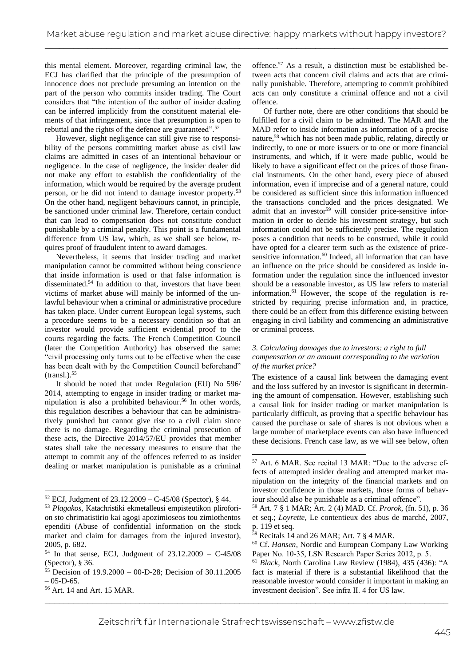this mental element. Moreover, regarding criminal law, the ECJ has clarified that the principle of the presumption of innocence does not preclude presuming an intention on the part of the person who commits insider trading. The Court considers that "the intention of the author of insider dealing can be inferred implicitly from the constituent material elements of that infringement, since that presumption is open to rebuttal and the rights of the defence are guaranteed".<sup>52</sup>

However, slight negligence can still give rise to responsibility of the persons committing market abuse as civil law claims are admitted in cases of an intentional behaviour or negligence. In the case of negligence, the insider dealer did not make any effort to establish the confidentiality of the information, which would be required by the average prudent person, or he did not intend to damage investor property.<sup>53</sup> On the other hand, negligent behaviours cannot, in principle, be sanctioned under criminal law. Therefore, certain conduct that can lead to compensation does not constitute conduct punishable by a criminal penalty. This point is a fundamental difference from US law, which, as we shall see below, requires proof of fraudulent intent to award damages.

Nevertheless, it seems that insider trading and market manipulation cannot be committed without being conscience that inside information is used or that false information is disseminated.<sup>54</sup> In addition to that, investors that have been victims of market abuse will mainly be informed of the unlawful behaviour when a criminal or administrative procedure has taken place. Under current European legal systems, such a procedure seems to be a necessary condition so that an investor would provide sufficient evidential proof to the courts regarding the facts. The French Competition Council (later the Competition Authority) has observed the same: "civil processing only turns out to be effective when the case has been dealt with by the Competition Council beforehand"  $(transl.).$ <sup>55</sup>

It should be noted that under Regulation (EU) No 596/ 2014, attempting to engage in insider trading or market manipulation is also a prohibited behaviour.<sup>56</sup> In other words, this regulation describes a behaviour that can be administratively punished but cannot give rise to a civil claim since there is no damage. Regarding the criminal prosecution of these acts, the Directive 2014/57/EU provides that member states shall take the necessary measures to ensure that the attempt to commit any of the offences referred to as insider dealing or market manipulation is punishable as a criminal

offence.<sup>57</sup> As a result, a distinction must be established between acts that concern civil claims and acts that are criminally punishable. Therefore, attempting to commit prohibited acts can only constitute a criminal offence and not a civil offence.

Of further note, there are other conditions that should be fulfilled for a civil claim to be admitted. The MAR and the MAD refer to inside information as information of a precise nature,<sup>58</sup> which has not been made public, relating, directly or indirectly, to one or more issuers or to one or more financial instruments, and which, if it were made public, would be likely to have a significant effect on the prices of those financial instruments. On the other hand, every piece of abused information, even if imprecise and of a general nature, could be considered as sufficient since this information influenced the transactions concluded and the prices designated. We admit that an investor<sup>59</sup> will consider price-sensitive information in order to decide his investment strategy, but such information could not be sufficiently precise. The regulation poses a condition that needs to be construed, while it could have opted for a clearer term such as the existence of pricesensitive information.<sup>60</sup> Indeed, all information that can have an influence on the price should be considered as inside information under the regulation since the influenced investor should be a reasonable investor, as US law refers to material information.<sup>61</sup> However, the scope of the regulation is restricted by requiring precise information and, in practice, there could be an effect from this difference existing between engaging in civil liability and commencing an administrative or criminal process.

#### *3. Calculating damages due to investors: a right to full compensation or an amount corresponding to the variation of the market price?*

The existence of a causal link between the damaging event and the loss suffered by an investor is significant in determining the amount of compensation. However, establishing such a causal link for insider trading or market manipulation is particularly difficult, as proving that a specific behaviour has caused the purchase or sale of shares is not obvious when a large number of marketplace events can also have influenced these decisions. French case law, as we will see below, often

 $52$  ECJ, Judgment of  $23.12.2009 - C - 45/08$  (Spector), § 44.

<sup>53</sup> *Plagakos*, Katachristiki ekmetalleusi empisteutikon pliroforion sto chrimatistirio kai agogi apozimioseos tou zimiothentos ependiti (Abuse of confidential information on the stock market and claim for damages from the injured investor), 2005, p. 682.

 $54$  In that sense, ECJ, Judgment of  $23.12.2009 - C - 45/08$ (Spector), § 36.

<sup>55</sup> Decision of 19.9.2000 – 00-D-28; Decision of 30.11.2005  $- 05 - D - 65$ .

<sup>56</sup> Art. 14 and Art. 15 MAR.

<sup>57</sup> Art. 6 MAR. See recital 13 MAR: "Due to the adverse effects of attempted insider dealing and attempted market manipulation on the integrity of the financial markets and on investor confidence in those markets, those forms of behaviour should also be punishable as a criminal offence".

<sup>58</sup> Art. 7 § 1 MAR; Art. 2 (4) MAD. Cf. *Prorok*, (fn. 51), p. 36 et seq.; *Loyrette*, Le contentieux des abus de marché, 2007, p. 119 et seq.

 $59$  Recitals 14 and 26 MAR; Art. 7  $\S$  4 MAR.

<sup>60</sup> Cf. *Hansen*, Nordic and European Company Law Working Paper No. 10‐35, LSN Research Paper Series 2012, p. 5.

<sup>61</sup> *Black*, North Carolina Law Review (1984), 435 (436): "A fact is material if there is a substantial likelihood that the reasonable investor would consider it important in making an investment decision". See infra II. 4 for US law.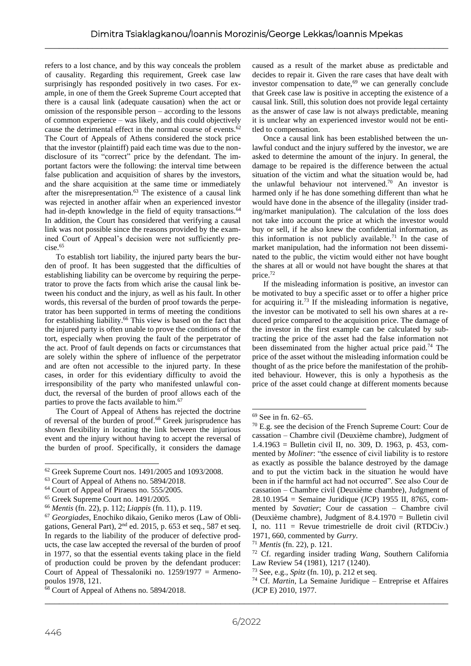refers to a lost chance, and by this way conceals the problem of causality. Regarding this requirement, Greek case law surprisingly has responded positively in two cases. For example, in one of them the Greek Supreme Court accepted that there is a causal link (adequate causation) when the act or omission of the responsible person – according to the lessons of common experience – was likely, and this could objectively cause the detrimental effect in the normal course of events.<sup>62</sup> The Court of Appeals of Athens considered the stock price that the investor (plaintiff) paid each time was due to the nondisclosure of its "correct" price by the defendant. The important factors were the following: the interval time between false publication and acquisition of shares by the investors, and the share acquisition at the same time or immediately after the misrepresentation. $63$  The existence of a causal link was rejected in another affair when an experienced investor had in-depth knowledge in the field of equity transactions.<sup>64</sup> In addition, the Court has considered that verifying a causal link was not possible since the reasons provided by the examined Court of Appeal's decision were not sufficiently precise.<sup>65</sup>

To establish tort liability, the injured party bears the burden of proof. It has been suggested that the difficulties of establishing liability can be overcome by requiring the perpetrator to prove the facts from which arise the causal link between his conduct and the injury, as well as his fault. In other words, this reversal of the burden of proof towards the perpetrator has been supported in terms of meeting the conditions for establishing liability.<sup>66</sup> This view is based on the fact that the injured party is often unable to prove the conditions of the tort, especially when proving the fault of the perpetrator of the act. Proof of fault depends on facts or circumstances that are solely within the sphere of influence of the perpetrator and are often not accessible to the injured party. In these cases, in order for this evidentiary difficulty to avoid the irresponsibility of the party who manifested unlawful conduct, the reversal of the burden of proof allows each of the parties to prove the facts available to him.<sup>67</sup>

The Court of Appeal of Athens has rejected the doctrine of reversal of the burden of proof.<sup>68</sup> Greek jurisprudence has shown flexibility in locating the link between the injurious event and the injury without having to accept the reversal of the burden of proof. Specifically, it considers the damage

caused as a result of the market abuse as predictable and decides to repair it. Given the rare cases that have dealt with investor compensation to date,<sup>69</sup> we can generally conclude that Greek case law is positive in accepting the existence of a causal link. Still, this solution does not provide legal certainty as the answer of case law is not always predictable, meaning it is unclear why an experienced investor would not be entitled to compensation.

Once a causal link has been established between the unlawful conduct and the injury suffered by the investor, we are asked to determine the amount of the injury. In general, the damage to be repaired is the difference between the actual situation of the victim and what the situation would be, had the unlawful behaviour not intervened.<sup>70</sup> An investor is harmed only if he has done something different than what he would have done in the absence of the illegality (insider trading/market manipulation). The calculation of the loss does not take into account the price at which the investor would buy or sell, if he also knew the confidential information, as this information is not publicly available.<sup>71</sup> In the case of market manipulation, had the information not been disseminated to the public, the victim would either not have bought the shares at all or would not have bought the shares at that price.<sup>72</sup>

If the misleading information is positive, an investor can be motivated to buy a specific asset or to offer a higher price for acquiring it.<sup>73</sup> If the misleading information is negative, the investor can be motivated to sell his own shares at a reduced price compared to the acquisition price. The damage of the investor in the first example can be calculated by subtracting the price of the asset had the false information not been disseminated from the higher actual price paid.<sup>74</sup> The price of the asset without the misleading information could be thought of as the price before the manifestation of the prohibited behaviour. However, this is only a hypothesis as the price of the asset could change at different moments because

<sup>62</sup> Greek Supreme Court nos. 1491/2005 and 1093/2008.

<sup>63</sup> Court of Appeal of Athens no. 5894/2018.

<sup>&</sup>lt;sup>64</sup> Court of Appeal of Piraeus no. 555/2005.

<sup>65</sup> Greek Supreme Court no. 1491/2005.

<sup>66</sup> *Mentis* (fn. 22), p. 112; *Liappis* (fn. 11), p. 119.

<sup>67</sup> *Georgiades*, Enochiko dikaio, Geniko meros (Law of Obligations, General Part),  $2<sup>nd</sup>$  ed. 2015, p. 653 et seq., 587 et seq. In regards to the liability of the producer of defective products, the case law accepted the reversal of the burden of proof in 1977, so that the essential events taking place in the field of production could be proven by the defendant producer: Court of Appeal of Thessaloniki no.  $1259/1977 =$  Armenopoulos 1978, 121.

<sup>&</sup>lt;sup>68</sup> Court of Appeal of Athens no. 5894/2018.

 $69$  See in fn. 62–65.

 $70$  E.g. see the decision of the French Supreme Court: Cour de cassation – Chambre civil (Deuxième chambre), Judgment of 1.4.1963 = Bulletin civil II, no. 309, D. 1963, p. 453, commented by *Moliner*: "the essence of civil liability is to restore as exactly as possible the balance destroyed by the damage and to put the victim back in the situation he would have been in if the harmful act had not occurred". See also Cour de cassation – Chambre civil (Deuxième chambre), Judgment of 28.10.1954 = Semaine Juridique (JCP) 1955 II, 8765, commented by *Savatier*; Cour de cassation – Chambre civil (Deuxième chambre), Judgment of 8.4.1970 = Bulletin civil I, no.  $111$  = Revue trimestrielle de droit civil (RTDCiv.) 1971, 660, commented by *Gurry*.

<sup>71</sup> *Mentis* (fn. 22), p. 121.

<sup>72</sup> Cf. regarding insider trading *Wang*, Southern California Law Review 54 (1981), 1217 (1240).

<sup>73</sup> See, e.g., *Spitz* (fn. 10), p. 212 et seq.

<sup>74</sup> Cf. *Martin*, La Semaine Juridique – Entreprise et Affaires (JCP E) 2010, 1977.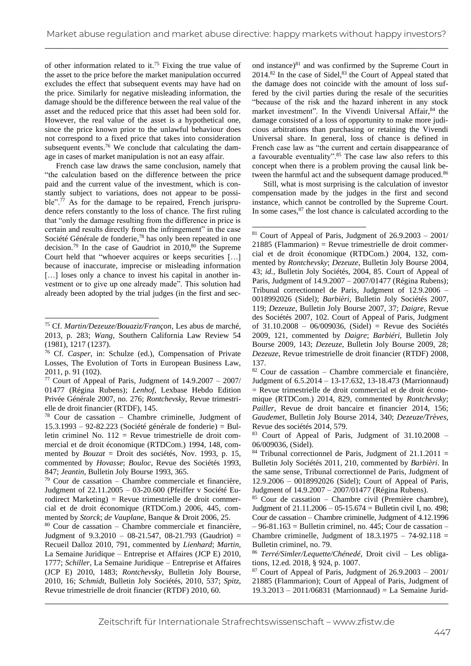of other information related to it.<sup>75</sup> Fixing the true value of the asset to the price before the market manipulation occurred excludes the effect that subsequent events may have had on the price. Similarly for negative misleading information, the damage should be the difference between the real value of the asset and the reduced price that this asset had been sold for. However, the real value of the asset is a hypothetical one, since the price known prior to the unlawful behaviour does not correspond to a fixed price that takes into consideration subsequent events.<sup>76</sup> We conclude that calculating the damage in cases of market manipulation is not an easy affair.

French case law draws the same conclusion, namely that "the calculation based on the difference between the price paid and the current value of the investment, which is constantly subject to variations, does not appear to be possible".<sup>77</sup> As for the damage to be repaired, French jurisprudence refers constantly to the loss of chance. The first ruling that "only the damage resulting from the difference in price is certain and results directly from the infringement" in the case Société Générale de fonderie, <sup>78</sup> has only been repeated in one decision.<sup>79</sup> In the case of Gaudriot in  $2010$ ,<sup>80</sup> the Supreme Court held that "whoever acquires or keeps securities […] because of inaccurate, imprecise or misleading information [...] loses only a chance to invest his capital in another investment or to give up one already made". This solution had already been adopted by the trial judges (in the first and sec-

ond instance) $81$  and was confirmed by the Supreme Court in 2014.<sup>82</sup> In the case of Sidel, <sup>83</sup> the Court of Appeal stated that the damage does not coincide with the amount of loss suffered by the civil parties during the resale of the securities "because of the risk and the hazard inherent in any stock market investment". In the Vivendi Universal Affair, 84 the damage consisted of a loss of opportunity to make more judicious arbitrations than purchasing or retaining the Vivendi Universal share. In general, loss of chance is defined in French case law as "the current and certain disappearance of a favourable eventuality".<sup>85</sup> The case law also refers to this concept when there is a problem proving the causal link between the harmful act and the subsequent damage produced.<sup>86</sup>

Still, what is most surprising is the calculation of investor compensation made by the judges in the first and second instance, which cannot be controlled by the Supreme Court. In some cases, $87$  the lost chance is calculated according to the

<sup>75</sup> Cf. *Martin/Dezeuze/Bouaziz/Françon*, Les abus de marché, 2013, p. 283; *Wang*, Southern California Law Review 54 (1981), 1217 (1237).

<sup>76</sup> Cf. *Casper*, in: Schulze (ed.), Compensation of Private Losses, The Evolution of Torts in European Business Law, 2011, p. 91 (102).

<sup>77</sup> Court of Appeal of Paris, Judgment of 14.9.2007 – 2007/ 01477 (Régina Rubens); *Lenhof*, Lexbase Hebdo Edition Privée Générale 2007, no. 276; *Rontchevsky*, Revue trimestrielle de droit financier (RTDF), 145.

<sup>78</sup> Cour de cassation – Chambre criminelle, Judgment of 15.3.1993 – 92-82.223 (Société générale de fonderie) = Bulletin criminel No. 112 = Revue trimestrielle de droit commercial et de droit économique (RTDCom.) 1994, 148, commented by *Bouzat* = Droit des sociétés, Nov. 1993, p. 15, commented by *Hovasse*; *Bouloc*, Revue des Sociétés 1993, 847; *Jeantin*, Bulletin Joly Bourse 1993, 365.

<sup>79</sup> Cour de cassation – Chambre commerciale et financière, Judgment of 22.11.2005 – 03-20.600 (Pfeiffer v Société Eurodirect Marketing) = Revue trimestrielle de droit commercial et de droit économique (RTDCom.) 2006, 445, commented by *Storck*; *de Vauplane*, Banque & Droit 2006, 25.

<sup>80</sup> Cour de cassation – Chambre commerciale et financière, Judgment of 9.3.2010 – 08-21.547, 08-21.793 (Gaudriot) = Recueil Dalloz 2010, 791, commented by *Lienhard*; *Martin*, La Semaine Juridique – Entreprise et Affaires (JCP E) 2010, 1777; *Schiller*, La Semaine Juridique – Entreprise et Affaires (JCP E) 2010, 1483; *Rontchevsky*, Bulletin Joly Bourse, 2010, 16; *Schmidt*, Bulletin Joly Sociétés, 2010, 537; *Spitz*, Revue trimestrielle de droit financier (RTDF) 2010, 60.

 $81$  Court of Appeal of Paris, Judgment of  $26.9.2003 - 2001/$ 21885 (Flammarion) = Revue trimestrielle de droit commercial et de droit économique (RTDCom.) 2004, 132, commented by *Rontchevsky*; *Dezeuze*, Bulletin Joly Bourse 2004, 43; *id.*, Bulletin Joly Sociétés, 2004, 85. Court of Appeal of Paris, Judgment of 14.9.2007 – 2007/01477 (Régina Rubens); Tribunal correctionnel de Paris, Judgment of 12.9.2006 – 0018992026 (Sidel); *Barbièri*, Bulletin Joly Sociétés 2007, 119; *Dezeuze*, Bulletin Joly Bourse 2007, 37; *Daigre*, Revue des Sociétés 2007, 102. Court of Appeal of Paris, Judgment of 31.10.2008 – 06/009036, (Sidel) = Revue des Sociétés 2009, 121, commented by *Daigre*; *Barbiéri*, Bulletin Joly Bourse 2009, 143; *Dezeuze*, Bulletin Joly Bourse 2009, 28; *Dezeuze*, Revue trimestrielle de droit financier (RTDF) 2008, 137.

<sup>82</sup> Cour de cassation – Chambre commerciale et financière, Judgment of 6.5.2014 – 13-17.632, 13-18.473 (Marrionnaud) = Revue trimestrielle de droit commercial et de droit économique (RTDCom.) 2014, 829, commented by *Rontchevsky*; *Pailler*, Revue de droit bancaire et financier 2014, 156; *Gaudemet*, Bulletin Joly Bourse 2014, 340; *Dezeuze/Trèves*, Revue des sociétés 2014, 579.

<sup>83</sup> Court of Appeal of Paris, Judgment of 31.10.2008 – 06/009036, (Sidel).

 $84$  Tribunal correctionnel de Paris, Judgment of 21.1.2011 = Bulletin Joly Sociétés 2011, 210, commented by *Barbièri*. In the same sense, Tribunal correctionnel de Paris, Judgment of 12.9.2006 – 0018992026 (Sidel); Court of Appeal of Paris, Judgment of 14.9.2007 – 2007/01477 (Régina Rubens)*.*

 $85$  Cour de cassation – Chambre civil (Première chambre), Judgment of  $21.11.2006 - 05-15.674 =$  Bulletin civil I, no. 498; Cour de cassation – Chambre criminelle, Judgment of 4.12.1996  $-96-81.163$  = Bulletin criminel, no. 445; Cour de cassation – Chambre criminelle, Judgment of  $18.3.1975 - 74-92.118 =$ Bulletin criminel, no. 79.

<sup>86</sup> *Terré/Simler/Lequette/Chénedé*, Droit civil – Les obligations, 12.ed. 2018, § 924, p. 1007.

 $87$  Court of Appeal of Paris, Judgment of  $26.9.2003 - 2001/$ 21885 (Flammarion); Court of Appeal of Paris, Judgment of 19.3.2013 – 2011/06831 (Marrionnaud) = La Semaine Jurid-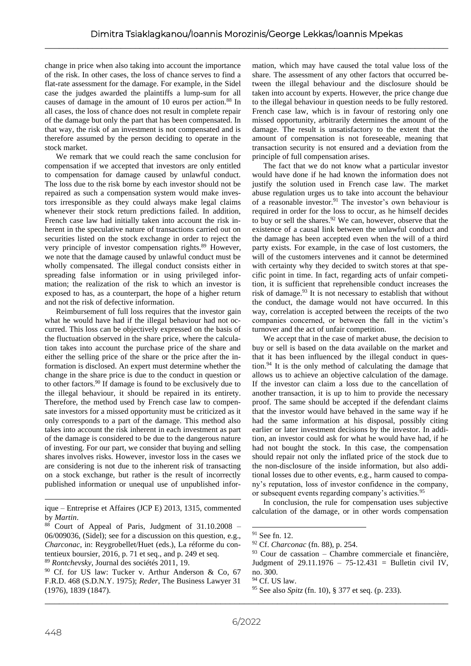change in price when also taking into account the importance of the risk. In other cases, the loss of chance serves to find a flat-rate assessment for the damage. For example, in the Sidel case the judges awarded the plaintiffs a lump-sum for all causes of damage in the amount of 10 euros per action.<sup>88</sup> In all cases, the loss of chance does not result in complete repair of the damage but only the part that has been compensated. In that way, the risk of an investment is not compensated and is therefore assumed by the person deciding to operate in the stock market.

We remark that we could reach the same conclusion for compensation if we accepted that investors are only entitled to compensation for damage caused by unlawful conduct. The loss due to the risk borne by each investor should not be repaired as such a compensation system would make investors irresponsible as they could always make legal claims whenever their stock return predictions failed. In addition, French case law had initially taken into account the risk inherent in the speculative nature of transactions carried out on securities listed on the stock exchange in order to reject the very principle of investor compensation rights.<sup>89</sup> However, we note that the damage caused by unlawful conduct must be wholly compensated. The illegal conduct consists either in spreading false information or in using privileged information; the realization of the risk to which an investor is exposed to has, as a counterpart, the hope of a higher return and not the risk of defective information.

Reimbursement of full loss requires that the investor gain what he would have had if the illegal behaviour had not occurred. This loss can be objectively expressed on the basis of the fluctuation observed in the share price, where the calculation takes into account the purchase price of the share and either the selling price of the share or the price after the information is disclosed. An expert must determine whether the change in the share price is due to the conduct in question or to other factors.<sup>90</sup> If damage is found to be exclusively due to the illegal behaviour, it should be repaired in its entirety. Therefore, the method used by French case law to compensate investors for a missed opportunity must be criticized as it only corresponds to a part of the damage. This method also takes into account the risk inherent in each investment as part of the damage is considered to be due to the dangerous nature of investing. For our part, we consider that buying and selling shares involves risks. However, investor loss in the cases we are considering is not due to the inherent risk of transacting on a stock exchange, but rather is the result of incorrectly published information or unequal use of unpublished infor-

mation, which may have caused the total value loss of the share. The assessment of any other factors that occurred between the illegal behaviour and the disclosure should be taken into account by experts. However, the price change due to the illegal behaviour in question needs to be fully restored. French case law, which is in favour of restoring only one missed opportunity, arbitrarily determines the amount of the damage. The result is unsatisfactory to the extent that the amount of compensation is not foreseeable, meaning that transaction security is not ensured and a deviation from the principle of full compensation arises.

The fact that we do not know what a particular investor would have done if he had known the information does not justify the solution used in French case law. The market abuse regulation urges us to take into account the behaviour of a reasonable investor.<sup>91</sup> The investor's own behaviour is required in order for the loss to occur, as he himself decides to buy or sell the shares.<sup>92</sup> We can, however, observe that the existence of a causal link between the unlawful conduct and the damage has been accepted even when the will of a third party exists. For example, in the case of lost customers, the will of the customers intervenes and it cannot be determined with certainty why they decided to switch stores at that specific point in time. In fact, regarding acts of unfair competition, it is sufficient that reprehensible conduct increases the risk of damage.<sup>93</sup> It is not necessary to establish that without the conduct, the damage would not have occurred. In this way, correlation is accepted between the receipts of the two companies concerned, or between the fall in the victim's turnover and the act of unfair competition.

We accept that in the case of market abuse, the decision to buy or sell is based on the data available on the market and that it has been influenced by the illegal conduct in question.<sup>94</sup> It is the only method of calculating the damage that allows us to achieve an objective calculation of the damage. If the investor can claim a loss due to the cancellation of another transaction, it is up to him to provide the necessary proof. The same should be accepted if the defendant claims that the investor would have behaved in the same way if he had the same information at his disposal, possibly citing earlier or later investment decisions by the investor. In addition, an investor could ask for what he would have had, if he had not bought the stock. In this case, the compensation should repair not only the inflated price of the stock due to the non-disclosure of the inside information, but also additional losses due to other events, e.g., harm caused to company's reputation, loss of investor confidence in the company, or subsequent events regarding company's activities.<sup>95</sup>

In conclusion, the rule for compensation uses subjective calculation of the damage, or in other words compensation

ique – Entreprise et Affaires (JCP E) 2013, 1315, commented by *Martin*.

 $88$  Court of Appeal of Paris, Judgment of 31.10.2008 – 06/009036, (Sidel); see for a discussion on this question, e.g., *Charconac*, in: Reygrobellet/Huet (eds.), La réforme du contentieux boursier, 2016, p. 71 et seq., and p. 249 et seq.

<sup>89</sup> *Rontchevsky*, Journal des sociétés 2011, 19.

\_\_\_\_\_\_\_\_\_\_\_\_\_\_\_\_\_\_\_\_\_\_\_\_\_\_\_\_\_\_\_\_\_\_\_\_\_\_\_\_\_\_\_\_\_\_\_\_\_\_\_\_\_\_\_\_\_\_\_\_\_\_\_\_\_\_\_\_\_\_\_\_\_\_\_\_\_\_\_\_\_\_\_\_\_ <sup>90</sup> Cf. for US law: Tucker v. Arthur Anderson & Co, 67 F.R.D. 468 (S.D.N.Y. 1975); *Reder*, The Business Lawyer 31 (1976), 1839 (1847).

<sup>91</sup> See fn. 12.

<sup>92</sup> Cf. *Charconac* (fn. 88), p. 254.

 $93$  Cour de cassation – Chambre commerciale et financière, Judgment of 29.11.1976 – 75-12.431 = Bulletin civil IV, no. 300.

<sup>&</sup>lt;sup>94</sup> Cf. US law.

<sup>95</sup> See also *Spitz* (fn. 10), § 377 et seq. (p. 233).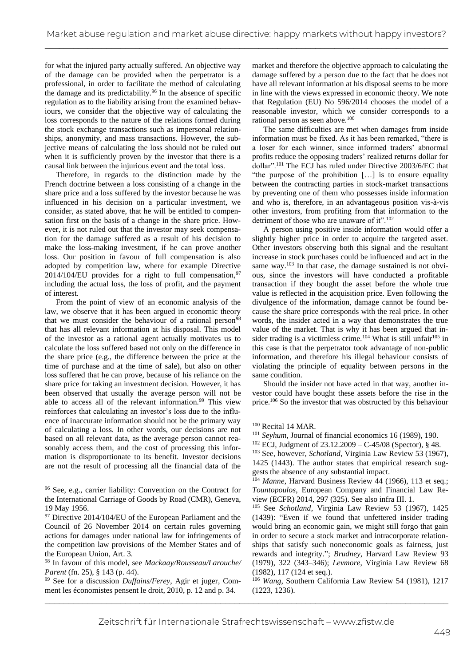for what the injured party actually suffered. An objective way of the damage can be provided when the perpetrator is a professional, in order to facilitate the method of calculating the damage and its predictability.<sup>96</sup> In the absence of specific regulation as to the liability arising from the examined behaviours, we consider that the objective way of calculating the loss corresponds to the nature of the relations formed during the stock exchange transactions such as impersonal relationships, anonymity, and mass transactions. However, the subjective means of calculating the loss should not be ruled out when it is sufficiently proven by the investor that there is a causal link between the injurious event and the total loss.

Therefore, in regards to the distinction made by the French doctrine between a loss consisting of a change in the share price and a loss suffered by the investor because he was influenced in his decision on a particular investment, we consider, as stated above, that he will be entitled to compensation first on the basis of a change in the share price. However, it is not ruled out that the investor may seek compensation for the damage suffered as a result of his decision to make the loss-making investment, if he can prove another loss. Our position in favour of full compensation is also adopted by competition law, where for example Directive 2014/104/EU provides for a right to full compensation,  $97$ including the actual loss, the loss of profit, and the payment of interest.

From the point of view of an economic analysis of the law, we observe that it has been argued in economic theory that we must consider the behaviour of a rational person<sup>98</sup> that has all relevant information at his disposal. This model of the investor as a rational agent actually motivates us to calculate the loss suffered based not only on the difference in the share price (e.g., the difference between the price at the time of purchase and at the time of sale), but also on other loss suffered that he can prove, because of his reliance on the share price for taking an investment decision. However, it has been observed that usually the average person will not be able to access all of the relevant information.<sup>99</sup> This view reinforces that calculating an investor's loss due to the influence of inaccurate information should not be the primary way of calculating a loss. In other words, our decisions are not based on all relevant data, as the average person cannot reasonably access them, and the cost of processing this information is disproportionate to its benefit. Investor decisions are not the result of processing all the financial data of the

market and therefore the objective approach to calculating the damage suffered by a person due to the fact that he does not have all relevant information at his disposal seems to be more in line with the views expressed in economic theory. We note that Regulation (EU) No 596/2014 chooses the model of a reasonable investor, which we consider corresponds to a rational person as seen above.<sup>100</sup>

The same difficulties are met when damages from inside information must be fixed. As it has been remarked, "there is a loser for each winner, since informed traders' abnormal profits reduce the opposing traders' realized returns dollar for dollar".<sup>101</sup> The ECJ has ruled under Directive 2003/6/EC that "the purpose of the prohibition […] is to ensure equality between the contracting parties in stock-market transactions by preventing one of them who possesses inside information and who is, therefore, in an advantageous position vis-à-vis other investors, from profiting from that information to the detriment of those who are unaware of it".<sup>102</sup>

A person using positive inside information would offer a slightly higher price in order to acquire the targeted asset. Other investors observing both this signal and the resultant increase in stock purchases could be influenced and act in the same way.<sup>103</sup> In that case, the damage sustained is not obvious, since the investors will have conducted a profitable transaction if they bought the asset before the whole true value is reflected in the acquisition price. Even following the divulgence of the information, damage cannot be found because the share price corresponds with the real price. In other words, the insider acted in a way that demonstrates the true value of the market. That is why it has been argued that insider trading is a victimless crime.<sup>104</sup> What is still unfair<sup>105</sup> in this case is that the perpetrator took advantage of non-public information, and therefore his illegal behaviour consists of violating the principle of equality between persons in the same condition.

Should the insider not have acted in that way, another investor could have bought these assets before the rise in the price.<sup>106</sup> So the investor that was obstructed by this behaviour

<sup>96</sup> See, e.g., carrier liability: Convention on the Contract for the International Carriage of Goods by Road (CMR), Geneva, 19 May 1956.

<sup>&</sup>lt;sup>97</sup> Directive 2014/104/EU of the European Parliament and the Council of 26 November 2014 on certain rules governing actions for damages under national law for infringements of the competition law provisions of the Member States and of the European Union, Art. 3.

<sup>98</sup> In favour of this model, see *Mackaay/Rousseau/Larouche/ Parent* (fn. 25), § 143 (p. 44).

<sup>99</sup> See for a discussion *Duffains/Ferey*, Agir et juger, Comment les économistes pensent le droit, 2010, p. 12 and p. 34.

<sup>100</sup> Recital 14 MAR.

<sup>&</sup>lt;sup>101</sup> Seyhum, Journal of financial economics 16 (1989), 190.

 $102$  ECJ, Judgment of 23.12.2009 – C-45/08 (Spector), § 48.

<sup>&</sup>lt;sup>103</sup> See, however, *Schotland*, Virginia Law Review 53 (1967), 1425 (1443). The author states that empirical research suggests the absence of any substantial impact.

<sup>&</sup>lt;sup>104</sup> *Manne*, Harvard Business Review 44 (1966), 113 et seq.; *Tountopoulos*, European Company and Financial Law Review (ECFR) 2014, 297 (325). See also infra III. 1.

<sup>105</sup> See *Schotland*, Virginia Law Review 53 (1967), 1425 (1439): "Even if we found that unfettered insider trading would bring an economic gain, we might still forgo that gain in order to secure a stock market and intracorporate relationships that satisfy such noneconomic goals as fairness, just rewards and integrity."; *Brudney*, Harvard Law Review 93 (1979), 322 (343–346); *Levmore*, Virginia Law Review 68 (1982), 117 (124 et seq.).

<sup>106</sup> *Wang*, Southern California Law Review 54 (1981), 1217 (1223, 1236).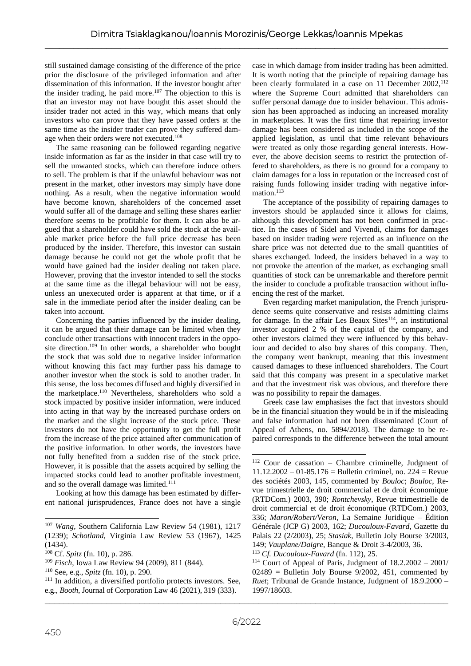still sustained damage consisting of the difference of the price prior the disclosure of the privileged information and after dissemination of this information. If the investor bought after the insider trading, he paid more.<sup>107</sup> The objection to this is that an investor may not have bought this asset should the insider trader not acted in this way, which means that only investors who can prove that they have passed orders at the same time as the insider trader can prove they suffered damage when their orders were not executed.<sup>108</sup>

The same reasoning can be followed regarding negative inside information as far as the insider in that case will try to sell the unwanted stocks, which can therefore induce others to sell. The problem is that if the unlawful behaviour was not present in the market, other investors may simply have done nothing. As a result, when the negative information would have become known, shareholders of the concerned asset would suffer all of the damage and selling these shares earlier therefore seems to be profitable for them. It can also be argued that a shareholder could have sold the stock at the available market price before the full price decrease has been produced by the insider. Therefore, this investor can sustain damage because he could not get the whole profit that he would have gained had the insider dealing not taken place. However, proving that the investor intended to sell the stocks at the same time as the illegal behaviour will not be easy, unless an unexecuted order is apparent at that time, or if a sale in the immediate period after the insider dealing can be taken into account.

Concerning the parties influenced by the insider dealing, it can be argued that their damage can be limited when they conclude other transactions with innocent traders in the opposite direction.<sup>109</sup> In other words, a shareholder who bought the stock that was sold due to negative insider information without knowing this fact may further pass his damage to another investor when the stock is sold to another trader. In this sense, the loss becomes diffused and highly diversified in the marketplace.<sup>110</sup> Nevertheless, shareholders who sold a stock impacted by positive insider information, were induced into acting in that way by the increased purchase orders on the market and the slight increase of the stock price. These investors do not have the opportunity to get the full profit from the increase of the price attained after communication of the positive information. In other words, the investors have not fully benefited from a sudden rise of the stock price. However, it is possible that the assets acquired by selling the impacted stocks could lead to another profitable investment, and so the overall damage was limited.<sup>111</sup>

Looking at how this damage has been estimated by different national jurisprudences, France does not have a single

case in which damage from insider trading has been admitted. It is worth noting that the principle of repairing damage has been clearly formulated in a case on 11 December 2002,<sup>112</sup> where the Supreme Court admitted that shareholders can suffer personal damage due to insider behaviour. This admission has been approached as inducing an increased morality in marketplaces. It was the first time that repairing investor damage has been considered as included in the scope of the applied legislation, as until that time relevant behaviours were treated as only those regarding general interests. However, the above decision seems to restrict the protection offered to shareholders, as there is no ground for a company to claim damages for a loss in reputation or the increased cost of raising funds following insider trading with negative information.<sup>113</sup>

The acceptance of the possibility of repairing damages to investors should be applauded since it allows for claims, although this development has not been confirmed in practice. In the cases of Sidel and Vivendi, claims for damages based on insider trading were rejected as an influence on the share price was not detected due to the small quantities of shares exchanged. Indeed, the insiders behaved in a way to not provoke the attention of the market, as exchanging small quantities of stock can be unremarkable and therefore permit the insider to conclude a profitable transaction without influencing the rest of the market.

Even regarding market manipulation, the French jurisprudence seems quite conservative and resists admitting claims for damage. In the affair Les Beaux Sites $^{114}$ , an institutional investor acquired 2 % of the capital of the company, and other investors claimed they were influenced by this behaviour and decided to also buy shares of this company. Then, the company went bankrupt, meaning that this investment caused damages to these influenced shareholders. The Court said that this company was present in a speculative market and that the investment risk was obvious, and therefore there was no possibility to repair the damages.

Greek case law emphasises the fact that investors should be in the financial situation they would be in if the misleading and false information had not been disseminated (Court of Appeal of Athens, no. 5894/2018). The damage to be repaired corresponds to the difference between the total amount

<sup>107</sup> *Wang*, Southern California Law Review 54 (1981), 1217 (1239); *Schotland*, Virginia Law Review 53 (1967), 1425 (1434).

<sup>108</sup> Cf. *Spitz* (fn. 10), p. 286.

<sup>109</sup> *Fisch*, Iowa Law Review 94 (2009), 811 (844).

<sup>110</sup> See, e.g., *Spitz* (fn. 10), p. 290.

<sup>111</sup> In addition, a diversified portfolio protects investors. See, e.g., *Booth*, Journal of Corporation Law 46 (2021), 319 (333).

<sup>112</sup> Cour de cassation – Chambre criminelle, Judgment of  $11.12.2002 - 01-85.176 =$  Bulletin criminel, no. 224 = Revue des sociétés 2003, 145, commented by *Bouloc*; *Bouloc*, Revue trimestrielle de droit commercial et de droit économique (RTDCom.) 2003, 390; *Rontchevsky*, Revue trimestrielle de droit commercial et de droit économique (RTDCom.) 2003, 336; *Maron/Robert/Veron*, La Semaine Juridique – Édition Générale (JCP G) 2003, 162; *Ducouloux-Favard*, Gazette du Palais 22 (2/2003), 25; *Stasiak*, Bulletin Joly Bourse 3/2003, 149; *Vauplane/Daigre*, Banque & Droit 3-4/2003, 36.

<sup>113</sup> *Cf. Ducouloux-Favard* (fn. 112), 25.

<sup>114</sup> Court of Appeal of Paris, Judgment of 18.2.2002 – 2001/  $02489$  = Bulletin Joly Bourse 9/2002, 451, commented by *Ruet*; Tribunal de Grande Instance, Judgment of 18.9.2000 – 1997/18603.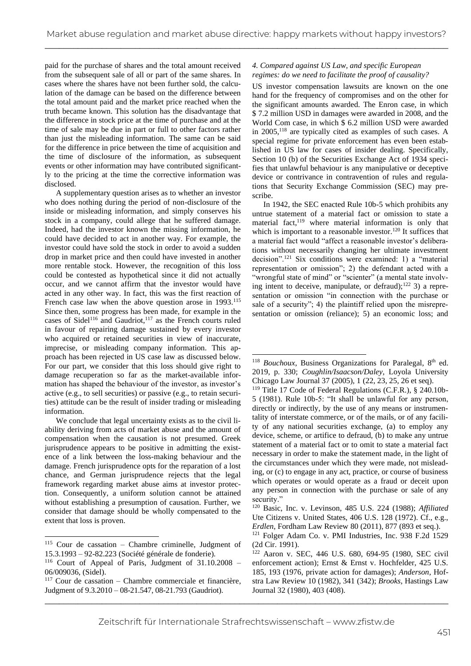paid for the purchase of shares and the total amount received from the subsequent sale of all or part of the same shares. In cases where the shares have not been further sold, the calculation of the damage can be based on the difference between the total amount paid and the market price reached when the truth became known. This solution has the disadvantage that the difference in stock price at the time of purchase and at the time of sale may be due in part or full to other factors rather than just the misleading information. The same can be said for the difference in price between the time of acquisition and the time of disclosure of the information, as subsequent events or other information may have contributed significantly to the pricing at the time the corrective information was disclosed.

A supplementary question arises as to whether an investor who does nothing during the period of non-disclosure of the inside or misleading information, and simply conserves his stock in a company, could allege that he suffered damage. Indeed, had the investor known the missing information, he could have decided to act in another way. For example, the investor could have sold the stock in order to avoid a sudden drop in market price and then could have invested in another more rentable stock. However, the recognition of this loss could be contested as hypothetical since it did not actually occur, and we cannot affirm that the investor would have acted in any other way. In fact, this was the first reaction of French case law when the above question arose in 1993.<sup>115</sup> Since then, some progress has been made, for example in the cases of Sidel<sup>116</sup> and Gaudriot,<sup>117</sup> as the French courts ruled in favour of repairing damage sustained by every investor who acquired or retained securities in view of inaccurate, imprecise, or misleading company information. This approach has been rejected in US case law as discussed below. For our part, we consider that this loss should give right to damage recuperation so far as the market-available information has shaped the behaviour of the investor, as investor's active (e.g., to sell securities) or passive (e.g., to retain securities) attitude can be the result of insider trading or misleading information.

We conclude that legal uncertainty exists as to the civil liability deriving from acts of market abuse and the amount of compensation when the causation is not presumed. Greek jurisprudence appears to be positive in admitting the existence of a link between the loss-making behaviour and the damage. French jurisprudence opts for the reparation of a lost chance, and German jurisprudence rejects that the legal framework regarding market abuse aims at investor protection. Consequently, a uniform solution cannot be attained without establishing a presumption of causation. Further, we consider that damage should be wholly compensated to the extent that loss is proven.

## *4. Compared against US Law, and specific European regimes: do we need to facilitate the proof of causality?*

US investor compensation lawsuits are known on the one hand for the frequency of compromises and on the other for the significant amounts awarded. The Enron case, in which \$ 7.2 million USD in damages were awarded in 2008, and the World Com case, in which \$ 6.2 million USD were awarded in 2005,<sup>118</sup> are typically cited as examples of such cases. A special regime for private enforcement has even been established in US law for cases of insider dealing. Specifically, Section 10 (b) of the Securities Exchange Act of 1934 specifies that unlawful behaviour is any manipulative or deceptive device or contrivance in contravention of rules and regulations that Security Exchange Commission (SEC) may prescribe.

In 1942, the SEC enacted Rule 10b-5 which prohibits any untrue statement of a material fact or omission to state a material fact,<sup>119</sup> where material information is only that which is important to a reasonable investor.<sup>120</sup> It suffices that a material fact would "affect a reasonable investor's deliberations without necessarily changing her ultimate investment decision".<sup>121</sup> Six conditions were examined: 1) a "material representation or omission"; 2) the defendant acted with a "wrongful state of mind" or "scienter" (a mental state involving intent to deceive, manipulate, or defraud);<sup>122</sup> 3) a representation or omission "in connection with the purchase or sale of a security"; 4) the plaintiff relied upon the misrepresentation or omission (reliance); 5) an economic loss; and

<sup>119</sup> Title 17 Code of Federal Regulations (C.F.R.), § 240.10b-5 (1981). Rule 10b-5: "It shall be unlawful for any person, directly or indirectly, by the use of any means or instrumentality of interstate commerce, or of the mails, or of any facility of any national securities exchange, (a) to employ any device, scheme, or artifice to defraud, (b) to make any untrue statement of a material fact or to omit to state a material fact necessary in order to make the statement made, in the light of the circumstances under which they were made, not misleading, or (c) to engage in any act, practice, or course of business which operates or would operate as a fraud or deceit upon any person in connection with the purchase or sale of any security."

<sup>115</sup> Cour de cassation – Chambre criminelle, Judgment of 15.3.1993 – 92-82.223 (Société générale de fonderie)*.*

<sup>116</sup> Court of Appeal of Paris, Judgment of 31.10.2008 – 06/009036, (Sidel).

 $117$  Cour de cassation – Chambre commerciale et financière, Judgment of 9.3.2010 – 08-21.547, 08-21.793 (Gaudriot).

<sup>&</sup>lt;sup>118</sup> *Bouchoux*, Business Organizations for Paralegal, 8<sup>th</sup> ed. 2019, p. 330; *Coughlin/Isaacson/Daley*, Loyola University Chicago Law Journal 37 (2005), 1 (22, 23, 25, 26 et seq).

<sup>120</sup> Basic, Inc. v. Levinson, 485 U.S. 224 (1988); *Affiliated*  Ute Citizens v. United States, 406 U.S. 128 (1972). Cf., e.g., *Erdlen*, Fordham Law Review 80 (2011), 877 (893 et seq.). <sup>121</sup> Folger Adam Co. v. PMI Industries, Inc. 938 F.2d 1529

<sup>(2</sup>d Cir. 1991). <sup>122</sup> Aaron v. SEC, 446 U.S. 680, 694-95 (1980, SEC civil enforcement action); Ernst & Ernst v. Hochfelder, 425 U.S. 185, 193 (1976, private action for damages); *Anderson*, Hofstra Law Review 10 (1982), 341 (342); *Brooks*, Hastings Law Journal 32 (1980), 403 (408).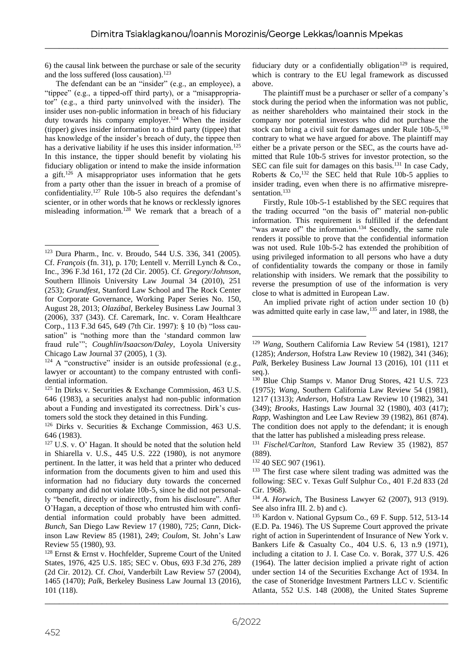6) the causal link between the purchase or sale of the security and the loss suffered (loss causation).<sup>123</sup>

The defendant can be an "insider" (e.g., an employee), a "tippee" (e.g., a tipped-off third party), or a "misappropriator" (e.g., a third party uninvolved with the insider). The insider uses non-public information in breach of his fiduciary duty towards his company employer.<sup>124</sup> When the insider (tipper) gives insider information to a third party (tippee) that has knowledge of the insider's breach of duty, the tippee then has a derivative liability if he uses this insider information.<sup>125</sup> In this instance, the tipper should benefit by violating his fiduciary obligation or intend to make the inside information a gift.<sup>126</sup> A misappropriator uses information that he gets from a party other than the issuer in breach of a promise of confidentiality.<sup>127</sup> Rule 10b-5 also requires the defendant's scienter, or in other words that he knows or recklessly ignores misleading information.<sup>128</sup> We remark that a breach of a

fiduciary duty or a confidentially obligation<sup>129</sup> is required, which is contrary to the EU legal framework as discussed above.

The plaintiff must be a purchaser or seller of a company's stock during the period when the information was not public, as neither shareholders who maintained their stock in the company nor potential investors who did not purchase the stock can bring a civil suit for damages under Rule  $10b-5$ ,  $130$ contrary to what we have argued for above. The plaintiff may either be a private person or the SEC, as the courts have admitted that Rule 10b-5 strives for investor protection, so the SEC can file suit for damages on this basis.<sup>131</sup> In case Cady, Roberts  $\&$  Co,<sup>132</sup> the SEC held that Rule 10b-5 applies to insider trading, even when there is no affirmative misrepresentation.<sup>133</sup>

Firstly, Rule 10b-5-1 established by the SEC requires that the trading occurred "on the basis of" material non-public information. This requirement is fulfilled if the defendant "was aware of" the information.<sup>134</sup> Secondly, the same rule renders it possible to prove that the confidential information was not used. Rule 10b-5-2 has extended the prohibition of using privileged information to all persons who have a duty of confidentiality towards the company or those in family relationship with insiders. We remark that the possibility to reverse the presumption of use of the information is very close to what is admitted in European Law.

An implied private right of action under section 10 (b) was admitted quite early in case law,<sup>135</sup> and later, in 1988, the

<sup>131</sup> *Fischel/Carlton*, Stanford Law Review 35 (1982), 857 (889).

<sup>132</sup> 40 SEC 907 (1961).

<sup>134</sup> *A. Horwich*, The Business Lawyer 62 (2007), 913 (919). See also infra III. 2. b) and c).

<sup>123</sup> Dura Pharm., Inc. v. Broudo, 544 U.S. 336, 341 (2005). Cf. *François* (fn. 31), p. 170; Lentell v. Merrill Lynch & Co., Inc., 396 F.3d 161, 172 (2d Cir. 2005). Cf. *Gregory/Johnson*, Southern Illinois University Law Journal 34 (2010), 251 (253); *Grundfest*, Stanford Law School and The Rock Center for Corporate Governance, Working Paper Series No. 150, August 28, 2013; *Olazábal*, Berkeley Business Law Journal 3 (2006), 337 (343). Cf. Caremark, Inc. v. Coram Healthcare Corp., 113 F.3d 645, 649 (7th Cir. 1997): § 10 (b) "loss causation" is "nothing more than the 'standard common law fraud rule'"; *Coughlin/Isaacson/Daley*, Loyola University Chicago Law Journal 37 (2005), 1 (3).

 $124$  A "constructive" insider is an outside professional (e.g., lawyer or accountant) to the company entrusted with confidential information.

 $125$  In Dirks v. Securities & Exchange Commission, 463 U.S. 646 (1983), a securities analyst had non-public information about a Funding and investigated its correctness. Dirk's customers sold the stock they detained in this Funding.

<sup>126</sup> Dirks v. Securities & Exchange Commission, 463 U.S. 646 (1983).

<sup>&</sup>lt;sup>127</sup> U.S. v. O' Hagan. It should be noted that the solution held in Shiarella v. U.S., 445 U.S. 222 (1980), is not anymore pertinent. In the latter, it was held that a printer who deduced information from the documents given to him and used this information had no fiduciary duty towards the concerned company and did not violate 10b-5, since he did not personally "benefit, directly or indirectly, from his disclosure". After O'Hagan, a deception of those who entrusted him with confidential information could probably have been admitted. *Bunch*, San Diego Law Review 17 (1980), 725; *Cann*, Dickinson Law Review 85 (1981), 249; *Coulom*, St. John's Law Review 55 (1980), 93.

<sup>128</sup> Ernst & Ernst v. Hochfelder, Supreme Court of the United States, 1976, 425 U.S. 185; SEC v. Obus, 693 F.3d 276, 289 (2d Cir. 2012). Cf. *Choi*, Vanderbilt Law Review 57 (2004), 1465 (1470); *Palk*, Berkeley Business Law Journal 13 (2016), 101 (118).

<sup>129</sup> *Wang*, Southern California Law Review 54 (1981), 1217 (1285); *Anderson*, Hofstra Law Review 10 (1982), 341 (346); *Palk*, Berkeley Business Law Journal 13 (2016), 101 (111 et seq.).

<sup>&</sup>lt;sup>130</sup> Blue Chip Stamps v. Manor Drug Stores, 421 U.S. 723 (1975); *Wang*, Southern California Law Review 54 (1981), 1217 (1313); *Anderson*, Hofstra Law Review 10 (1982), 341 (349); *Brooks*, Hastings Law Journal 32 (1980), 403 (417); *Rapp*, Washington and Lee Law Review 39 (1982), 861 (874). The condition does not apply to the defendant; it is enough that the latter has published a misleading press release.

<sup>&</sup>lt;sup>133</sup> The first case where silent trading was admitted was the following: SEC v. Texas Gulf Sulphur Co., 401 F.2d 833 (2d Cir. 1968).

<sup>135</sup> Kardon v. National Gypsum Co., 69 F. Supp. 512, 513-14 (E.D. Pa. 1946). The US Supreme Court approved the private right of action in Superintendent of Insurance of New York v. Bankers Life & Casualty Co., 404 U.S. 6, 13 n.9 (1971), including a citation to J. I. Case Co. v. Borak, 377 U.S. 426 (1964). The latter decision implied a private right of action under section 14 of the Securities Exchange Act of 1934. In the case of Stoneridge Investment Partners LLC v. Scientific Atlanta, 552 U.S. 148 (2008), the United States Supreme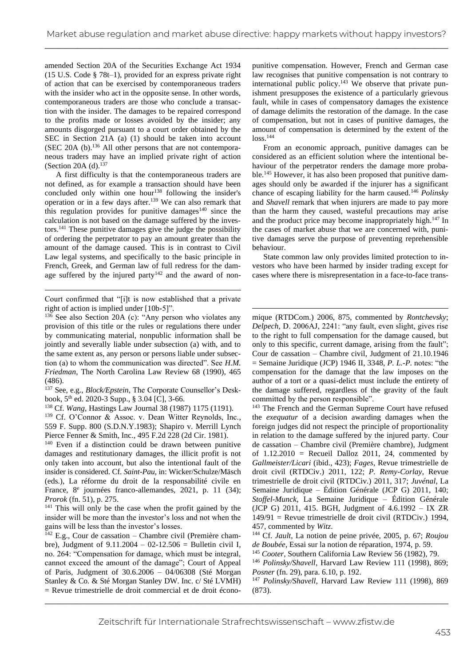amended Section 20A of the Securities Exchange Act 1934 (15 U.S. Code § 78t–1), provided for an express private right of action that can be exercised by contemporaneous traders with the insider who act in the opposite sense. In other words, contemporaneous traders are those who conclude a transaction with the insider. The damages to be repaired correspond to the profits made or losses avoided by the insider; any amounts disgorged pursuant to a court order obtained by the SEC in Section 21A (a) (1) should be taken into account (SEC 20A (b).<sup>136</sup> All other persons that are not contemporaneous traders may have an implied private right of action (Section 20A (d).<sup>137</sup>

A first difficulty is that the contemporaneous traders are not defined, as for example a transaction should have been concluded only within one hour<sup>138</sup> following the insider's operation or in a few days after.<sup>139</sup> We can also remark that this regulation provides for punitive damages $140$  since the calculation is not based on the damage suffered by the investors.<sup>141</sup> These punitive damages give the judge the possibility of ordering the perpetrator to pay an amount greater than the amount of the damage caused. This is in contrast to Civil Law legal systems, and specifically to the basic principle in French, Greek, and German law of full redress for the damage suffered by the injured party<sup>142</sup> and the award of non-

Court confirmed that "[i]t is now established that a private right of action is implied under [10b-5]".

 $136$  See also Section 20A (c): "Any person who violates any provision of this title or the rules or regulations there under by communicating material, nonpublic information shall be jointly and severally liable under subsection (a) with, and to the same extent as, any person or persons liable under subsection (a) to whom the communication was directed". See *H.M. Friedman*, The North Carolina Law Review 68 (1990), 465 (486).

<sup>137</sup> See, e.g., *Block/Epstein*, The Corporate Counsellor's Deskbook, 5<sup>th</sup> ed. 2020-3 Supp., § 3.04 [C], 3-66.

<sup>138</sup> Cf. *Wang*, Hastings Law Journal 38 (1987) 1175 (1191).

<sup>139</sup> Cf. O'Connor & Assoc. v. Dean Witter Reynolds, Inc., 559 F. Supp. 800 (S.D.N.Y.1983); Shapiro v. Merrill Lynch Pierce Fenner & Smith, Inc., 495 F.2d 228 (2d Cir. 1981).

<sup>140</sup> Even if a distinction could be drawn between punitive damages and restitutionary damages, the illicit profit is not only taken into account, but also the intentional fault of the insider is considered. Cf. *Saint-Pau*, in: Wicker/Schulze/Mäsch (eds.), La réforme du droit de la responsabilité civile en France, 8<sup>e</sup> journées franco-allemandes, 2021, p. 11 (34); *Prorok* (fn. 51), p. 275.

<sup>141</sup> This will only be the case when the profit gained by the insider will be more than the investor's loss and not when the gains will be less than the investor's losses.

 $142$  E.g., Cour de cassation – Chambre civil (Première chambre), Judgment of 9.11.2004 – 02-12.506 = Bulletin civil I, no. 264: "Compensation for damage, which must be integral, cannot exceed the amount of the damage"; Court of Appeal of Paris, Judgment of 30.6.2006 – 04/06308 (Sté Morgan Stanley & Co. & Sté Morgan Stanley DW. Inc. c/ Sté LVMH) = Revue trimestrielle de droit commercial et de droit écono-

punitive compensation. However, French and German case law recognises that punitive compensation is not contrary to international public policy.<sup>143</sup> We observe that private punishment presupposes the existence of a particularly grievous fault, while in cases of compensatory damages the existence of damage delimits the restoration of the damage. In the case of compensation, but not in cases of punitive damages, the amount of compensation is determined by the extent of the  $loss.<sup>144</sup>$ 

From an economic approach, punitive damages can be considered as an efficient solution where the intentional behaviour of the perpetrator renders the damage more probable.<sup>145</sup> However, it has also been proposed that punitive damages should only be awarded if the injurer has a significant chance of escaping liability for the harm caused.<sup>146</sup> *Polinsky* and *Shavell* remark that when injurers are made to pay more than the harm they caused, wasteful precautions may arise and the product price may become inappropriately high.<sup>147</sup> In the cases of market abuse that we are concerned with, punitive damages serve the purpose of preventing reprehensible behaviour.

State common law only provides limited protection to investors who have been harmed by insider trading except for cases where there is misrepresentation in a face-to-face trans-

mique (RTDCom.) 2006, 875, commented by *Rontchevsky*; *Delpech*, D. 2006AJ, 2241: "any fault, even slight, gives rise to the right to full compensation for the damage caused, but only to this specific, current damage, arising from the fault"; Cour de cassation – Chambre civil, Judgment of 21.10.1946 = Semaine Juridique (JCP) 1946 II, 3348, *P. L.-P.* notes: "the compensation for the damage that the law imposes on the author of a tort or a quasi-delict must include the entirety of the damage suffered, regardless of the gravity of the fault committed by the person responsible".

<sup>143</sup> The French and the German Supreme Court have refused the *exequatur* of a decision awarding damages when the foreign judges did not respect the principle of proportionality in relation to the damage suffered by the injured party. Cour de cassation – Chambre civil (Première chambre), Judgment of  $1.12.2010$  = Recueil Dalloz 2011, 24, commented by *Gallmeister/Licari* (ibid., 423); *Fages*, Revue trimestrielle de droit civil (RTDCiv.) 2011, 122; *P. Remy-Corlay*, Revue trimestrielle de droit civil (RTDCiv.) 2011, 317; *Juvénal*, La Semaine Juridique – Édition Générale (JCP G) 2011, 140; *Stoffel-Munck*, La Semaine Juridique – Édition Générale (JCP G) 2011, 415. BGH, Judgment of 4.6.1992 – IX ZR 149/91 = Revue trimestrielle de droit civil (RTDCiv.) 1994, 457, commented by *Witz*.

<sup>144</sup> Cf. *Jault*, La notion de peine privée, 2005, p. 67; *Roujou de Boubée*, Essai sur la notion de réparation, 1974, p. 59.

<sup>145</sup> *Cooter*, Southern California Law Review 56 (1982), 79.

<sup>146</sup> *Polinsky/Shavell*, Harvard Law Review 111 (1998), 869; *Posner* (fn. 29), para. 6.10, p. 192.

<sup>147</sup> *Polinsky/Shavell*, Harvard Law Review 111 (1998), 869 (873).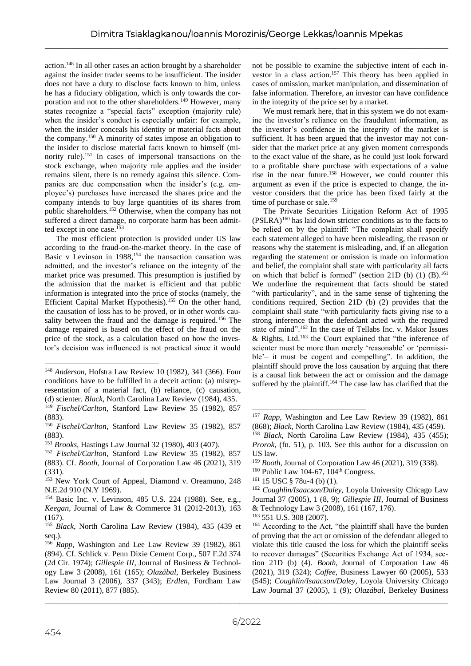action.<sup>148</sup> In all other cases an action brought by a shareholder against the insider trader seems to be insufficient. The insider does not have a duty to disclose facts known to him, unless he has a fiduciary obligation, which is only towards the corporation and not to the other shareholders.<sup>149</sup> However, many states recognize a "special facts" exception (majority rule) when the insider's conduct is especially unfair: for example, when the insider conceals his identity or material facts about the company.<sup>150</sup> A minority of states impose an obligation to the insider to disclose material facts known to himself (minority rule).<sup>151</sup> In cases of impersonal transactions on the stock exchange, when majority rule applies and the insider remains silent, there is no remedy against this silence. Companies are due compensation when the insider's (e.g. employee's) purchases have increased the shares price and the company intends to buy large quantities of its shares from public shareholders.<sup>152</sup> Otherwise, when the company has not suffered a direct damage, no corporate harm has been admitted except in one case.<sup>153</sup>

The most efficient protection is provided under US law according to the fraud-on-the-market theory. In the case of Basic v Levinson in  $1988$ ,<sup>154</sup> the transaction causation was admitted, and the investor's reliance on the integrity of the market price was presumed. This presumption is justified by the admission that the market is efficient and that public information is integrated into the price of stocks (namely, the Efficient Capital Market Hypothesis).<sup>155</sup> On the other hand, the causation of loss has to be proved, or in other words causality between the fraud and the damage is required.<sup>156</sup> The damage repaired is based on the effect of the fraud on the price of the stock, as a calculation based on how the investor's decision was influenced is not practical since it would

not be possible to examine the subjective intent of each investor in a class action.<sup>157</sup> This theory has been applied in cases of omission, market manipulation, and dissemination of false information. Therefore, an investor can have confidence in the integrity of the price set by a market.

We must remark here, that in this system we do not examine the investor's reliance on the fraudulent information, as the investor's confidence in the integrity of the market is sufficient. It has been argued that the investor may not consider that the market price at any given moment corresponds to the exact value of the share, as he could just look forward to a profitable share purchase with expectations of a value rise in the near future.<sup>158</sup> However, we could counter this argument as even if the price is expected to change, the investor considers that the price has been fixed fairly at the time of purchase or sale.<sup>159</sup>

The Private Securities Litigation Reform Act of 1995 (PSLRA)<sup>160</sup> has laid down stricter conditions as to the facts to be relied on by the plaintiff: "The complaint shall specify each statement alleged to have been misleading, the reason or reasons why the statement is misleading, and, if an allegation regarding the statement or omission is made on information and belief, the complaint shall state with particularity all facts on which that belief is formed" (section 21D (b) (1) (B).<sup>161</sup> We underline the requirement that facts should be stated "with particularity", and in the same sense of tightening the conditions required, Section 21D (b) (2) provides that the complaint shall state "with particularity facts giving rise to a strong inference that the defendant acted with the required state of mind".<sup>162</sup> In the case of Tellabs Inc. v. Makor Issues  $\&$  Rights, Ltd.<sup>163</sup> the Court explained that "the inference of scienter must be more than merely 'reasonable' or 'permissible'– it must be cogent and compelling". In addition, the plaintiff should prove the loss causation by arguing that there is a causal link between the act or omission and the damage suffered by the plaintiff.<sup>164</sup> The case law has clarified that the

<sup>148</sup> *Anderson*, Hofstra Law Review 10 (1982), 341 (366). Four conditions have to be fulfilled in a deceit action: (a) misrepresentation of a material fact, (b) reliance, (c) causation, (d) scienter. *Black*, North Carolina Law Review (1984), 435.

<sup>149</sup> *Fischel/Carlton*, Stanford Law Review 35 (1982), 857 (883).

<sup>150</sup> *Fischel/Carlton*, Stanford Law Review 35 (1982), 857 (883).

<sup>151</sup> *Brooks*, Hastings Law Journal 32 (1980), 403 (407).

<sup>152</sup> *Fischel/Carlton*, Stanford Law Review 35 (1982), 857 (883). Cf. *Booth*, Journal of Corporation Law 46 (2021), 319 (331).

<sup>153</sup> New York Court of Appeal, Diamond v. Oreamuno, 248 N.E.2d 910 (N.Y 1969).

<sup>154</sup> Basic Inc. v. Levinson, 485 U.S. 224 (1988). See, e.g., *Keegan*, Journal of Law & Commerce 31 (2012-2013), 163  $(167)$ .

<sup>155</sup> *Black*, North Carolina Law Review (1984), 435 (439 et seq.).

<sup>&</sup>lt;sup>156</sup> Rapp, Washington and Lee Law Review 39 (1982), 861 (894). Cf. Schlick v. Penn Dixie Cement Corp., 507 F.2d 374 (2d Cir. 1974); *Gillespie III*, Journal of Business & Technology Law 3 (2008), 161 (165); *Olazábal*, Berkeley Business Law Journal 3 (2006), 337 (343); *Erdlen*, Fordham Law Review 80 (2011), 877 (885).

<sup>157</sup> *Rapp*, Washington and Lee Law Review 39 (1982), 861 (868); *Black*, North Carolina Law Review (1984), 435 (459). <sup>158</sup> *Black*, North Carolina Law Review (1984), 435 (455); *Prorok*, (fn. 51), p. 103. See this author for a discussion on US law.

<sup>159</sup> *Booth*, Journal of Corporation Law 46 (2021), 319 (338).

 $160$  Public Law 104-67,  $104<sup>th</sup>$  Congress.

<sup>161</sup> 15 USC § 78u-4 (b) (1).

<sup>162</sup> *Coughlin/Isaacson/Daley*, Loyola University Chicago Law Journal 37 (2005), 1 (8, 9); *Gillespie III*, Journal of Business & Technology Law 3 (2008), 161 (167, 176).

<sup>163</sup> 551 U.S. 308 (2007).

<sup>&</sup>lt;sup>164</sup> According to the Act, "the plaintiff shall have the burden of proving that the act or omission of the defendant alleged to violate this title caused the loss for which the plaintiff seeks to recover damages" (Securities Exchange Act of 1934, section 21D (b) (4). *Booth*, Journal of Corporation Law 46 (2021), 319 (324); *Coffee*, Business Lawyer 60 (2005), 533 (545); *Coughlin/Isaacson/Daley*, Loyola University Chicago Law Journal 37 (2005), 1 (9); *Olazábal*, Berkeley Business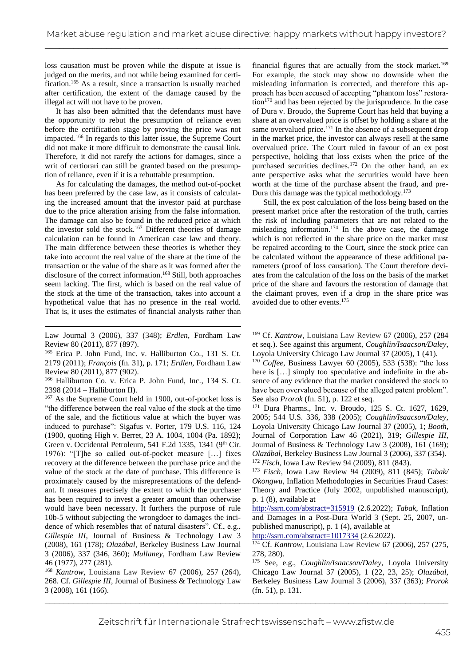loss causation must be proven while the dispute at issue is judged on the merits, and not while being examined for certification.<sup>165</sup> As a result, since a transaction is usually reached after certification, the extent of the damage caused by the illegal act will not have to be proven.

It has also been admitted that the defendants must have the opportunity to rebut the presumption of reliance even before the certification stage by proving the price was not impacted.<sup>166</sup> In regards to this latter issue, the Supreme Court did not make it more difficult to demonstrate the causal link. Therefore, it did not rarefy the actions for damages, since a writ of certiorari can still be granted based on the presumption of reliance, even if it is a rebuttable presumption.

As for calculating the damages, the method out-of-pocket has been preferred by the case law, as it consists of calculating the increased amount that the investor paid at purchase due to the price alteration arising from the false information. The damage can also be found in the reduced price at which the investor sold the stock.<sup>167</sup> Different theories of damage calculation can be found in American case law and theory. The main difference between these theories is whether they take into account the real value of the share at the time of the transaction or the value of the share as it was formed after the disclosure of the correct information. <sup>168</sup> Still, both approaches seem lacking. The first, which is based on the real value of the stock at the time of the transaction, takes into account a hypothetical value that has no presence in the real world. That is, it uses the estimates of financial analysts rather than

<sup>165</sup> Erica P. John Fund, Inc. v. Halliburton Co., 131 S. Ct. 2179 (2011); *François* (fn. 31), p. 171; *Erdlen*, Fordham Law Review 80 (2011), 877 (902).

<sup>166</sup> Halliburton Co. v. Erica P. John Fund, Inc., 134 S. Ct. 2398 (2014 – Halliburton II).

<sup>167</sup> As the Supreme Court held in 1900, out-of-pocket loss is "the difference between the real value of the stock at the time of the sale, and the fictitious value at which the buyer was induced to purchase": Sigafus v. Porter, 179 U.S. 116, 124 (1900, quoting High v. Berret, 23 A. 1004, 1004 (Pa. 1892); Green v. Occidental Petroleum, 541 F.2d 1335, 1341 (9<sup>th</sup> Cir. 1976): "[T]he so called out-of-pocket measure […] fixes recovery at the difference between the purchase price and the value of the stock at the date of purchase. This difference is proximately caused by the misrepresentations of the defendant. It measures precisely the extent to which the purchaser has been required to invest a greater amount than otherwise would have been necessary. It furthers the purpose of rule 10b-5 without subjecting the wrongdoer to damages the incidence of which resembles that of natural disasters". Cf., e.g., *Gillespie III*, Journal of Business & Technology Law 3 (2008), 161 (178); *Olazábal*, Berkeley Business Law Journal 3 (2006), 337 (346, 360); *Mullaney*, Fordham Law Review 46 (1977), 277 (281).

\_\_\_\_\_\_\_\_\_\_\_\_\_\_\_\_\_\_\_\_\_\_\_\_\_\_\_\_\_\_\_\_\_\_\_\_\_\_\_\_\_\_\_\_\_\_\_\_\_\_\_\_\_\_\_\_\_\_\_\_\_\_\_\_\_\_\_\_\_\_\_\_\_\_\_\_\_\_\_\_\_\_\_\_\_ <sup>168</sup> *Kantrow*, Louisiana Law Review 67 (2006), 257 (264), 268. Cf. *Gillespie III*, Journal of Business & Technology Law 3 (2008), 161 (166).

financial figures that are actually from the stock market.<sup>169</sup> For example, the stock may show no downside when the misleading information is corrected, and therefore this approach has been accused of accepting "phantom loss" restora- $\tau$  tion<sup>170</sup> and has been rejected by the jurisprudence. In the case of Dura v. Broudo, the Supreme Court has held that buying a share at an overvalued price is offset by holding a share at the same overvalued price.<sup>171</sup> In the absence of a subsequent drop in the market price, the investor can always resell at the same overvalued price. The Court ruled in favour of an ex post perspective, holding that loss exists when the price of the purchased securities declines.<sup>172</sup> On the other hand, an ex ante perspective asks what the securities would have been worth at the time of the purchase absent the fraud, and pre-Dura this damage was the typical methodology.<sup>173</sup>

Still, the ex post calculation of the loss being based on the present market price after the restoration of the truth, carries the risk of including parameters that are not related to the misleading information.<sup>174</sup> In the above case, the damage which is not reflected in the share price on the market must be repaired according to the Court, since the stock price can be calculated without the appearance of these additional parameters (proof of loss causation). The Court therefore deviates from the calculation of the loss on the basis of the market price of the share and favours the restoration of damage that the claimant proves, even if a drop in the share price was avoided due to other events.<sup>175</sup>

<sup>173</sup> *Fisch*, Iowa Law Review 94 (2009), 811 (845); *Tabak/ Okongwu*, Inflation Methodologies in Securities Fraud Cases: Theory and Practice (July 2002, unpublished manuscript), p. 1 (8), available at

<http://ssrn.com/abstract=315919> (2.6.2022); *Tabak*, Inflation and Damages in a Post-Dura World 3 (Sept. 25, 2007, unpublished manuscript), p. 1 (4), available at

<http://ssrn.com/abstract=1017334> (2.6.2022).

<sup>174</sup> Cf. *Kantrow*, Louisiana Law Review 67 (2006), 257 (275, 278, 280).

<sup>175</sup> See, e.g., *Coughlin/Isaacson/Daley*, Loyola University Chicago Law Journal 37 (2005), 1 (22, 23, 25); *Olazábal*, Berkeley Business Law Journal 3 (2006), 337 (363); *Prorok* (fn. 51), p. 131.

Law Journal 3 (2006), 337 (348); *Erdlen*, Fordham Law Review 80 (2011), 877 (897).

<sup>169</sup> Cf. *Kantrow*, Louisiana Law Review 67 (2006), 257 (284 et seq.). See against this argument, *Coughlin/Isaacson/Daley*, Loyola University Chicago Law Journal 37 (2005), 1 (41).

<sup>170</sup> *Coffee*, Business Lawyer 60 (2005), 533 (538): "the loss here is [...] simply too speculative and indefinite in the absence of any evidence that the market considered the stock to have been overvalued because of the alleged patent problem". See also *Prorok* (fn. 51), p. 122 et seq.

<sup>171</sup> Dura Pharms., Inc. v. Broudo, 125 S. Ct. 1627, 1629, 2005; 544 U.S. 336, 338 (2005); *Coughlin/Isaacson/Daley*, Loyola University Chicago Law Journal 37 (2005), 1; *Booth*, Journal of Corporation Law 46 (2021), 319; *Gillespie III*, Journal of Business & Technology Law 3 (2008), 161 (169); *Olazábal*, Berkeley Business Law Journal 3 (2006), 337 (354). <sup>172</sup> *Fisch*, Iowa Law Review 94 (2009), 811 (843).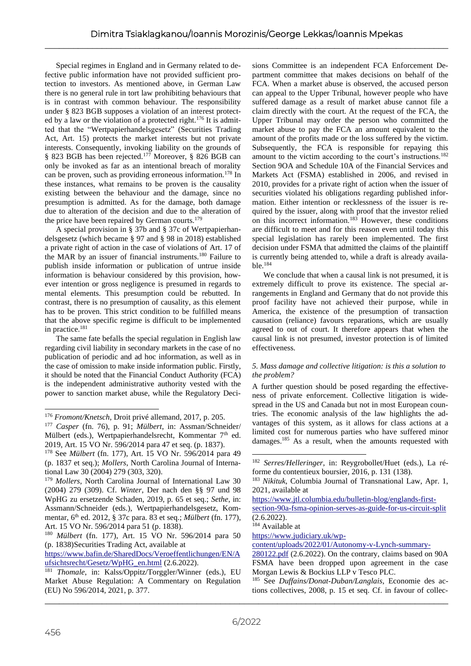Special regimes in England and in Germany related to defective public information have not provided sufficient protection to investors. As mentioned above, in German Law there is no general rule in tort law prohibiting behaviours that is in contrast with common behaviour. The responsibility under § 823 BGB supposes a violation of an interest protected by a law or the violation of a protected right.<sup>176</sup> It is admitted that the "Wertpapierhandelsgesetz" (Securities Trading Act, Art. 15) protects the market interests but not private interests. Consequently, invoking liability on the grounds of § 823 BGB has been rejected.<sup>177</sup> Moreover, § 826 BGB can only be invoked as far as an intentional breach of morality can be proven, such as providing erroneous information.<sup>178</sup> In these instances, what remains to be proven is the causality existing between the behaviour and the damage, since no presumption is admitted. As for the damage, both damage due to alteration of the decision and due to the alteration of the price have been repaired by German courts.<sup>179</sup>

A special provision in § 37b and § 37c of Wertpapierhandelsgesetz (which became § 97 and § 98 in 2018) established a private right of action in the case of violations of Art. 17 of the MAR by an issuer of financial instruments.<sup>180</sup> Failure to publish inside information or publication of untrue inside information is behaviour considered by this provision, however intention or gross negligence is presumed in regards to mental elements. This presumption could be rebutted. In contrast, there is no presumption of causality, as this element has to be proven. This strict condition to be fulfilled means that the above specific regime is difficult to be implemented in practice.<sup>181</sup>

The same fate befalls the special regulation in English law regarding civil liability in secondary markets in the case of no publication of periodic and ad hoc information, as well as in the case of omission to make inside information public. Firstly, it should be noted that the Financial Conduct Authority (FCA) is the independent administrative authority vested with the power to sanction market abuse, while the Regulatory Deci-

sions Committee is an independent FCA Enforcement Department committee that makes decisions on behalf of the FCA. When a market abuse is observed, the accused person can appeal to the Upper Tribunal, however people who have suffered damage as a result of market abuse cannot file a claim directly with the court. At the request of the FCA, the Upper Tribunal may order the person who committed the market abuse to pay the FCA an amount equivalent to the amount of the profits made or the loss suffered by the victim. Subsequently, the FCA is responsible for repaying this amount to the victim according to the court's instructions.<sup>182</sup> Section 9OA and Schedule 10A of the Financial Services and Markets Act (FSMA) established in 2006, and revised in 2010, provides for a private right of action when the issuer of securities violated his obligations regarding published information. Either intention or recklessness of the issuer is required by the issuer, along with proof that the investor relied on this incorrect information.<sup>183</sup> However, these conditions are difficult to meet and for this reason even until today this special legislation has rarely been implemented. The first decision under FSMA that admitted the claims of the plaintiff is currently being attended to, while a draft is already available.<sup>184</sup>

We conclude that when a causal link is not presumed, it is extremely difficult to prove its existence. The special arrangements in England and Germany that do not provide this proof facility have not achieved their purpose, while in America, the existence of the presumption of transaction causation (reliance) favours reparations, which are usually agreed to out of court. It therefore appears that when the causal link is not presumed, investor protection is of limited effectiveness.

## *5. Mass damage and collective litigation: is this a solution to the problem?*

A further question should be posed regarding the effectiveness of private enforcement. Collective litigation is widespread in the US and Canada but not in most European countries. The economic analysis of the law highlights the advantages of this system, as it allows for class actions at a limited cost for numerous parties who have suffered minor damages.<sup>185</sup> As a result, when the amounts requested with

<sup>184</sup> Available at

[https://www.judiciary.uk/wp-](https://www.judiciary.uk/wp-content/uploads/2022/01/Autonomy-v-Lynch-summary-280122.pdf)

[content/uploads/2022/01/Autonomy-v-Lynch-summary-](https://www.judiciary.uk/wp-content/uploads/2022/01/Autonomy-v-Lynch-summary-280122.pdf)

[280122.pdf](https://www.judiciary.uk/wp-content/uploads/2022/01/Autonomy-v-Lynch-summary-280122.pdf) (2.6.2022). On the contrary, claims based on 90A FSMA have been dropped upon agreement in the case Morgan Lewis & Bockius LLP v Tesco PLC.

<sup>185</sup> See *Duffains/Donat-Duban/Langlais*, Economie des actions collectives, 2008, p. 15 et seq. Cf. in favour of collec-

<sup>176</sup> *Fromont/Knetsch*, Droit privé allemand, 2017, p. 205.

<sup>177</sup> *Casper* (fn. 76), p. 91; *Mülbert*, in: Assman/Schneider/ Mülbert (eds.), Wertpapierhandelsrecht, Kommentar  $7<sup>th</sup>$  ed. 2019, Art. 15 VO Nr. 596/2014 para 47 et seq. (p. 1837).

<sup>178</sup> See *Mülbert* (fn. 177), Art. 15 VO Nr. 596/2014 para 49 (p. 1837 et seq.); *Mollers*, North Carolina Journal of International Law 30 (2004) 279 (303, 320).

<sup>179</sup> *Mollers*, North Carolina Journal of International Law 30 (2004) 279 (309). Cf. *Winter*, Der nach den §§ 97 und 98 WpHG zu ersetzende Schaden, 2019, p. 65 et seq.; *Sethe*, in: Assmann/Schneider (eds.), Wertpapierhandelsgesetz, Kommentar, 6 th ed. 2012, § 37c para. 83 et seq.; *Mülbert* (fn. 177), Art. 15 VO Nr. 596/2014 para 51 (p. 1838).

<sup>180</sup> *Mülbert* (fn. 177), Art. 15 VO Nr. 596/2014 para 50 (p. 1838)Securities Trading Act, available at

[https://www.bafin.de/SharedDocs/Veroeffentlichungen/EN/A](https://www.bafin.de/SharedDocs/Veroeffentlichungen/EN/Aufsichtsrecht/Gesetz/WpHG_en.html) [ufsichtsrecht/Gesetz/WpHG\\_en.html](https://www.bafin.de/SharedDocs/Veroeffentlichungen/EN/Aufsichtsrecht/Gesetz/WpHG_en.html) (2.6.2022).

<sup>181</sup> *Thomale*, in: Kalss/Oppitz/Torggler/Winner (eds.), EU Market Abuse Regulation: A Commentary on Regulation (EU) No 596/2014, 2021, p. 377.

<sup>182</sup> *Serres/Helleringer*, in: Reygrobollet/Huet (eds.), La réforme du contentieux boursier, 2016, p. 131 (138).

<sup>183</sup> *Nikituk*, Columbia Journal of Transnational Law, Apr. 1, 2021, available at

[https://www.jtl.columbia.edu/bulletin-blog/englands-first-](https://www.jtl.columbia.edu/bulletin-blog/englands-first-section-90a-fsma-opinion-serves-as-guide-for-us-circuit-split)

[section-90a-fsma-opinion-serves-as-guide-for-us-circuit-split](https://www.jtl.columbia.edu/bulletin-blog/englands-first-section-90a-fsma-opinion-serves-as-guide-for-us-circuit-split)  $(2.6.2022)$ .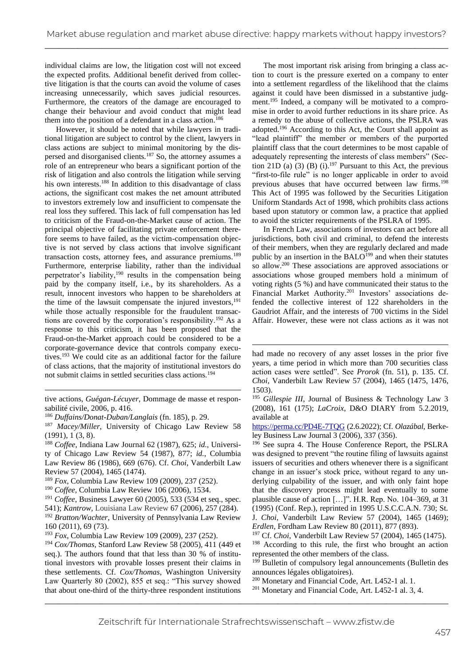individual claims are low, the litigation cost will not exceed the expected profits. Additional benefit derived from collective litigation is that the courts can avoid the volume of cases increasing unnecessarily, which saves judicial resources. Furthermore, the creators of the damage are encouraged to change their behaviour and avoid conduct that might lead them into the position of a defendant in a class action.<sup>186</sup>

However, it should be noted that while lawyers in traditional litigation are subject to control by the client, lawyers in class actions are subject to minimal monitoring by the dispersed and disorganised clients.<sup>187</sup> So, the attorney assumes a role of an entrepreneur who bears a significant portion of the risk of litigation and also controls the litigation while serving his own interests.<sup>188</sup> In addition to this disadvantage of class actions, the significant cost makes the net amount attributed to investors extremely low and insufficient to compensate the real loss they suffered. This lack of full compensation has led to criticism of the Fraud-on-the-Market cause of action. The principal objective of facilitating private enforcement therefore seems to have failed, as the victim-compensation objective is not served by class actions that involve significant transaction costs, attorney fees, and assurance premiums.<sup>189</sup> Furthermore, enterprise liability, rather than the individual perpetrator's liability,<sup>190</sup> results in the compensation being paid by the company itself, i.e., by its shareholders. As a result, innocent investors who happen to be shareholders at the time of the lawsuit compensate the injured investors, $191$ while those actually responsible for the fraudulent transactions are covered by the corporation's responsibility.<sup>192</sup> As a response to this criticism, it has been proposed that the Fraud-on-the-Market approach could be considered to be a corporate-governance device that controls company executives.<sup>193</sup> We could cite as an additional factor for the failure of class actions, that the majority of institutional investors do not submit claims in settled securities class actions.<sup>194</sup>

tive actions, *Guégan-Lécuyer*, Dommage de masse et responsabilité civile, 2006, p. 416.

- <sup>188</sup> *Coffee*, Indiana Law Journal 62 (1987), 625; *id.*, University of Chicago Law Review 54 (1987), 877; *id.*, Columbia Law Review 86 (1986), 669 (676). Cf. *Choi*, Vanderbilt Law Review 57 (2004), 1465 (1474).
- <sup>189</sup> *Fox*, Columbia Law Review 109 (2009), 237 (252).
- <sup>190</sup> *Coffee*, Columbia Law Review 106 (2006), 1534.
- <sup>191</sup> *Coffee*, Business Lawyer 60 (2005), 533 (534 et seq., spec.
- 541); *Kantrow*, Louisiana Law Review 67 (2006), 257 (284). <sup>192</sup> *Bratton/Wachter*, University of Pennsylvania Law Review 160 (2011), 69 (73).
- <sup>193</sup> *Fox*, Columbia Law Review 109 (2009), 237 (252).

The most important risk arising from bringing a class action to court is the pressure exerted on a company to enter into a settlement regardless of the likelihood that the claims against it could have been dismissed in a substantive judgment.<sup>195</sup> Indeed, a company will be motivated to a compromise in order to avoid further reductions in its share price. As a remedy to the abuse of collective actions, the PSLRA was adopted.<sup>196</sup> According to this Act, the Court shall appoint as "lead plaintiff" the member or members of the purported plaintiff class that the court determines to be most capable of adequately representing the interests of class members" (Section 21D (a) (3) (B) (i).<sup>197</sup> Pursuant to this Act, the previous "first-to-file rule" is no longer applicable in order to avoid previous abuses that have occurred between law firms.<sup>198</sup> This Act of 1995 was followed by the Securities Litigation Uniform Standards Act of 1998, which prohibits class actions based upon statutory or common law, a practice that applied to avoid the stricter requirements of the PSLRA of 1995.

In French Law, associations of investors can act before all jurisdictions, both civil and criminal, to defend the interests of their members, when they are regularly declared and made public by an insertion in the BALO<sup>199</sup> and when their statutes so allow.<sup>200</sup> These associations are approved associations or associations whose grouped members hold a minimum of voting rights (5 %) and have communicated their status to the Financial Market Authority.<sup>201</sup> Investors' associations defended the collective interest of 122 shareholders in the Gaudriot Affair, and the interests of 700 victims in the Sidel Affair. However, these were not class actions as it was not

<https://perma.cc/PD4E-7TQG> (2.6.2022); Cf. *Olazábal*, Berkeley Business Law Journal 3 (2006), 337 (356).

<sup>196</sup> See supra 4. The House Conference Report, the PSLRA was designed to prevent "the routine filing of lawsuits against issuers of securities and others whenever there is a significant change in an issuer's stock price, without regard to any underlying culpability of the issuer, and with only faint hope that the discovery process might lead eventually to some plausible cause of action […]". H.R. Rep. No. 104–369, at 31 (1995) (Conf. Rep.), reprinted in 1995 U.S.C.C.A.N. 730; St. J. *Choi*, Vanderbilt Law Review 57 (2004), 1465 (1469); *Erdlen*, Fordham Law Review 80 (2011), 877 (893).

<sup>197</sup> Cf. *Choi*, Vanderbilt Law Review 57 (2004), 1465 (1475). <sup>198</sup> According to this rule, the first who brought an action represented the other members of the class.

\_\_\_\_\_\_\_\_\_\_\_\_\_\_\_\_\_\_\_\_\_\_\_\_\_\_\_\_\_\_\_\_\_\_\_\_\_\_\_\_\_\_\_\_\_\_\_\_\_\_\_\_\_\_\_\_\_\_\_\_\_\_\_\_\_\_\_\_\_\_\_\_\_\_\_\_\_\_\_\_\_\_\_\_\_ <sup>201</sup> Monetary and Financial Code, Art. L452-1 al. 3, 4.

<sup>186</sup> *Duffains/Donat-Duban/Langlais* (fn. 185), p. 29.

<sup>187</sup> *Macey/Miller*, University of Chicago Law Review 58 (1991), 1 (3, 8).

<sup>194</sup> *Cox/Thomas*, Stanford Law Review 58 (2005), 411 (449 et seq.). The authors found that that less than 30 % of institutional investors with provable losses present their claims in these settlements. Cf. *Cox/Thomas*, Washington University Law Quarterly 80 (2002), 855 et seq.: "This survey showed that about one-third of the thirty-three respondent institutions

had made no recovery of any asset losses in the prior five years, a time period in which more than 700 securities class action cases were settled". See *Prorok* (fn. 51), p. 135. Cf. *Choi*, Vanderbilt Law Review 57 (2004), 1465 (1475, 1476, 1503).

<sup>&</sup>lt;sup>195</sup> Gillespie III, Journal of Business & Technology Law 3 (2008), 161 (175); *LaCroix*, D&O DIARY from 5.2.2019, available at

<sup>&</sup>lt;sup>199</sup> Bulletin of compulsory legal announcements (Bulletin des announces légales obligatoires).

<sup>200</sup> Monetary and Financial Code, Art. L452-1 al. 1.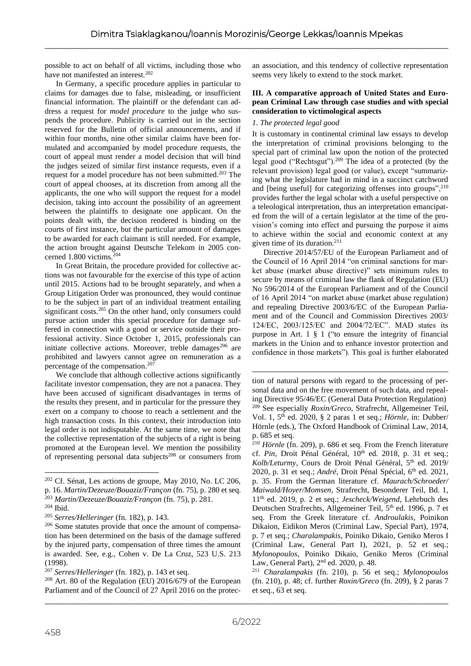possible to act on behalf of all victims, including those who have not manifested an interest.<sup>202</sup>

In Germany, a specific procedure applies in particular to claims for damages due to false, misleading, or insufficient financial information. The plaintiff or the defendant can address a request for *model procedure* to the judge who suspends the procedure. Publicity is carried out in the section reserved for the Bulletin of official announcements, and if within four months, nine other similar claims have been formulated and accompanied by model procedure requests, the court of appeal must render a model decision that will bind the judges seized of similar first instance requests, even if a request for a model procedure has not been submitted.<sup>203</sup> The court of appeal chooses, at its discretion from among all the applicants, the one who will support the request for a model decision, taking into account the possibility of an agreement between the plaintiffs to designate one applicant. On the points dealt with, the decision rendered is binding on the courts of first instance, but the particular amount of damages to be awarded for each claimant is still needed. For example, the action brought against Deutsche Telekom in 2005 concerned 1.800 victims. $204$ 

In Great Britain, the procedure provided for collective actions was not favourable for the exercise of this type of action until 2015. Actions had to be brought separately, and when a Group Litigation Order was pronounced, they would continue to be the subject in part of an individual treatment entailing significant costs.<sup>205</sup> On the other hand, only consumers could pursue action under this special procedure for damage suffered in connection with a good or service outside their professional activity. Since October 1, 2015, professionals can initiate collective actions. Moreover, treble damages<sup>206</sup> are prohibited and lawyers cannot agree on remuneration as a percentage of the compensation.<sup>207</sup>

We conclude that although collective actions significantly facilitate investor compensation, they are not a panacea. They have been accused of significant disadvantages in terms of the results they present, and in particular for the pressure they exert on a company to choose to reach a settlement and the high transaction costs. In this context, their introduction into legal order is not indisputable. At the same time, we note that the collective representation of the subjects of a right is being promoted at the European level. We mention the possibility of representing personal data subjects<sup>208</sup> or consumers from

<sup>208</sup> Art. 80 of the Regulation (EU) 2016/679 of the European Parliament and of the Council of 27 April 2016 on the protecan association, and this tendency of collective representation seems very likely to extend to the stock market.

#### **III. A comparative approach of United States and European Criminal Law through case studies and with special consideration to victimological aspects**

## *1. The protected legal good*

It is customary in continental criminal law essays to develop the interpretation of criminal provisions belonging to the special part of criminal law upon the notion of the protected legal good ("Rechtsgut").<sup>209</sup> The idea of a protected (by the relevant provision) legal good (or value), except "summarizing what the legislature had in mind in a succinct catchword and [being useful] for categorizing offenses into groups", $^{210}$ provides further the legal scholar with a useful perspective on a teleological interpretation, thus an interpretation emancipated from the will of a certain legislator at the time of the provision's coming into effect and pursuing the purpose it aims to achieve within the social and economic context at any given time of its duration.<sup>211</sup>

Directive 2014/57/EU of the European Parliament and of the Council of 16 April 2014 "on criminal sanctions for market abuse (market abuse directive)" sets minimum rules to secure by means of criminal law the flank of Regulation (EU) No 596/2014 of the European Parliament and of the Council of 16 April 2014 "on market abuse (market abuse regulation) and repealing Directive 2003/6/EC of the European Parliament and of the Council and Commission Directives 2003/ 124/EC, 2003/125/EC and 2004/72/EC". MAD states its purpose in Art. 1 § 1 ("to ensure the integrity of financial markets in the Union and to enhance investor protection and confidence in those markets"). This goal is further elaborated

<sup>202</sup> Cf. Sénat, Les actions de groupe, May 2010, No. LC 206, p. 16. *Martin/Dezeuze/Bouaziz/Françon* (fn. 75), p. 280 et seq. <sup>203</sup> *Martin/Dezeuze/Bouaziz/Françon* (fn. 75), p. 281.

<sup>204</sup> Ibid.

<sup>205</sup> *Serres/Helleringer* (fn. 182), p. 143.

<sup>206</sup> Some statutes provide that once the amount of compensation has been determined on the basis of the damage suffered by the injured party, compensation of three times the amount is awarded. See, e.g., Cohen v. De La Cruz, 523 U.S. 213 (1998).

<sup>207</sup> *Serres/Helleringer* (fn. 182), p. 143 et seq.

tion of natural persons with regard to the processing of personal data and on the free movement of such data, and repealing Directive 95/46/EC (General Data Protection Regulation) <sup>209</sup> See especially *Roxin/Greco*, Strafrecht, Allgemeiner Teil, Vol. 1, 5th ed. 2020, § 2 paras 1 et seq.; *Hörnle*, in: Dubber/ Hörnle (eds.), The Oxford Handbook of Criminal Law, 2014, p. 685 et seq.

<sup>210</sup> *Hörnle* (fn. 209), p. 686 et seq. From the French literature cf. Pin, Droit Pénal Général,  $10^{th}$  ed. 2018, p. 31 et seq.; Kolb/Leturmy, Cours de Droit Pénal Général, 5<sup>th</sup> ed. 2019/ 2020, p. 31 et seq.; *André*, Droit Pénal Spécial, 6<sup>th</sup> ed. 2021, p. 35. From the German literature cf. *Maurach/Schroeder/ Maiwald/Hoyer/Momsen*, Strafrecht, Besonderer Teil, Bd. 1, 11th ed. 2019, p. 2 et seq.; *Jescheck/Weigend*, Lehrbuch des Deutschen Strafrechts, Allgemeiner Teil, 5<sup>th</sup> ed. 1996, p. 7 et seq. From the Greek literature cf. *Androulakis*, Poinikon Dikaion, Eidikon Meros (Criminal Law, Special Part), 1974, p. 7 et seq.; *Charalampakis*, Poiniko Dikaio, Geniko Meros I (Criminal Law, General Part I), 2021, p. 52 et seq.; *Mylonopoulos*, Poiniko Dikaio, Geniko Meros (Criminal Law, General Part), 2nd ed. 2020, p. 48.

<sup>211</sup> *Charalampakis* (fn. 210), p. 56 et seq.; *Mylonopoulos*  (fn. 210), p. 48; cf. further *Roxin/Greco* (fn. 209), § 2 paras 7 et seq., 63 et seq.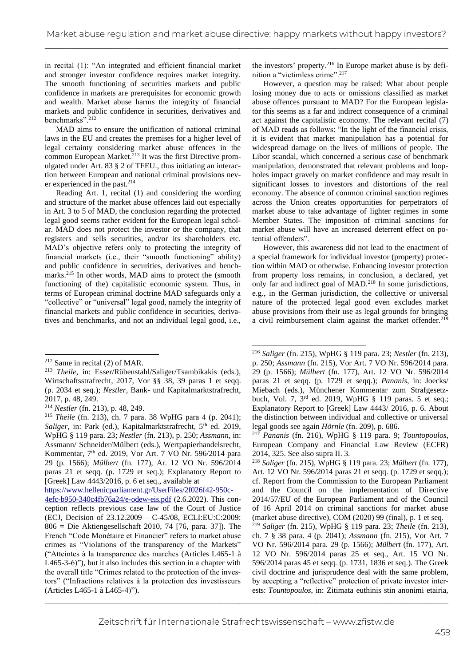in recital (1): "An integrated and efficient financial market and stronger investor confidence requires market integrity. The smooth functioning of securities markets and public confidence in markets are prerequisites for economic growth and wealth. Market abuse harms the integrity of financial markets and public confidence in securities, derivatives and benchmarks".<sup>212</sup>

MAD aims to ensure the unification of national criminal laws in the EU and creates the premises for a higher level of legal certainty considering market abuse offences in the common European Market.<sup>213</sup> It was the first Directive promulgated under Art. 83 § 2 of TFEU., thus initiating an interaction between European and national criminal provisions never experienced in the past.<sup>214</sup>

Reading Art. 1, recital (1) and considering the wording and structure of the market abuse offences laid out especially in Art. 3 to 5 of MAD, the conclusion regarding the protected legal good seems rather evident for the European legal scholar. MAD does not protect the investor or the company, that registers and sells securities, and/or its shareholders etc. MAD's objective refers only to protecting the integrity of financial markets (i.e., their "smooth functioning" ability) and public confidence in securities, derivatives and benchmarks.<sup>215</sup> In other words, MAD aims to protect the (smooth functioning of the) capitalistic economic system. Thus, in terms of European criminal doctrine MAD safeguards only a "collective" or "universal" legal good, namely the integrity of financial markets and public confidence in securities, derivatives and benchmarks, and not an individual legal good, i.e.,

[https://www.hellenicparliament.gr/UserFiles/2f026f42-950c-](https://www.hellenicparliament.gr/UserFiles/2f026f42-950c-4efc-b950-340c4fb76a24/e-odew-eis.pdf)[4efc-b950-340c4fb76a24/e-odew-eis.pdf](https://www.hellenicparliament.gr/UserFiles/2f026f42-950c-4efc-b950-340c4fb76a24/e-odew-eis.pdf) (2.6.2022). This conception reflects previous case law of the Court of Justice (ECJ, Decision of 23.12.2009 – C-45/08, ECLI:EU:C:2009: 806 = Die Aktiengesellschaft 2010, 74 [76, para. 37]). The French "Code Monétaire et Financier" refers to market abuse crimes as "Violations of the transparency of the Markets" ("Atteintes à la transparence des marches (Articles L465-1 à L465-3-6)"), but it also includes this section in a chapter with the overall title "Crimes related to the protection of the investors" ("Infractions relatives à la protection des investisseurs (Articles L465-1 à L465-4)").

the investors' property.<sup>216</sup> In Europe market abuse is by definition a "victimless crime".<sup>217</sup>

However, a question may be raised: What about people losing money due to acts or omissions classified as market abuse offences pursuant to MAD? For the European legislator this seems as a far and indirect consequence of a criminal act against the capitalistic economy. The relevant recital (7) of MAD reads as follows: "In the light of the financial crisis, it is evident that market manipulation has a potential for widespread damage on the lives of millions of people. The Libor scandal, which concerned a serious case of benchmark manipulation, demonstrated that relevant problems and loopholes impact gravely on market confidence and may result in significant losses to investors and distortions of the real economy. The absence of common criminal sanction regimes across the Union creates opportunities for perpetrators of market abuse to take advantage of lighter regimes in some Member States. The imposition of criminal sanctions for market abuse will have an increased deterrent effect on potential offenders".

However, this awareness did not lead to the enactment of a special framework for individual investor (property) protection within MAD or otherwise. Enhancing investor protection from property loss remains, in conclusion, a declared, yet only far and indirect goal of MAD.<sup>218</sup> In some jurisdictions, e.g., in the German jurisdiction, the collective or universal nature of the protected legal good even excludes market abuse provisions from their use as legal grounds for bringing a civil reimbursement claim against the market offender.<sup>219</sup>

<sup>219</sup> *Saliger* (fn. 215), WpHG § 119 para. 23; *Theile* (fn. 213), ch. 7 § 38 para. 4 (p. 2041); *Assmann* (fn. 215), Vor Art. 7 VO Nr. 596/2014 para. 29 (p. 1566); *Mülbert* (fn. 177), Art. 12 VO Nr. 596/2014 paras 25 et seq., Art. 15 VO Nr. 596/2014 paras 45 et seqq. (p. 1731, 1836 et seq.). The Greek civil doctrine and jurisprudence deal with the same problem, by accepting a "reflective" protection of private investor interests: *Tountopoulos*, in: Zitimata euthinis stin anonimi etairia,

<sup>212</sup> Same in recital (2) of MAR.

<sup>213</sup> *Theile*, in: Esser/Rübenstahl/Saliger/Tsambikakis (eds.), Wirtschaftsstrafrecht, 2017, Vor §§ 38, 39 paras 1 et seqq. (p. 2034 et seq.); *Nestler*, Bank- und Kapitalmarktstrafrecht, 2017, p. 48, 249.

<sup>214</sup> *Nestler* (fn. 213), p. 48, 249.

<sup>215</sup> *Theile* (fn. 213), ch. 7 para. 38 WpHG para 4 (p. 2041); *Saliger*, in: Park (ed.), Kapitalmarktstrafrecht, 5<sup>th</sup> ed. 2019, WpHG § 119 para. 23; *Nestler* (fn. 213), p. 250; *Assmann*, in: Assmann/ Schneider/Mülbert (eds.), Wertpapierhandelsrecht, Kommentar, 7<sup>th</sup> ed. 2019, Vor Art. 7 VO Nr. 596/2014 para 29 (p. 1566); *Mülbert* (fn. 177), Ar. 12 VO Nr. 596/2014 paras 21 et seqq. (p. 1729 et seq.); Explanatory Report to [Greek] Law 4443/2016, p. 6 et seq., available at

<sup>216</sup> *Saliger* (fn. 215), WpHG § 119 para. 23; *Nestler* (fn. 213), p. 250; *Assmann* (fn. 215), Vor Art. 7 VO Nr. 596/2014 para. 29 (p. 1566); *Mülbert* (fn. 177), Art. 12 VO Nr. 596/2014 paras 21 et seqq. (p. 1729 et seqq.); *Pananis*, in: Joecks/ Miebach (eds.), Münchener Kommentar zum Strafgesetzbuch, Vol. 7, 3rd ed. 2019, WpHG § 119 paras. 5 et seq.; Explanatory Report to [Greek] Law 4443/ 2016, p. 6. About the distinction between individual and collective or universal legal goods see again *Hörnle* (fn. 209), p. 686.

<sup>217</sup> *Pananis* (fn. 216), WpHG § 119 para. 9; *Tountopoulos*, European Company and Financial Law Review (ECFR) 2014, 325. See also supra II. 3.

<sup>218</sup> *Saliger* (fn. 215), WpHG § 119 para. 23; *Mülbert* (fn. 177), Art. 12 VO Nr. 596/2014 paras 21 et seqq. (p. 1729 et seqq.); cf. Report from the Commission to the European Parliament and the Council on the implementation of Directive 2014/57/EU of the European Parliament and of the Council of 16 April 2014 on criminal sanctions for market abuse (market abuse directive), COM (2020) 99 (final), p. 1 et seq.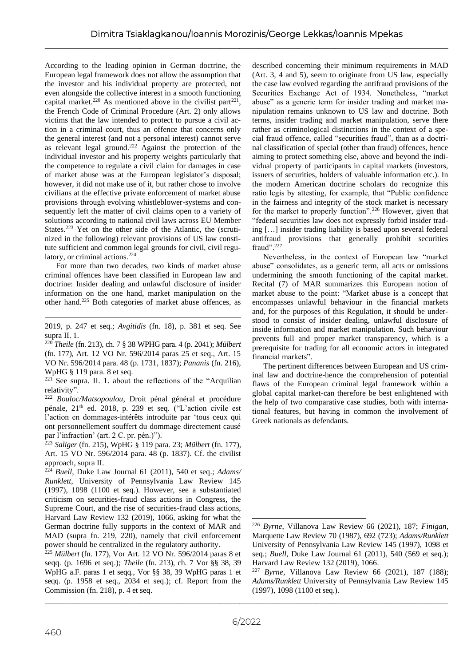According to the leading opinion in German doctrine, the European legal framework does not allow the assumption that the investor and his individual property are protected, not even alongside the collective interest in a smooth functioning capital market.<sup>220</sup> As mentioned above in the civilist part<sup>221</sup>, the French Code of Criminal Procedure (Art. 2) only allows victims that the law intended to protect to pursue a civil action in a criminal court, thus an offence that concerns only the general interest (and not a personal interest) cannot serve as relevant legal ground.<sup>222</sup> Against the protection of the individual investor and his property weights particularly that the competence to regulate a civil claim for damages in case of market abuse was at the European legislator's disposal; however, it did not make use of it, but rather chose to involve civilians at the effective private enforcement of market abuse provisions through evolving whistleblower-systems and consequently left the matter of civil claims open to a variety of solutions according to national civil laws across EU Member States.<sup>223</sup> Yet on the other side of the Atlantic, the (scrutinized in the following) relevant provisions of US law constitute sufficient and common legal grounds for civil, civil regulatory, or criminal actions.<sup>224</sup>

For more than two decades, two kinds of market abuse criminal offences have been classified in European law and doctrine: Insider dealing and unlawful disclosure of insider information on the one hand, market manipulation on the other hand.<sup>225</sup> Both categories of market abuse offences, as

2019, p. 247 et seq.; *Avgitidis* (fn. 18), p. 381 et seq. See supra II. 1.

<sup>220</sup> *Theile* (fn. 213), ch. 7 § 38 WPHG para. 4 (p. 2041); *Mülbert* (fn. 177), Art. 12 VO Nr. 596/2014 paras 25 et seq., Art. 15 VO Nr. 596/2014 para. 48 (p. 1731, 1837); *Pananis* (fn. 216), WpHG § 119 para. 8 et seq.

 $221$  See supra. II. 1. about the reflections of the "Acquilian relativity".

<sup>222</sup> *Bouloc/Matsopoulou*, Droit pénal général et procédure pénale, 21th ed. 2018, p. 239 et seq. ("L'action civile est l'action en dommages-intérêts introduite par 'tous ceux qui ont personnellement souffert du dommage directement causé par l'infraction' (art. 2 C. pr. pén.)").

<sup>223</sup> *Saliger* (fn. 215), WpHG § 119 para. 23; *Mülbert* (fn. 177), Art. 15 VO Nr. 596/2014 para. 48 (p. 1837). Cf. the civilist approach, supra II.

<sup>224</sup> *Buell*, Duke Law Journal 61 (2011), 540 et seq.; *Adams/ Runklett*, University of Pennsylvania Law Review 145 (1997), 1098 (1100 et seq.). However, see a substantiated criticism on securities-fraud class actions in Congress, the Supreme Court, and the rise of securities-fraud class actions, Harvard Law Review 132 (2019), 1066, asking for what the German doctrine fully supports in the context of MAR and MAD (supra fn. 219, 220), namely that civil enforcement power should be centralized in the regulatory authority.

<sup>225</sup> *Mülbert* (fn. 177), Vor Art. 12 VO Nr. 596/2014 paras 8 et seqq. (p. 1696 et seq.); *Theile* (fn. 213), ch. 7 Vor §§ 38, 39 WpHG a.F. paras 1 et seqq., Vor §§ 38, 39 WpHG paras 1 et seqq. (p. 1958 et seq., 2034 et seq.); cf. Report from the Commission (fn. 218), p. 4 et seq.

described concerning their minimum requirements in MAD (Art. 3, 4 and 5), seem to originate from US law, especially the case law evolved regarding the antifraud provisions of the Securities Exchange Act of 1934. Nonetheless, "market abuse" as a generic term for insider trading and market manipulation remains unknown to US law and doctrine. Both terms, insider trading and market manipulation, serve there rather as criminological distinctions in the context of a special fraud offence, called "securities fraud", than as a doctrinal classification of special (other than fraud) offences, hence aiming to protect something else, above and beyond the individual property of participants in capital markets (investors, issuers of securities, holders of valuable information etc.). In the modern American doctrine scholars do recognize this ratio legis by attesting, for example, that "Public confidence in the fairness and integrity of the stock market is necessary for the market to properly function".<sup>226</sup> However, given that "federal securities law does not expressly forbid insider trading […] insider trading liability is based upon several federal antifraud provisions that generally prohibit securities fraud".<sup>227</sup>

Nevertheless, in the context of European law "market abuse" consolidates, as a generic term, all acts or omissions undermining the smooth functioning of the capital market. Recital (7) of MAR summarizes this European notion of market abuse to the point: "Market abuse is a concept that encompasses unlawful behaviour in the financial markets and, for the purposes of this Regulation, it should be understood to consist of insider dealing, unlawful disclosure of inside information and market manipulation. Such behaviour prevents full and proper market transparency, which is a prerequisite for trading for all economic actors in integrated financial markets".

The pertinent differences between European and US criminal law and doctrine-hence the comprehension of potential flaws of the European criminal legal framework within a global capital market-can therefore be best enlightened with the help of two comparative case studies, both with international features, but having in common the involvement of Greek nationals as defendants.

<sup>226</sup> *Byrne*, Villanova Law Review 66 (2021), 187; *Finigan*, Marquette Law Review 70 (1987), 692 (723); *Adams/Runklett* University of Pennsylvania Law Review 145 (1997), 1098 et seq.; *Buell*, Duke Law Journal 61 (2011), 540 (569 et seq.); Harvard Law Review 132 (2019), 1066.

<sup>227</sup> *Byrne*, Villanova Law Review 66 (2021), 187 (188); *Adams/Runklett* University of Pennsylvania Law Review 145 (1997), 1098 (1100 et seq.).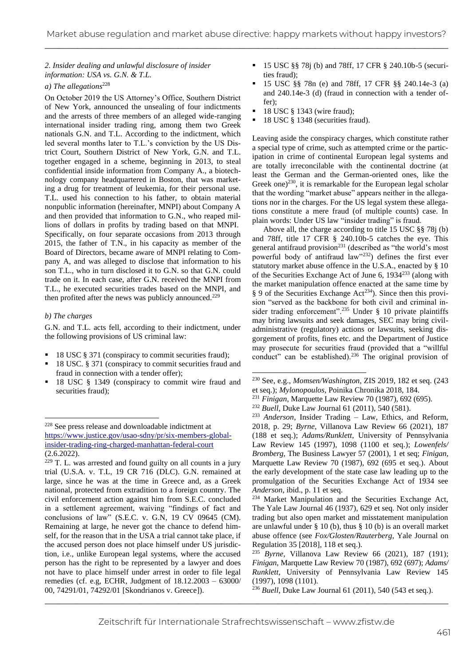# *2. Insider dealing and unlawful disclosure of insider information: USA vs. G.N. & T.L.*

# *a*) The allegations<sup>228</sup>

On October 2019 the US Attorney's Office, Southern District of New York, announced the unsealing of four indictments and the arrests of three members of an alleged wide-ranging international insider trading ring, among them two Greek nationals G.N. and T.L. According to the indictment, which led several months later to T.L.'s conviction by the US District Court, Southern District of New York, G.N. and T.L. together engaged in a scheme, beginning in 2013, to steal confidential inside information from Company A., a biotechnology company headquartered in Boston, that was marketing a drug for treatment of leukemia, for their personal use. T.L. used his connection to his father, to obtain material nonpublic information (hereinafter, MNPI) about Company A and then provided that information to G.N., who reaped millions of dollars in profits by trading based on that MNPI. Specifically, on four separate occasions from 2013 through 2015, the father of T.N., in his capacity as member of the Board of Directors, became aware of MNPI relating to Company A, and was alleged to disclose that information to his son T.L., who in turn disclosed it to G.N. so that G.N. could trade on it. In each case, after G.N. received the MNPI from T.L., he executed securities trades based on the MNPI, and then profited after the news was publicly announced.<sup>229</sup>

## *b) The charges*

G.N. and T.L. acts fell, according to their indictment, under the following provisions of US criminal law:

- 18 USC § 371 (conspiracy to commit securities fraud);
- 18 USC. § 371 (conspiracy to commit securities fraud and fraud in connection with a tender offer);
- 18 USC § 1349 (conspiracy to commit wire fraud and securities fraud);
- 15 USC §§ 78*j* (b) and 78ff, 17 CFR § 240.10b-5 (securities fraud);
- 15 USC §§ 78n (e) and 78ff, 17 CFR §§ 240.14e-3 (a) and 240.14e-3 (d) (fraud in connection with a tender offer);
- 18 USC § 1343 (wire fraud);
- 18 USC § 1348 (securities fraud).

Leaving aside the conspiracy charges, which constitute rather a special type of crime, such as attempted crime or the participation in crime of continental European legal systems and are totally irreconcilable with the continental doctrine (at least the German and the German-oriented ones, like the Greek one)<sup>230</sup>, it is remarkable for the European legal scholar that the wording "market abuse" appears neither in the allegations nor in the charges. For the US legal system these allegations constitute a mere fraud (of multiple counts) case. In plain words: Under US law "insider trading" is fraud.

Above all, the charge according to title 15 USC §§ 78j (b) and 78ff, title 17 CFR § 240.10b-5 catches the eye. This general antifraud provision<sup>231</sup> (described as "the world's most powerful body of antifraud  $law$ <sup>232</sup>) defines the first ever statutory market abuse offence in the U.S.A., enacted by § 10 of the Securities Exchange Act of June 6, 1934<sup>233</sup> (along with the market manipulation offence enacted at the same time by § 9 of the Securities Exchange Act<sup>234</sup>). Since then this provision "served as the backbone for both civil and criminal insider trading enforcement".<sup>235</sup> Under § 10 private plaintiffs may bring lawsuits and seek damages, SEC may bring civiladministrative (regulatory) actions or lawsuits, seeking disgorgement of profits, fines etc. and the Department of Justice may prosecute for securities fraud (provided that a "willful conduct" can be established).<sup>236</sup> The original provision of

<sup>233</sup> *Anderson*, Insider Trading – Law, Ethics, and Reform, 2018, p. 29; *Byrne*, Villanova Law Review 66 (2021), 187 (188 et seq.); *Adams/Runklett*, University of Pennsylvania Law Review 145 (1997), 1098 (1100 et seq.); *Lowenfels/ Bromberg*, The Business Lawyer 57 (2001), 1 et seq; *Finigan*, Marquette Law Review 70 (1987), 692 (695 et seq.). About the early development of the state case law leading up to the promulgation of the Securities Exchange Act of 1934 see *Anderson*, ibid., p. 11 et seq.

<sup>234</sup> Market Manipulation and the Securities Exchange Act, The Yale Law Journal 46 (1937), 629 et seq. Not only insider trading but also open market and misstatement manipulation are unlawful under § 10 (b), thus § 10 (b) is an overall market abuse offence (see *Fox/Glosten/Rauterberg*, Yale Journal on Regulation 35 [2018], 118 et seq.).

<sup>228</sup> See press release and downloadable indictment at [https://www.justice.gov/usao-sdny/pr/six-members-global](https://www.justice.gov/usao-sdny/pr/six-members-global-insider-trading-ring-charged-manhattan-federal-court)[insider-trading-ring-charged-manhattan-federal-court](https://www.justice.gov/usao-sdny/pr/six-members-global-insider-trading-ring-charged-manhattan-federal-court) (2.6.2022).

<sup>229</sup> T. L. was arrested and found guilty on all counts in a jury trial (U.S.A. v. T.L, 19 CR 716 (DLC). G.N. remained at large, since he was at the time in Greece and, as a Greek national, protected from extradition to a foreign country. The civil enforcement action against him from S.E.C. concluded in a settlement agreement, waiving "findings of fact and conclusions of law" (S.E.C. v. G.N, 19 CV 09645 (CM). Remaining at large, he never got the chance to defend himself, for the reason that in the USA a trial cannot take place, if the accused person does not place himself under US jurisdiction, i.e., unlike European legal systems, where the accused person has the right to be represented by a lawyer and does not have to place himself under arrest in order to file legal remedies (cf. e.g, ECHR, Judgment of 18.12.2003 – 63000/ 00, 74291/01, 74292/01 [Skondrianos v. Greece]).

<sup>230</sup> See, e.g., *Momsen/Washington*, ZIS 2019, 182 et seq. (243 et seq.); *Mylonopoulos*, Poinika Chronika 2018, 184.

<sup>231</sup> *Finigan*, Marquette Law Review 70 (1987), 692 (695).

<sup>232</sup> *Buell*, Duke Law Journal 61 (2011), 540 (581).

<sup>235</sup> *Byrne*, Villanova Law Review 66 (2021), 187 (191); *Finigan*, Marquette Law Review 70 (1987), 692 (697); *Adams/ Runklett*, University of Pennsylvania Law Review 145 (1997), 1098 (1101).

\_\_\_\_\_\_\_\_\_\_\_\_\_\_\_\_\_\_\_\_\_\_\_\_\_\_\_\_\_\_\_\_\_\_\_\_\_\_\_\_\_\_\_\_\_\_\_\_\_\_\_\_\_\_\_\_\_\_\_\_\_\_\_\_\_\_\_\_\_\_\_\_\_\_\_\_\_\_\_\_\_\_\_\_\_ <sup>236</sup> *Buell*, Duke Law Journal 61 (2011), 540 (543 et seq.).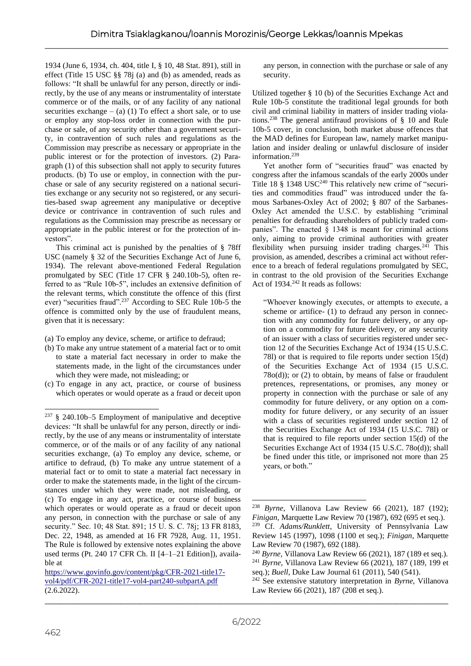1934 (June 6, 1934, ch. 404, title I, § 10, 48 Stat. 891), still in effect (Title 15 USC §§ 78j (a) and (b) as amended, reads as follows: "It shall be unlawful for any person, directly or indirectly, by the use of any means or instrumentality of interstate commerce or of the mails, or of any facility of any national securities exchange  $-$  (a) (1) To effect a short sale, or to use or employ any stop-loss order in connection with the purchase or sale, of any security other than a government security, in contravention of such rules and regulations as the Commission may prescribe as necessary or appropriate in the public interest or for the protection of investors. (2) Paragraph (1) of this subsection shall not apply to security futures products. (b) To use or employ, in connection with the purchase or sale of any security registered on a national securities exchange or any security not so registered, or any securities-based swap agreement any manipulative or deceptive device or contrivance in contravention of such rules and regulations as the Commission may prescribe as necessary or appropriate in the public interest or for the protection of investors".

This criminal act is punished by the penalties of § 78ff USC (namely § 32 of the Securities Exchange Act of June 6, 1934). The relevant above-mentioned Federal Regulation promulgated by SEC (Title 17 CFR § 240.10b-5), often referred to as "Rule 10b-5", includes an extensive definition of the relevant terms, which constitute the offence of this (first ever) "securities fraud".<sup>237</sup> According to SEC Rule 10b-5 the offence is committed only by the use of fraudulent means, given that it is necessary:

(a) To employ any device, scheme, or artifice to defraud;

- (b) To make any untrue statement of a material fact or to omit to state a material fact necessary in order to make the statements made, in the light of the circumstances under which they were made, not misleading; or
- (c) To engage in any act, practice, or course of business which operates or would operate as a fraud or deceit upon

any person, in connection with the purchase or sale of any security.

Utilized together § 10 (b) of the Securities Exchange Act and Rule 10b-5 constitute the traditional legal grounds for both civil and criminal liability in matters of insider trading violations.<sup>238</sup> The general antifraud provisions of § 10 and Rule 10b-5 cover, in conclusion, both market abuse offences that the MAD defines for European law, namely market manipulation and insider dealing or unlawful disclosure of insider information.<sup>239</sup>

Yet another form of "securities fraud" was enacted by congress after the infamous scandals of the early 2000s under Title 18 § 1348 USC<sup>240</sup> This relatively new crime of "securities and commodities fraud" was introduced under the famous Sarbanes-Oxley Act of 2002; § 807 of the Sarbanes-Oxley Act amended the U.S.C. by establishing "criminal penalties for defrauding shareholders of publicly traded companies". The enacted § 1348 is meant for criminal actions only, aiming to provide criminal authorities with greater flexibility when pursuing insider trading charges.<sup>241</sup> This provision, as amended, describes a criminal act without reference to a breach of federal regulations promulgated by SEC, in contrast to the old provision of the Securities Exchange Act of  $1934.<sup>242</sup>$  It reads as follows:

"Whoever knowingly executes, or attempts to execute, a scheme or artifice- (1) to defraud any person in connection with any commodity for future delivery, or any option on a commodity for future delivery, or any security of an issuer with a class of securities registered under section 12 of the Securities Exchange Act of 1934 (15 U.S.C. 78l) or that is required to file reports under section 15(d) of the Securities Exchange Act of 1934 (15 U.S.C. 78o(d)); or (2) to obtain, by means of false or fraudulent pretences, representations, or promises, any money or property in connection with the purchase or sale of any commodity for future delivery, or any option on a commodity for future delivery, or any security of an issuer with a class of securities registered under section 12 of the Securities Exchange Act of 1934 (15 U.S.C. 78l) or that is required to file reports under section 15(d) of the Securities Exchange Act of 1934 (15 U.S.C. 78o(d)); shall be fined under this title, or imprisoned not more than 25 years, or both."

 $237 \text{ }$  \$ 240.10b–5 Employment of manipulative and deceptive devices: "It shall be unlawful for any person, directly or indirectly, by the use of any means or instrumentality of interstate commerce, or of the mails or of any facility of any national securities exchange, (a) To employ any device, scheme, or artifice to defraud, (b) To make any untrue statement of a material fact or to omit to state a material fact necessary in order to make the statements made, in the light of the circumstances under which they were made, not misleading, or (c) To engage in any act, practice, or course of business which operates or would operate as a fraud or deceit upon any person, in connection with the purchase or sale of any security." Sec. 10; 48 Stat. 891; 15 U. S. C. 78j; 13 FR 8183, Dec. 22, 1948, as amended at 16 FR 7928, Aug. 11, 1951. The Rule is followed by extensive notes explaining the above used terms (Pt. 240 17 CFR Ch. II [4–1–21 Edition]), available at

\_\_\_\_\_\_\_\_\_\_\_\_\_\_\_\_\_\_\_\_\_\_\_\_\_\_\_\_\_\_\_\_\_\_\_\_\_\_\_\_\_\_\_\_\_\_\_\_\_\_\_\_\_\_\_\_\_\_\_\_\_\_\_\_\_\_\_\_\_\_\_\_\_\_\_\_\_\_\_\_\_\_\_\_\_ [https://www.govinfo.gov/content/pkg/CFR-2021-title17](https://www.govinfo.gov/content/pkg/CFR-2021-title17-vol4/pdf/CFR-2021-title17-vol4-part240-subpartA.pdf) [vol4/pdf/CFR-2021-title17-vol4-part240-subpartA.pdf](https://www.govinfo.gov/content/pkg/CFR-2021-title17-vol4/pdf/CFR-2021-title17-vol4-part240-subpartA.pdf) (2.6.2022).

<sup>238</sup> *Byrne*, Villanova Law Review 66 (2021), 187 (192); *Finigan*, Marquette Law Review 70 (1987), 692 (695 et seq.). <sup>239</sup> Cf. *Adams/Runklett*, University of Pennsylvania Law

Review 145 (1997), 1098 (1100 et seq.); *Finigan*, Marquette Law Review 70 (1987), 692 (188).

<sup>240</sup> *Byrne*, Villanova Law Review 66 (2021), 187 (189 et seq.). <sup>241</sup> *Byrne*, Villanova Law Review 66 (2021), 187 (189, 199 et seq.); *Buell*, Duke Law Journal 61 (2011), 540 (541).

<sup>242</sup> See extensive statutory interpretation in *Byrne*, Villanova Law Review 66 (2021), 187 (208 et seq.).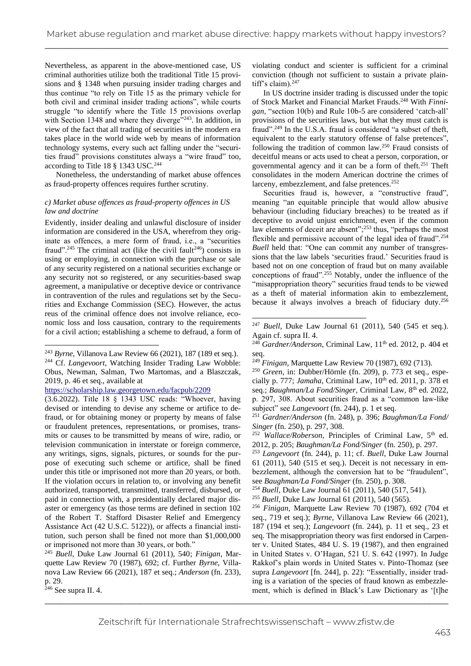Nevertheless, as apparent in the above-mentioned case, US criminal authorities utilize both the traditional Title 15 provisions and § 1348 when pursuing insider trading charges and thus continue "to rely on Title 15 as the primary vehicle for both civil and criminal insider trading actions", while courts struggle "to identify where the Title 15 provisions overlap with Section 1348 and where they diverge"<sup>243</sup>. In addition, in view of the fact that all trading of securities in the modern era takes place in the world wide web by means of information technology systems, every such act falling under the "securities fraud" provisions constitutes always a "wire fraud" too, according to Title 18 § 1343 USC.<sup>244</sup>

Nonetheless, the understanding of market abuse offences as fraud-property offences requires further scrutiny.

## *c) Market abuse offences as fraud-property offences in US law and doctrine*

Evidently, insider dealing and unlawful disclosure of insider information are considered in the USA, wherefrom they originate as offences, a mere form of fraud, i.e., a "securities fraud".<sup>245</sup> The criminal act (like the civil fault<sup>246</sup>) consists in using or employing, in connection with the purchase or sale of any security registered on a national securities exchange or any security not so registered, or any securities-based swap agreement, a manipulative or deceptive device or contrivance in contravention of the rules and regulations set by the Securities and Exchange Commission (SEC). However, the actus reus of the criminal offence does not involve reliance, economic loss and loss causation, contrary to the requirements for a civil action; establishing a scheme to defraud, a form of

<sup>245</sup> *Buell*, Duke Law Journal 61 (2011), 540; *Finigan*, Marquette Law Review 70 (1987), 692; cf. Further *Byrne*, Villanova Law Review 66 (2021), 187 et seq.; *Anderson* (fn. 233), p. 29.

violating conduct and scienter is sufficient for a criminal conviction (though not sufficient to sustain a private plaintiff's claim).<sup>247</sup>

In US doctrine insider trading is discussed under the topic of Stock Market and Financial Market Frauds.<sup>248</sup> With *Finnigan*, "section 10(b) and Rule 10b-5 are considered 'catch-all' provisions of the securities laws, but what they must catch is fraud".<sup>249</sup> In the U.S.A. fraud is considered "a subset of theft, equivalent to the early statutory offense of false pretences", following the tradition of common law.<sup>250</sup> Fraud consists of deceitful means or acts used to cheat a person, corporation, or governmental agency and it can be a form of theft.<sup>251</sup> Theft consolidates in the modern American doctrine the crimes of larceny, embezzlement, and false pretences.<sup>252</sup>

Securities fraud is, however, a "constructive fraud", meaning "an equitable principle that would allow abusive behaviour (including fiduciary breaches) to be treated as if deceptive to avoid unjust enrichment, even if the common law elements of deceit are absent";<sup>253</sup> thus, "perhaps the most flexible and permissive account of the legal idea of fraud".<sup>254</sup> *Buell* held that: "One can commit any number of transgressions that the law labels 'securities fraud.' Securities fraud is based not on one conception of fraud but on many available conceptions of fraud".<sup>255</sup> Notably, under the influence of the "misappropriation theory" securities fraud tends to be viewed as a theft of material information akin to embezzlement, because it always involves a breach of fiduciary duty.<sup>256</sup>

<sup>250</sup> *Green*, in: Dubber/Hörnle (fn. 209), p. 773 et seq., especially p. 777; *Jamaha*, Criminal Law,  $10^{th}$  ed. 2011, p. 378 et seq.; *Baughman/La Fond/Singer*, Criminal Law, 8<sup>th</sup> ed. 2022, p. 297, 308. About securities fraud as a "common law-like subject" see *Langevoort* (fn. 244), p. 1 et seq.

<sup>251</sup> *Gardner/Anderson* (fn. 248), p. 396; *Baughman/La Fond/ Singer* (fn. 250), p. 297, 308.

<sup>252</sup> *Wallace/Roberson*, Principles of Criminal Law, 5<sup>th</sup> ed. 2012, p. 205; *Baughman/La Fond/Singer* (fn. 250), p. 297.

<sup>253</sup> *Langevoort* (fn. 244), p. 11; cf. *Buell*, Duke Law Journal 61 (2011), 540 (515 et seq.). Deceit is not necessary in embezzlement, although the conversion hat to be "fraudulent", see *Baughman/La Fond/Singer* (fn. 250), p. 308.

<sup>254</sup> *Buell*, Duke Law Journal 61 (2011), 540 (517, 541).

<sup>255</sup> *Buell*, Duke Law Journal 61 (2011), 540 (565).

\_\_\_\_\_\_\_\_\_\_\_\_\_\_\_\_\_\_\_\_\_\_\_\_\_\_\_\_\_\_\_\_\_\_\_\_\_\_\_\_\_\_\_\_\_\_\_\_\_\_\_\_\_\_\_\_\_\_\_\_\_\_\_\_\_\_\_\_\_\_\_\_\_\_\_\_\_\_\_\_\_\_\_\_\_ <sup>256</sup> *Finigan*, Marquette Law Review 70 (1987), 692 (704 et seq., 719 et seq.); *Byrne*, Villanova Law Review 66 (2021), 187 (194 et seq.); *Langevoort* (fn. 244), p. 11 et seq., 23 et seq. The misappropriation theory was first endorsed in Carpenter v. United States, 484 U. S. 19 (1987), and then engrained in United States v. O'Hagan, 521 U. S. 642 (1997). In Judge Rakkof's plain words in United States v. Pinto-Thomaz (see supra *Langevoort* [fn. 244], p. 22): "Essentially, insider trading is a variation of the species of fraud known as embezzlement, which is defined in Black's Law Dictionary as '[t]he

<sup>243</sup> *Byrne*, Villanova Law Review 66 (2021), 187 (189 et seq.). <sup>244</sup> Cf. *Langevoort*, Watching Insider Trading Law Wobble: Obus, Newman, Salman, Two Martomas, and a Blaszczak, 2019, p. 46 et seq., available at

<https://scholarship.law.georgetown.edu/facpub/2209>

<sup>(3.6.2022).</sup> Title 18 § 1343 USC reads: "Whoever, having devised or intending to devise any scheme or artifice to defraud, or for obtaining money or property by means of false or fraudulent pretences, representations, or promises, transmits or causes to be transmitted by means of wire, radio, or television communication in interstate or foreign commerce, any writings, signs, signals, pictures, or sounds for the purpose of executing such scheme or artifice, shall be fined under this title or imprisoned not more than 20 years, or both. If the violation occurs in relation to, or involving any benefit authorized, transported, transmitted, transferred, disbursed, or paid in connection with, a presidentially declared major disaster or emergency (as those terms are defined in section 102 of the Robert T. Stafford Disaster Relief and Emergency Assistance Act (42 U.S.C. 5122)), or affects a financial institution, such person shall be fined not more than \$1,000,000 or imprisoned not more than 30 years, or both."

 $2^{246}$  See supra II. 4.

<sup>247</sup> *Buell*, Duke Law Journal 61 (2011), 540 (545 et seq.). Again cf. supra II. 4.

<sup>&</sup>lt;sup>248</sup> *Gardner*/Anderson, Criminal Law, 11<sup>th</sup> ed. 2012, p. 404 et seq.

<sup>249</sup> *Finigan*, Marquette Law Review 70 (1987), 692 (713).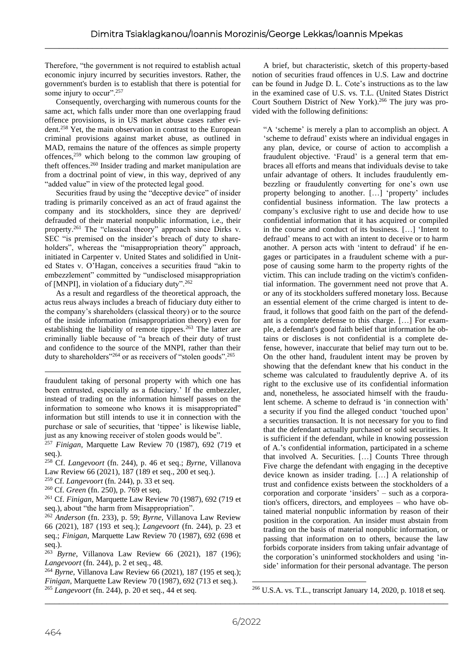Therefore, "the government is not required to establish actual economic injury incurred by securities investors. Rather, the government's burden is to establish that there is potential for some injury to occur".<sup>257</sup>

Consequently, overcharging with numerous counts for the same act, which falls under more than one overlapping fraud offence provisions, is in US market abuse cases rather evident.<sup>258</sup> Yet, the main observation in contrast to the European criminal provisions against market abuse, as outlined in MAD, remains the nature of the offences as simple property offences,<sup>259</sup> which belong to the common law grouping of theft offences.<sup>260</sup> Insider trading and market manipulation are from a doctrinal point of view, in this way, deprived of any "added value" in view of the protected legal good.

Securities fraud by using the "deceptive device" of insider trading is primarily conceived as an act of fraud against the company and its stockholders, since they are deprived/ defrauded of their material nonpublic information, i.e., their property.<sup>261</sup> The "classical theory" approach since Dirks v. SEC "is premised on the insider's breach of duty to shareholders", whereas the "misappropriation theory" approach, initiated in Carpenter v. United States and solidified in United States v. O'Hagan, conceives a securities fraud "akin to embezzlement" committed by "undisclosed misappropriation of [MNPI], in violation of a fiduciary duty".  $262$ 

As a result and regardless of the theoretical approach, the actus reus always includes a breach of fiduciary duty either to the company's shareholders (classical theory) or to the source of the inside information (misappropriation theory) even for establishing the liability of remote tippees.<sup>263</sup> The latter are criminally liable because of "a breach of their duty of trust and confidence to the source of the MNPI, rather than their duty to shareholders"<sup>264</sup> or as receivers of "stolen goods".<sup>265</sup>

fraudulent taking of personal property with which one has been entrusted, especially as a fiduciary.' If the embezzler, instead of trading on the information himself passes on the information to someone who knows it is misappropriated" information but still intends to use it in connection with the purchase or sale of securities, that 'tippee' is likewise liable, just as any knowing receiver of stolen goods would be".

<sup>257</sup> *Finigan*, Marquette Law Review 70 (1987), 692 (719 et seq.).

- <sup>258</sup> Cf. *Langevoort* (fn. 244), p. 46 et seq.; *Byrne*, Villanova Law Review 66 (2021), 187 (189 et seq., 200 et seq.).
- <sup>259</sup> Cf. *Langevoort* (fn. 244), p. 33 et seq.
- <sup>260</sup> Cf. *Green* (fn. 250), p. 769 et seq.

<sup>261</sup> Cf. *Finigan*, Marquette Law Review 70 (1987), 692 (719 et seq.), about "the harm from Misappropriation".

<sup>262</sup> *Anderson* (fn. 233), p. 59; *Byrne*, Villanova Law Review 66 (2021), 187 (193 et seq.); *Langevoort* (fn. 244), p. 23 et seq.; *Finigan*, Marquette Law Review 70 (1987), 692 (698 et seq.).

<sup>263</sup> *Byrne*, Villanova Law Review 66 (2021), 187 (196); *Langevoort* (fn. 244), p. 2 et seq., 48.

<sup>264</sup> *Byrne*, Villanova Law Review 66 (2021), 187 (195 et seq.); *Finigan*, Marquette Law Review 70 (1987), 692 (713 et seq.). <sup>265</sup> *Langevoort* (fn. 244), p. 20 et seq., 44 et seq.

A brief, but characteristic, sketch of this property-based notion of securities fraud offences in U.S. Law and doctrine can be found in Judge D. L. Cote's instructions as to the law in the examined case of U.S. vs. T.L. (United States District Court Southern District of New York).<sup>266</sup> The jury was provided with the following definitions:

"A 'scheme' is merely a plan to accomplish an object. A 'scheme to defraud' exists where an individual engages in any plan, device, or course of action to accomplish a fraudulent objective. 'Fraud' is a general term that embraces all efforts and means that individuals devise to take unfair advantage of others. It includes fraudulently embezzling or fraudulently converting for one's own use property belonging to another. […] 'property' includes confidential business information. The law protects a company's exclusive right to use and decide how to use confidential information that it has acquired or compiled in the course and conduct of its business. […] 'Intent to defraud' means to act with an intent to deceive or to harm another. A person acts with 'intent to defraud' if he engages or participates in a fraudulent scheme with a purpose of causing some harm to the property rights of the victim. This can include trading on the victim's confidential information. The government need not prove that A. or any of its stockholders suffered monetary loss. Because an essential element of the crime charged is intent to defraud, it follows that good faith on the part of the defendant is a complete defense to this charge. […] For example, a defendant's good faith belief that information he obtains or discloses is not confidential is a complete defense, however, inaccurate that belief may turn out to be. On the other hand, fraudulent intent may be proven by showing that the defendant knew that his conduct in the scheme was calculated to fraudulently deprive A. of its right to the exclusive use of its confidential information and, nonetheless, he associated himself with the fraudulent scheme. A scheme to defraud is 'in connection with' a security if you find the alleged conduct 'touched upon' a securities transaction. It is not necessary for you to find that the defendant actually purchased or sold securities. It is sufficient if the defendant, while in knowing possession of A.'s confidential information, participated in a scheme that involved A. Securities. […] Counts Three through Five charge the defendant with engaging in the deceptive device known as insider trading. […] A relationship of trust and confidence exists between the stockholders of a corporation and corporate 'insiders' – such as a corporation's officers, directors, and employees – who have obtained material nonpublic information by reason of their position in the corporation. An insider must abstain from trading on the basis of material nonpublic information, or passing that information on to others, because the law forbids corporate insiders from taking unfair advantage of the corporation's uninformed stockholders and using 'inside' information for their personal advantage. The person

<sup>266</sup> U.S.A. vs. T.L., transcript January 14, 2020, p. 1018 et seq.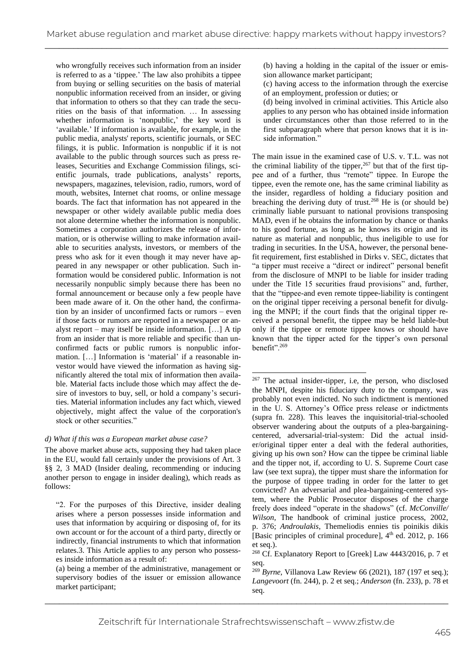who wrongfully receives such information from an insider is referred to as a 'tippee.' The law also prohibits a tippee from buying or selling securities on the basis of material nonpublic information received from an insider, or giving that information to others so that they can trade the securities on the basis of that information. … In assessing whether information is 'nonpublic,' the key word is 'available.' If information is available, for example, in the public media, analysts' reports, scientific journals, or SEC filings, it is public. Information is nonpublic if it is not available to the public through sources such as press releases, Securities and Exchange Commission filings, scientific journals, trade publications, analysts' reports, newspapers, magazines, television, radio, rumors, word of mouth, websites, Internet chat rooms, or online message boards. The fact that information has not appeared in the newspaper or other widely available public media does not alone determine whether the information is nonpublic. Sometimes a corporation authorizes the release of information, or is otherwise willing to make information available to securities analysts, investors, or members of the press who ask for it even though it may never have appeared in any newspaper or other publication. Such information would be considered public. Information is not necessarily nonpublic simply because there has been no formal announcement or because only a few people have been made aware of it. On the other hand, the confirmation by an insider of unconfirmed facts or rumors – even if those facts or rumors are reported in a newspaper or analyst report – may itself be inside information. […] A tip from an insider that is more reliable and specific than unconfirmed facts or public rumors is nonpublic information. […] Information is 'material' if a reasonable investor would have viewed the information as having significantly altered the total mix of information then available. Material facts include those which may affect the desire of investors to buy, sell, or hold a company's securities. Material information includes any fact which, viewed objectively, might affect the value of the corporation's stock or other securities."

## *d) What if this was a European market abuse case?*

The above market abuse acts, supposing they had taken place in the EU, would fall certainly under the provisions of Art. 3 §§ 2, 3 MAD (Insider dealing, recommending or inducing another person to engage in insider dealing), which reads as follows:

(a) being a member of the administrative, management or supervisory bodies of the issuer or emission allowance market participant;

- (b) having a holding in the capital of the issuer or emission allowance market participant;
- (c) having access to the information through the exercise of an employment, profession or duties; or
- (d) being involved in criminal activities. This Article also applies to any person who has obtained inside information under circumstances other than those referred to in the first subparagraph where that person knows that it is inside information."

The main issue in the examined case of U.S. v. T.L. was not the criminal liability of the tipper,  $267$  but that of the first tippee and of a further, thus "remote" tippee. In Europe the tippee, even the remote one, has the same criminal liability as the insider, regardless of holding a fiduciary position and breaching the deriving duty of trust.<sup>268</sup> He is (or should be) criminally liable pursuant to national provisions transposing MAD, even if he obtains the information by chance or thanks to his good fortune, as long as he knows its origin and its nature as material and nonpublic, thus ineligible to use for trading in securities. In the USA, however, the personal benefit requirement, first established in Dirks v. SEC, dictates that "a tipper must receive a "direct or indirect" personal benefit from the disclosure of MNPI to be liable for insider trading under the Title 15 securities fraud provisions" and, further, that the "tippee-and even remote tippee-liability is contingent on the original tipper receiving a personal benefit for divulging the MNPI; if the court finds that the original tipper received a personal benefit, the tippee may be held liable-but only if the tippee or remote tippee knows or should have known that the tipper acted for the tipper's own personal benefit".<sup>269</sup>

<sup>&</sup>quot;2. For the purposes of this Directive, insider dealing arises where a person possesses inside information and uses that information by acquiring or disposing of, for its own account or for the account of a third party, directly or indirectly, financial instruments to which that information relates.3. This Article applies to any person who possesses inside information as a result of:

<sup>&</sup>lt;sup>267</sup> The actual insider-tipper, i.e, the person, who disclosed the MNPI, despite his fiduciary duty to the company, was probably not even indicted. No such indictment is mentioned in the U. S. Attorney's Office press release or indictments (supra fn. 228). This leaves the inquisitorial-trial-schooled observer wandering about the outputs of a plea-bargainingcentered, adversarial-trial-system: Did the actual insider/original tipper enter a deal with the federal authorities, giving up his own son? How can the tippee be criminal liable and the tipper not, if, according to U. S. Supreme Court case law (see text supra), the tipper must share the information for the purpose of tippee trading in order for the latter to get convicted? An adversarial and plea-bargaining-centered system, where the Public Prosecutor disposes of the charge freely does indeed "operate in the shadows" (cf. *McConville/ Wilson*, The handbook of criminal justice process, 2002, p. 376; *Androulakis*, Themeliodis ennies tis poinikis dikis [Basic principles of criminal procedure], 4<sup>th</sup> ed. 2012, p. 166 et seq.).

<sup>&</sup>lt;sup>268</sup> Cf. Explanatory Report to [Greek] Law 4443/2016, p. 7 et seq.

\_\_\_\_\_\_\_\_\_\_\_\_\_\_\_\_\_\_\_\_\_\_\_\_\_\_\_\_\_\_\_\_\_\_\_\_\_\_\_\_\_\_\_\_\_\_\_\_\_\_\_\_\_\_\_\_\_\_\_\_\_\_\_\_\_\_\_\_\_\_\_\_\_\_\_\_\_\_\_\_\_\_\_\_\_ <sup>269</sup> *Byrne*, Villanova Law Review 66 (2021), 187 (197 et seq.); *Langevoort* (fn. 244), p. 2 et seq.; *Anderson* (fn. 233), p. 78 et seq.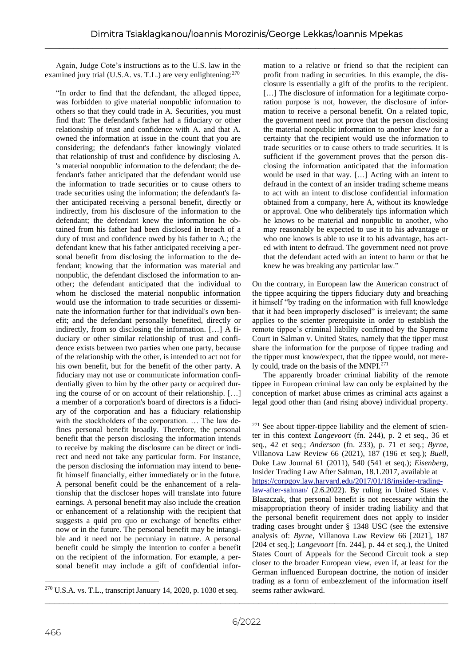Again, Judge Cote's instructions as to the U.S. law in the examined jury trial (U.S.A. vs. T.L.) are very enlightening:<sup>270</sup>

"In order to find that the defendant, the alleged tippee, was forbidden to give material nonpublic information to others so that they could trade in A. Securities, you must find that: The defendant's father had a fiduciary or other relationship of trust and confidence with A. and that A. owned the information at issue in the count that you are considering; the defendant's father knowingly violated that relationship of trust and confidence by disclosing A. 's material nonpublic information to the defendant; the defendant's father anticipated that the defendant would use the information to trade securities or to cause others to trade securities using the information; the defendant's father anticipated receiving a personal benefit, directly or indirectly, from his disclosure of the information to the defendant; the defendant knew the information he obtained from his father had been disclosed in breach of a duty of trust and confidence owed by his father to A.; the defendant knew that his father anticipated receiving a personal benefit from disclosing the information to the defendant; knowing that the information was material and nonpublic, the defendant disclosed the information to another; the defendant anticipated that the individual to whom he disclosed the material nonpublic information would use the information to trade securities or disseminate the information further for that individual's own benefit; and the defendant personally benefited, directly or indirectly, from so disclosing the information. […] A fiduciary or other similar relationship of trust and confidence exists between two parties when one party, because of the relationship with the other, is intended to act not for his own benefit, but for the benefit of the other party. A fiduciary may not use or communicate information confidentially given to him by the other party or acquired during the course of or on account of their relationship. […] a member of a corporation's board of directors is a fiduciary of the corporation and has a fiduciary relationship with the stockholders of the corporation. … The law defines personal benefit broadly. Therefore, the personal benefit that the person disclosing the information intends to receive by making the disclosure can be direct or indirect and need not take any particular form. For instance, the person disclosing the information may intend to benefit himself financially, either immediately or in the future. A personal benefit could be the enhancement of a relationship that the discloser hopes will translate into future earnings. A personal benefit may also include the creation or enhancement of a relationship with the recipient that suggests a quid pro quo or exchange of benefits either now or in the future. The personal benefit may be intangible and it need not be pecuniary in nature. A personal benefit could be simply the intention to confer a benefit on the recipient of the information. For example, a personal benefit may include a gift of confidential infor-

mation to a relative or friend so that the recipient can profit from trading in securities. In this example, the disclosure is essentially a gift of the profits to the recipient. [...] The disclosure of information for a legitimate corporation purpose is not, however, the disclosure of information to receive a personal benefit. On a related topic, the government need not prove that the person disclosing the material nonpublic information to another knew for a certainty that the recipient would use the information to trade securities or to cause others to trade securities. It is sufficient if the government proves that the person disclosing the information anticipated that the information would be used in that way. […] Acting with an intent to defraud in the context of an insider trading scheme means to act with an intent to disclose confidential information obtained from a company, here A, without its knowledge or approval. One who deliberately tips information which he knows to be material and nonpublic to another, who may reasonably be expected to use it to his advantage or who one knows is able to use it to his advantage, has acted with intent to defraud. The government need not prove that the defendant acted with an intent to harm or that he knew he was breaking any particular law."

On the contrary, in European law the American construct of the tippee acquiring the tippers fiduciary duty and breaching it himself "by trading on the information with full knowledge that it had been improperly disclosed" is irrelevant; the same applies to the scienter prerequisite in order to establish the remote tippee's criminal liability confirmed by the Supreme Court in Salman v. United States, namely that the tipper must share the information for the purpose of tippee trading and the tipper must know/expect, that the tippee would, not merely could, trade on the basis of the MNPI.<sup>271</sup>

The apparently broader criminal liability of the remote tippee in European criminal law can only be explained by the conception of market abuse crimes as criminal acts against a legal good other than (and rising above) individual property.

<sup>270</sup> U.S.A. vs. T.L., transcript January 14, 2020, p. 1030 et seq.

<sup>&</sup>lt;sup>271</sup> See about tipper-tippee liability and the element of scienter in this context *Langevoort* (fn. 244), p. 2 et seq., 36 et seq., 42 et seq.; *Anderson* (fn. 233), p. 71 et seq.; *Byrne*, Villanova Law Review 66 (2021), 187 (196 et seq.); *Buell*, Duke Law Journal 61 (2011), 540 (541 et seq.); *Eisenberg*, Insider Trading Law After Salman, 18.1.2017, available at [https://corpgov.law.harvard.edu/2017/01/18/insider-trading](https://corpgov.law.harvard.edu/2017/01/18/insider-trading-law-after-salman/)[law-after-salman/](https://corpgov.law.harvard.edu/2017/01/18/insider-trading-law-after-salman/) (2.6.2022). By ruling in United States v. Blaszczak, that personal benefit is not necessary within the misappropriation theory of insider trading liability and that the personal benefit requirement does not apply to insider trading cases brought under § 1348 USC (see the extensive analysis of: *Byrne*, Villanova Law Review 66 [2021], 187 [204 et seq.]; *Langevoort* [fn. 244], p. 44 et seq.), the United States Court of Appeals for the Second Circuit took a step closer to the broader European view, even if, at least for the German influenced European doctrine, the notion of insider trading as a form of embezzlement of the information itself seems rather awkward.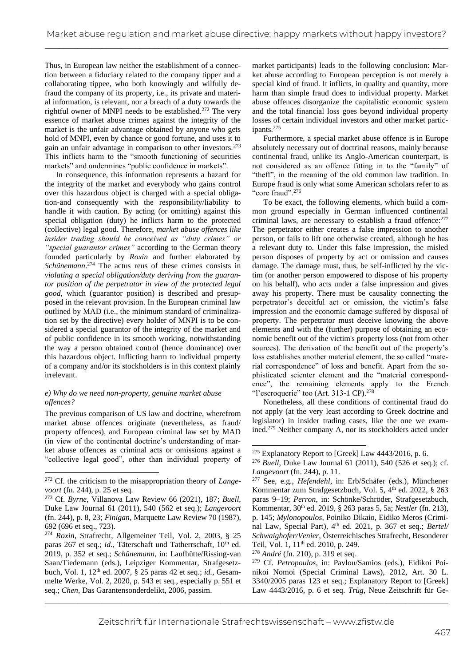Thus, in European law neither the establishment of a connection between a fiduciary related to the company tipper and a collaborating tippee, who both knowingly and wilfully defraud the company of its property, i.e., its private and material information, is relevant, nor a breach of a duty towards the rightful owner of MNPI needs to be established.<sup>272</sup> The very essence of market abuse crimes against the integrity of the market is the unfair advantage obtained by anyone who gets hold of MNPI, even by chance or good fortune, and uses it to gain an unfair advantage in comparison to other investors.<sup>273</sup> This inflicts harm to the "smooth functioning of securities markets" and undermines "public confidence in markets".

In consequence, this information represents a hazard for the integrity of the market and everybody who gains control over this hazardous object is charged with a special obligation-and consequently with the responsibility/liability to handle it with caution. By acting (or omitting) against this special obligation (duty) he inflicts harm to the protected (collective) legal good. Therefore, *market abuse offences like insider trading should be conceived as "duty crimes" or "special guarantor crimes"* according to the German theory founded particularly by *Roxin* and further elaborated by *Schünemann*. <sup>274</sup> The actus reus of these crimes consists in *violating a special obligation/duty deriving from the guarantor position of the perpetrator in view of the protected legal good*, which (guarantor position) is described and presupposed in the relevant provision. In the European criminal law outlined by MAD (i.e., the minimum standard of criminalization set by the directive) every holder of MNPI is to be considered a special guarantor of the integrity of the market and of public confidence in its smooth working, notwithstanding the way a person obtained control (hence dominance) over this hazardous object. Inflicting harm to individual property of a company and/or its stockholders is in this context plainly irrelevant.

## *e) Why do we need non-property, genuine market abuse offences?*

The previous comparison of US law and doctrine, wherefrom market abuse offences originate (nevertheless, as fraud/ property offences), and European criminal law set by MAD (in view of the continental doctrine's understanding of market abuse offences as criminal acts or omissions against a "collective legal good", other than individual property of

market participants) leads to the following conclusion: Market abuse according to European perception is not merely a special kind of fraud. It inflicts, in quality and quantity, more harm than simple fraud does to individual property. Market abuse offences disorganize the capitalistic economic system and the total financial loss goes beyond individual property losses of certain individual investors and other market participants.<sup>275</sup>

Furthermore, a special market abuse offence is in Europe absolutely necessary out of doctrinal reasons, mainly because continental fraud, unlike its Anglo-American counterpart, is not considered as an offence fitting in to the "family" of "theft", in the meaning of the old common law tradition. In Europe fraud is only what some American scholars refer to as "core fraud".<sup>276</sup>

To be exact, the following elements, which build a common ground especially in German influenced continental criminal laws, are necessary to establish a fraud offence: 277 The perpetrator either creates a false impression to another person, or fails to lift one otherwise created, although he has a relevant duty to. Under this false impression, the misled person disposes of property by act or omission and causes damage. The damage must, thus, be self-inflicted by the victim (or another person empowered to dispose of his property on his behalf), who acts under a false impression and gives away his property. There must be causality connecting the perpetrator's deceitful act or omission, the victim's false impression and the economic damage suffered by disposal of property. The perpetrator must deceive knowing the above elements and with the (further) purpose of obtaining an economic benefit out of the victim's property loss (not from other sources). The derivation of the benefit out of the property's loss establishes another material element, the so called "material correspondence" of loss and benefit. Apart from the sophisticated scienter element and the "material correspondence", the remaining elements apply to the French "l'escroquerie" too (Art. 313-1 CP).<sup>278</sup>

Nonetheless, all these conditions of continental fraud do not apply (at the very least according to Greek doctrine and legislator) in insider trading cases, like the one we examined.<sup>279</sup> Neither company A, nor its stockholders acted under

<sup>272</sup> Cf. the criticism to the misappropriation theory of *Langevoort* (fn. 244), p. 25 et seq.

<sup>273</sup> Cf. *Byrne*, Villanova Law Review 66 (2021), 187; *Buell*, Duke Law Journal 61 (2011), 540 (562 et seq.); *Langevoort*  (fn. 244), p. 8, 23; *Finigan*, Marquette Law Review 70 (1987), 692 (696 et seq., 723).

\_\_\_\_\_\_\_\_\_\_\_\_\_\_\_\_\_\_\_\_\_\_\_\_\_\_\_\_\_\_\_\_\_\_\_\_\_\_\_\_\_\_\_\_\_\_\_\_\_\_\_\_\_\_\_\_\_\_\_\_\_\_\_\_\_\_\_\_\_\_\_\_\_\_\_\_\_\_\_\_\_\_\_\_\_ <sup>274</sup> *Roxin*, Strafrecht, Allgemeiner Teil, Vol. 2, 2003, § 25 paras 267 et seq.; *id.*, Täterschaft und Tatherrschaft, 10<sup>th</sup> ed. 2019, p. 352 et seq.; *Schünemann*, in: Laufhütte/Rissing-van Saan/Tiedemann (eds.), Leipziger Kommentar, Strafgesetzbuch, Vol. 1, 12<sup>th</sup> ed. 2007, § 25 paras 42 et seq.; *id.*, Gesammelte Werke, Vol. 2, 2020, p. 543 et seq., especially p. 551 et seq.; *Chen*, Das Garantensonderdelikt, 2006, passim.

<sup>275</sup> Explanatory Report to [Greek] Law 4443/2016, p. 6.

<sup>276</sup> *Buell*, Duke Law Journal 61 (2011), 540 (526 et seq.); cf. *Langevoort* (fn. 244), p. 11.

<sup>277</sup> See, e.g., *Hefendehl*, in: Erb/Schäfer (eds.), Münchener Kommentar zum Strafgesetzbuch, Vol. 5, 4<sup>th</sup> ed. 2022, § 263 paras 9–19; *Perron*, in: Schönke/Schröder, Strafgesetzbuch, Kommentar, 30th ed. 2019, § 263 paras 5, 5a; *Nestler* (fn. 213), p. 145; *Mylonopoulos*, Poiniko Dikaio, Eidiko Meros (Criminal Law, Special Part), 4<sup>th</sup> ed. 2021, p. 367 et seq.; *Bertel Schwaighofer/Venier*, Österreichisches Strafrecht, Besonderer Teil, Vol. 1, 11<sup>th</sup> ed. 2010, p. 249.

<sup>278</sup> *André* (fn. 210), p. 319 et seq.

<sup>279</sup> Cf. *Petropoulos*, in: Pavlou/Samios (eds.), Eidikoi Poinikoi Nomoi (Special Criminal Laws), 2012, Art. 30 L. 3340/2005 paras 123 et seq.; Explanatory Report to [Greek] Law 4443/2016, p. 6 et seq. *Trüg*, Neue Zeitschrift für Ge-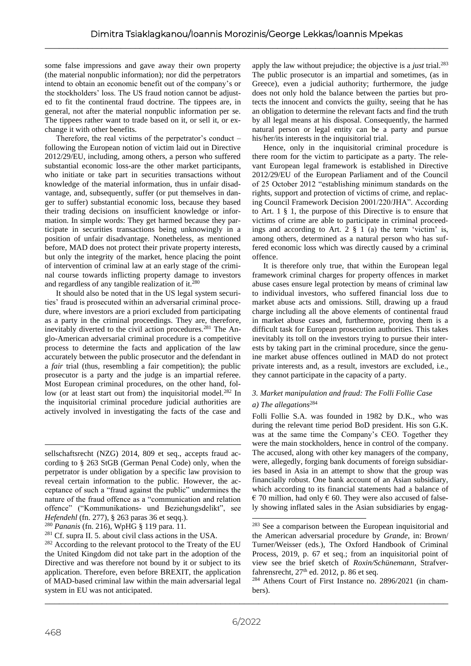some false impressions and gave away their own property (the material nonpublic information); nor did the perpetrators intend to obtain an economic benefit out of the company's or the stockholders' loss. The US fraud notion cannot be adjusted to fit the continental fraud doctrine. The tippees are, in general, not after the material nonpublic information per se. The tippees rather want to trade based on it, or sell it, or exchange it with other benefits.

Therefore, the real victims of the perpetrator's conduct – following the European notion of victim laid out in Directive 2012/29/EU, including, among others, a person who suffered substantial economic loss-are the other market participants, who initiate or take part in securities transactions without knowledge of the material information, thus in unfair disadvantage, and, subsequently, suffer (or put themselves in danger to suffer) substantial economic loss, because they based their trading decisions on insufficient knowledge or information. In simple words: They get harmed because they participate in securities transactions being unknowingly in a position of unfair disadvantage. Nonetheless, as mentioned before, MAD does not protect their private property interests, but only the integrity of the market, hence placing the point of intervention of criminal law at an early stage of the criminal course towards inflicting property damage to investors and regardless of any tangible realization of it. $^{280}$ 

It should also be noted that in the US legal system securities' fraud is prosecuted within an adversarial criminal procedure, where investors are a priori excluded from participating as a party in the criminal proceedings. They are, therefore, inevitably diverted to the civil action procedures.<sup>281</sup> The Anglo-American adversarial criminal procedure is a competitive process to determine the facts and application of the law accurately between the public prosecutor and the defendant in a *fair* trial (thus, resembling a fair competition); the public prosecutor is a party and the judge is an impartial referee. Most European criminal procedures, on the other hand, follow (or at least start out from) the inquisitorial model.<sup>282</sup> In the inquisitorial criminal procedure judicial authorities are actively involved in investigating the facts of the case and

<sup>280</sup> *Pananis* (fn. 216), WpHG § 119 para. 11.

<sup>281</sup> Cf. supra II. 5. about civil class actions in the USA.

apply the law without prejudice; the objective is a *just* trial.<sup>283</sup> The public prosecutor is an impartial and sometimes, (as in Greece), even a judicial authority; furthermore, the judge does not only hold the balance between the parties but protects the innocent and convicts the guilty, seeing that he has an obligation to determine the relevant facts and find the truth by all legal means at his disposal. Consequently, the harmed natural person or legal entity can be a party and pursue his/her/its interests in the inquisitorial trial.

Hence, only in the inquisitorial criminal procedure is there room for the victim to participate as a party. The relevant European legal framework is established in Directive 2012/29/EU of the European Parliament and of the Council of 25 October 2012 "establishing minimum standards on the rights, support and protection of victims of crime, and replacing Council Framework Decision 2001/220/JHA". According to Art. 1 § 1, the purpose of this Directive is to ensure that victims of crime are able to participate in criminal proceedings and according to Art. 2  $\S$  1 (a) the term 'victim' is, among others, determined as a natural person who has suffered economic loss which was directly caused by a criminal offence.

It is therefore only true, that within the European legal framework criminal charges for property offences in market abuse cases ensure legal protection by means of criminal law to individual investors, who suffered financial loss due to market abuse acts and omissions. Still, drawing up a fraud charge including all the above elements of continental fraud in market abuse cases and, furthermore, proving them is a difficult task for European prosecution authorities. This takes inevitably its toll on the investors trying to pursue their interests by taking part in the criminal procedure, since the genuine market abuse offences outlined in MAD do not protect private interests and, as a result, investors are excluded, i.e., they cannot participate in the capacity of a party.

# *3. Market manipulation and fraud: The Folli Follie Case*

# *a) The allegations*<sup>284</sup>

Folli Follie S.A. was founded in 1982 by D.K., who was during the relevant time period BoD president. His son G.K. was at the same time the Company's CEO. Together they were the main stockholders, hence in control of the company. The accused, along with other key managers of the company, were, allegedly, forging bank documents of foreign subsidiaries based in Asia in an attempt to show that the group was financially robust. One bank account of an Asian subsidiary, which according to its financial statements had a balance of  $\epsilon$  70 million, had only  $\epsilon$  60. They were also accused of falsely showing inflated sales in the Asian subsidiaries by engag-

sellschaftsrecht (NZG) 2014, 809 et seq., accepts fraud according to § 263 StGB (German Penal Code) only, when the perpetrator is under obligation by a specific law provision to reveal certain information to the public. However, the acceptance of such a "fraud against the public" undermines the nature of the fraud offence as a "communication and relation offence" ("Kommunikations- und Beziehungsdelikt", see *Hefendehl* (fn. 277), § 263 paras 36 et seqq.).

<sup>&</sup>lt;sup>282</sup> According to the relevant protocol to the Treaty of the EU the United Kingdom did not take part in the adoption of the Directive and was therefore not bound by it or subject to its application. Therefore, even before BREXIT, the application of MAD-based criminal law within the main adversarial legal system in EU was not anticipated.

 $283$  See a comparison between the European inquisitorial and the American adversarial procedure by *Grande*, in: Brown/ Turner/Weisser (eds.), The Oxford Handbook of Criminal Process, 2019, p. 67 et seq.; from an inquisitorial point of view see the brief sketch of *Roxin/Schünemann*, Strafverfahrensrecht,  $27<sup>th</sup>$  ed. 2012, p. 86 et seq.

<sup>284</sup> Athens Court of First Instance no. 2896/2021 (in chambers).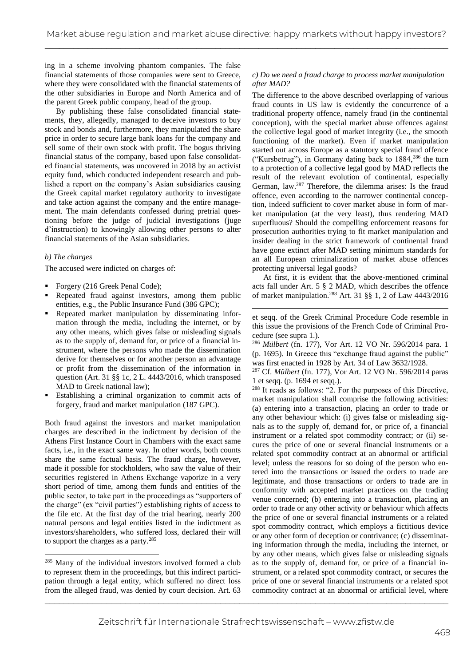ing in a scheme involving phantom companies. The false financial statements of those companies were sent to Greece, where they were consolidated with the financial statements of the other subsidiaries in Europe and North America and of the parent Greek public company, head of the group.

By publishing these false consolidated financial statements, they, allegedly, managed to deceive investors to buy stock and bonds and, furthermore, they manipulated the share price in order to secure large bank loans for the company and sell some of their own stock with profit. The bogus thriving financial status of the company, based upon false consolidated financial statements, was uncovered in 2018 by an activist equity fund, which conducted independent research and published a report on the company's Asian subsidiaries causing the Greek capital market regulatory authority to investigate and take action against the company and the entire management. The main defendants confessed during pretrial questioning before the judge of judicial investigations (juge d'instruction) to knowingly allowing other persons to alter financial statements of the Asian subsidiaries.

#### *b) The charges*

The accused were indicted on charges of:

- Forgery (216 Greek Penal Code);
- Repeated fraud against investors, among them public entities, e.g., the Public Insurance Fund (386 GPC);
- Repeated market manipulation by disseminating information through the media, including the internet, or by any other means, which gives false or misleading signals as to the supply of, demand for, or price of a financial instrument, where the persons who made the dissemination derive for themselves or for another person an advantage or profit from the dissemination of the information in question (Art. 31 §§ 1c, 2 L. 4443/2016, which transposed MAD to Greek national law);
- Establishing a criminal organization to commit acts of forgery, fraud and market manipulation (187 GPC).

Both fraud against the investors and market manipulation charges are described in the indictment by decision of the Athens First Instance Court in Chambers with the exact same facts, i.e., in the exact same way. In other words, both counts share the same factual basis. The fraud charge, however, made it possible for stockholders, who saw the value of their securities registered in Athens Exchange vaporize in a very short period of time, among them funds and entities of the public sector, to take part in the proceedings as "supporters of the charge" (ex "civil parties") establishing rights of access to the file etc. At the first day of the trial hearing, nearly 200 natural persons and legal entities listed in the indictment as investors/shareholders, who suffered loss, declared their will to support the charges as a party.<sup>285</sup>

<sup>285</sup> Many of the individual investors involved formed a club to represent them in the proceedings, but this indirect participation through a legal entity, which suffered no direct loss from the alleged fraud, was denied by court decision. Art. 63

### *c) Do we need a fraud charge to process market manipulation after MAD?*

The difference to the above described overlapping of various fraud counts in US law is evidently the concurrence of a traditional property offence, namely fraud (in the continental conception), with the special market abuse offences against the collective legal good of market integrity (i.e., the smooth functioning of the market). Even if market manipulation started out across Europe as a statutory special fraud offence ("Kursbetrug"), in Germany dating back to 1884,<sup>286</sup> the turn to a protection of a collective legal good by MAD reflects the result of the relevant evolution of continental, especially German, law.<sup>287</sup> Therefore, the dilemma arises: Is the fraud offence, even according to the narrower continental conception, indeed sufficient to cover market abuse in form of market manipulation (at the very least), thus rendering MAD superfluous? Should the compelling enforcement reasons for prosecution authorities trying to fit market manipulation and insider dealing in the strict framework of continental fraud have gone extinct after MAD setting minimum standards for an all European criminalization of market abuse offences protecting universal legal goods?

At first, it is evident that the above-mentioned criminal acts fall under Art. 5 § 2 MAD, which describes the offence of market manipulation.<sup>288</sup> Art. 31 §§ 1, 2 of Law 4443/2016

et seqq. of the Greek Criminal Procedure Code resemble in this issue the provisions of the French Code of Criminal Procedure (see supra 1.).

<sup>286</sup> *Mülbert* (fn. 177), Vor Art. 12 VO Nr. 596/2014 para. 1 (p. 1695). In Greece this "exchange fraud against the public" was first enacted in 1928 by Art. 34 of Law 3632/1928.

<sup>287</sup> Cf. *Mülbert* (fn. 177), Vor Art. 12 VO Nr. 596/2014 paras 1 et seqq. (p. 1694 et seqq.).

\_\_\_\_\_\_\_\_\_\_\_\_\_\_\_\_\_\_\_\_\_\_\_\_\_\_\_\_\_\_\_\_\_\_\_\_\_\_\_\_\_\_\_\_\_\_\_\_\_\_\_\_\_\_\_\_\_\_\_\_\_\_\_\_\_\_\_\_\_\_\_\_\_\_\_\_\_\_\_\_\_\_\_\_\_ <sup>288</sup> It reads as follows: "2. For the purposes of this Directive, market manipulation shall comprise the following activities: (a) entering into a transaction, placing an order to trade or any other behaviour which: (i) gives false or misleading signals as to the supply of, demand for, or price of, a financial instrument or a related spot commodity contract; or (ii) secures the price of one or several financial instruments or a related spot commodity contract at an abnormal or artificial level; unless the reasons for so doing of the person who entered into the transactions or issued the orders to trade are legitimate, and those transactions or orders to trade are in conformity with accepted market practices on the trading venue concerned; (b) entering into a transaction, placing an order to trade or any other activity or behaviour which affects the price of one or several financial instruments or a related spot commodity contract, which employs a fictitious device or any other form of deception or contrivance; (c) disseminating information through the media, including the internet, or by any other means, which gives false or misleading signals as to the supply of, demand for, or price of a financial instrument, or a related spot commodity contract, or secures the price of one or several financial instruments or a related spot commodity contract at an abnormal or artificial level, where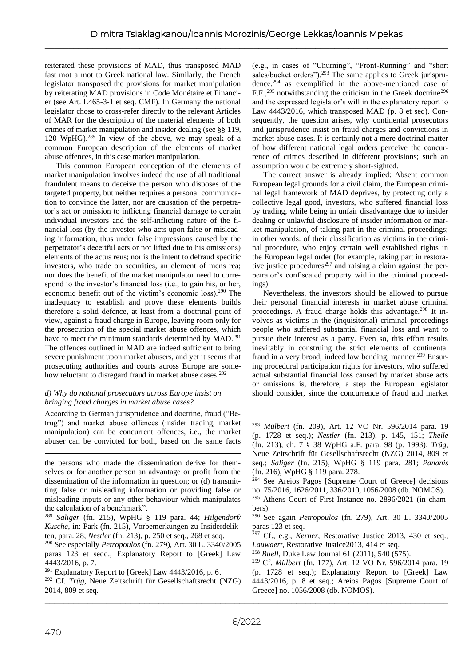reiterated these provisions of MAD, thus transposed MAD fast mot a mot to Greek national law. Similarly, the French legislator transposed the provisions for market manipulation by reiterating MAD provisions in Code Monétaire et Financier (see Art. L465-3-1 et seq. CMF). In Germany the national legislator chose to cross-refer directly to the relevant Articles of MAR for the description of the material elements of both crimes of market manipulation and insider dealing (see §§ 119, 120 WpHG). <sup>289</sup> In view of the above, we may speak of a common European description of the elements of market abuse offences, in this case market manipulation.

This common European conception of the elements of market manipulation involves indeed the use of all traditional fraudulent means to deceive the person who disposes of the targeted property, but neither requires a personal communication to convince the latter, nor are causation of the perpetrator's act or omission to inflicting financial damage to certain individual investors and the self-inflicting nature of the financial loss (by the investor who acts upon false or misleading information, thus under false impressions caused by the perpetrator's deceitful acts or not lifted due to his omissions) elements of the actus reus; nor is the intent to defraud specific investors, who trade on securities, an element of mens rea; nor does the benefit of the market manipulator need to correspond to the investor's financial loss (i.e., to gain his, or her, economic benefit out of the victim's economic loss).<sup>290</sup> The inadequacy to establish and prove these elements builds therefore a solid defence, at least from a doctrinal point of view, against a fraud charge in Europe, leaving room only for the prosecution of the special market abuse offences, which have to meet the minimum standards determined by MAD.<sup>291</sup> The offences outlined in MAD are indeed sufficient to bring severe punishment upon market abusers, and yet it seems that prosecuting authorities and courts across Europe are somehow reluctant to disregard fraud in market abuse cases.<sup>292</sup>

## *d) Why do national prosecutors across Europe insist on bringing fraud charges in market abuse cases?*

According to German jurisprudence and doctrine, fraud ("Betrug") and market abuse offences (insider trading, market manipulation) can be concurrent offences, i.e., the market abuser can be convicted for both, based on the same facts

(e.g., in cases of "Churning", "Front-Running" and "short sales/bucket orders").<sup>293</sup> The same applies to Greek jurisprudence, $294$  as exemplified in the above-mentioned case of F.F.,<sup>295</sup> notwithstanding the criticism in the Greek doctrine<sup>296</sup> and the expressed legislator's will in the explanatory report to Law 4443/2016, which transposed MAD (p. 8 et seq). Consequently, the question arises, why continental prosecutors and jurisprudence insist on fraud charges and convictions in market abuse cases. It is certainly not a mere doctrinal matter of how different national legal orders perceive the concurrence of crimes described in different provisions; such an assumption would be extremely short-sighted.

The correct answer is already implied: Absent common European legal grounds for a civil claim, the European criminal legal framework of MAD deprives, by protecting only a collective legal good, investors, who suffered financial loss by trading, while being in unfair disadvantage due to insider dealing or unlawful disclosure of insider information or market manipulation, of taking part in the criminal proceedings; in other words: of their classification as victims in the criminal procedure, who enjoy certain well established rights in the European legal order (for example, taking part in restorative justice procedures<sup>297</sup> and raising a claim against the perpetrator's confiscated property within the criminal proceedings).

Nevertheless, the investors should be allowed to pursue their personal financial interests in market abuse criminal proceedings. A fraud charge holds this advantage.<sup>298</sup> It involves as victims in the (inquisitorial) criminal proceedings people who suffered substantial financial loss and want to pursue their interest as a party. Even so, this effort results inevitably in construing the strict elements of continental fraud in a very broad, indeed law bending, manner.<sup>299</sup> Ensuring procedural participation rights for investors, who suffered actual substantial financial loss caused by market abuse acts or omissions is, therefore, a step the European legislator should consider, since the concurrence of fraud and market

the persons who made the dissemination derive for themselves or for another person an advantage or profit from the dissemination of the information in question; or (d) transmitting false or misleading information or providing false or misleading inputs or any other behaviour which manipulates the calculation of a benchmark".

<sup>289</sup> *Saliger* (fn. 215), WpHG § 119 para. 44; *Hilgendorf/ Kusche*, in: Park (fn. 215), Vorbemerkungen zu Insiderdelikten, para. 28; *Nestler* (fn. 213), p. 250 et seq., 268 et seq.

<sup>290</sup> See especially *Petropoulos* (fn. 279), Art. 30 L. 3340/2005 paras 123 et seqq.; Explanatory Report to [Greek] Law 4443/2016, p. 7.

 $291$  Explanatory Report to [Greek] Law 4443/2016, p. 6.

<sup>292</sup> Cf. *Trüg*, Neue Zeitschrift für Gesellschaftsrecht (NZG) 2014, 809 et seq.

<sup>293</sup> *Mülbert* (fn. 209), Art. 12 VO Nr. 596/2014 para. 19 (p. 1728 et seq.); *Nestler* (fn. 213), p. 145, 151; *Theile*  (fn. 213), ch. 7 § 38 WpHG a.F. para. 98 (p. 1993); *Trüg*, Neue Zeitschrift für Gesellschaftsrecht (NZG) 2014, 809 et seq.; *Saliger* (fn. 215), WpHG § 119 para. 281; *Pananis*  (fn. 216), WpHG § 119 para. 278.

<sup>294</sup> See Areios Pagos [Supreme Court of Greece] decisions no. 75/2016, 1626/2011, 336/2010, 1056/2008 (db. NOMOS).

<sup>295</sup> Athens Court of First Instance no. 2896/2021 (in chambers).

<sup>296</sup> See again *Petropoulos* (fn. 279), Art. 30 L. 3340/2005 paras 123 et seq.

<sup>297</sup> Cf., e.g., *Kerner*, Restorative Justice 2013, 430 et seq.; *Lauwaert*, Restorative Justice2013, 414 et seq.

<sup>298</sup> *Buell*, Duke Law Journal 61 (2011), 540 (575).

<sup>299</sup> Cf. *Mülbert* (fn. 177), Art. 12 VO Nr. 596/2014 para. 19 (p. 1728 et seq.); Explanatory Report to [Greek] Law 4443/2016, p. 8 et seq.; Areios Pagos [Supreme Court of Greece] no. 1056/2008 (db. NOMOS).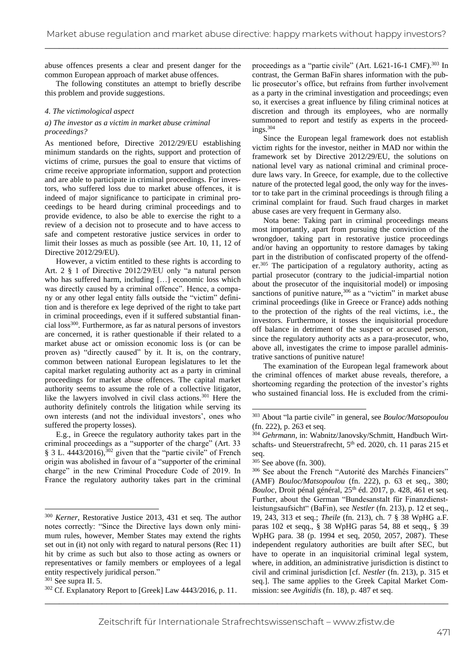abuse offences presents a clear and present danger for the common European approach of market abuse offences.

The following constitutes an attempt to briefly describe this problem and provide suggestions.

#### *4. The victimological aspect*

## *a) The investor as a victim in market abuse criminal proceedings?*

As mentioned before, Directive 2012/29/EU establishing minimum standards on the rights, support and protection of victims of crime, pursues the goal to ensure that victims of crime receive appropriate information, support and protection and are able to participate in criminal proceedings. For investors, who suffered loss due to market abuse offences, it is indeed of major significance to participate in criminal proceedings to be heard during criminal proceedings and to provide evidence, to also be able to exercise the right to a review of a decision not to prosecute and to have access to safe and competent restorative justice services in order to limit their losses as much as possible (see Art. 10, 11, 12 of Directive 2012/29/EU).

However, a victim entitled to these rights is according to Art. 2 § 1 of Directive 2012/29/EU only "a natural person who has suffered harm, including […] economic loss which was directly caused by a criminal offence". Hence, a company or any other legal entity falls outside the "victim" definition and is therefore ex lege deprived of the right to take part in criminal proceedings, even if it suffered substantial financial loss<sup>300</sup>. Furthermore, as far as natural persons of investors are concerned, it is rather questionable if their related to a market abuse act or omission economic loss is (or can be proven as) "directly caused" by it. It is, on the contrary, common between national European legislatures to let the capital market regulating authority act as a party in criminal proceedings for market abuse offences. The capital market authority seems to assume the role of a collective litigator, like the lawyers involved in civil class actions.<sup>301</sup> Here the authority definitely controls the litigation while serving its own interests (and not the individual investors', ones who suffered the property losses).

E.g., in Greece the regulatory authority takes part in the criminal proceedings as a "supporter of the charge" (Art. 33 § 3 L. 4443/2016),<sup>302</sup> given that the "partie civile" of French origin was abolished in favour of a "supporter of the criminal charge" in the new Criminal Procedure Code of 2019. In France the regulatory authority takes part in the criminal

proceedings as a "partie civile" (Art. L621-16-1 CMF).<sup>303</sup> In contrast, the German BaFin shares information with the public prosecutor's office, but refrains from further involvement as a party in the criminal investigation and proceedings; even so, it exercises a great influence by filing criminal notices at discretion and through its employees, who are normally summoned to report and testify as experts in the proceedings.<sup>304</sup>

Since the European legal framework does not establish victim rights for the investor, neither in MAD nor within the framework set by Directive 2012/29/EU, the solutions on national level vary as national criminal and criminal procedure laws vary. In Greece, for example, due to the collective nature of the protected legal good, the only way for the investor to take part in the criminal proceedings is through filing a criminal complaint for fraud. Such fraud charges in market abuse cases are very frequent in Germany also.

Nota bene: Taking part in criminal proceedings means most importantly, apart from pursuing the conviction of the wrongdoer, taking part in restorative justice proceedings and/or having an opportunity to restore damages by taking part in the distribution of confiscated property of the offender. <sup>305</sup> The participation of a regulatory authority, acting as partial prosecutor (contrary to the judicial-impartial notion about the prosecutor of the inquisitorial model) or imposing sanctions of punitive nature, $306$  as a "victim" in market abuse criminal proceedings (like in Greece or France) adds nothing to the protection of the rights of the real victims, i.e., the investors. Furthermore, it tosses the inquisitorial procedure off balance in detriment of the suspect or accused person, since the regulatory authority acts as a para-prosecutor, who, above all, investigates the crime to impose parallel administrative sanctions of punitive nature!

The examination of the European legal framework about the criminal offences of market abuse reveals, therefore, a shortcoming regarding the protection of the investor's rights who sustained financial loss. He is excluded from the crimi-

<sup>300</sup> *Kerner*, Restorative Justice 2013, 431 et seq. The author notes correctly: "Since the Directive lays down only minimum rules, however, Member States may extend the rights set out in (it) not only with regard to natural persons (Rec 11) hit by crime as such but also to those acting as owners or representatives or family members or employees of a legal entity respectively juridical person."

<sup>301</sup> See supra II. 5.

<sup>302</sup> Cf. Explanatory Report to [Greek] Law 4443/2016, p. 11.

<sup>303</sup> About "la partie civile" in general, see *Bouloc/Matsopoulou* (fn. 222), p. 263 et seq.

<sup>304</sup> *Gehrmann*, in: Wabnitz/Janovsky/Schmitt, Handbuch Wirtschafts- und Steuerstrafrecht, 5<sup>th</sup> ed. 2020, ch. 11 paras 215 et seq.

 $305$  See above (fn. 300).

<sup>306</sup> See about the French "Autorité des Marchés Financiers" (AMF) *Bouloc/Matsopoulou* (fn. 222), p. 63 et seq., 380; *Bouloc*, Droit pénal général,  $25<sup>th</sup>$  éd.  $2017$ , p. 428, 461 et seq. Further, about the German "Bundesanstalt für Finanzdienstleistungsaufsicht" (BaFin), see *Nestler* (fn. 213), p. 12 et seq., 19, 243, 313 et seq.; *Theile* (fn. 213), ch. 7 § 38 WpHG a.F. paras 102 et seqq., § 38 WpHG paras 54, 88 et seqq., § 39 WpHG para. 38 (p. 1994 et seq, 2050, 2057, 2087). These independent regulatory authorities are built after SEC, but have to operate in an inquisitorial criminal legal system, where, in addition, an administrative jurisdiction is distinct to civil and criminal jurisdiction [cf. *Nestler* (fn. 213), p. 315 et seq.]. The same applies to the Greek Capital Market Commission: see *Avgitidis* (fn. 18), p. 487 et seq.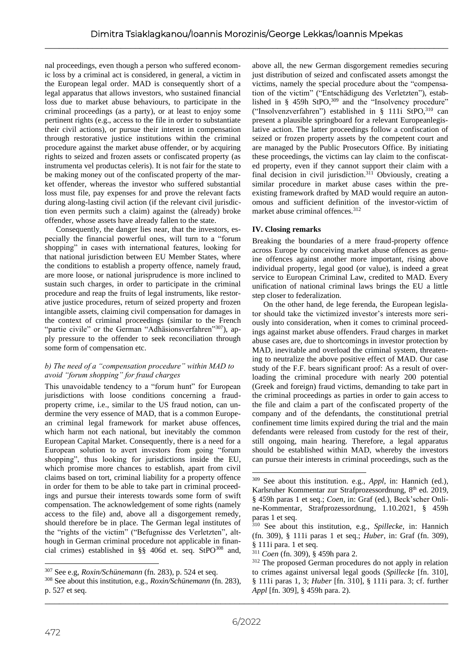nal proceedings, even though a person who suffered economic loss by a criminal act is considered, in general, a victim in the European legal order. MAD is consequently short of a legal apparatus that allows investors, who sustained financial loss due to market abuse behaviours, to participate in the criminal proceedings (as a party), or at least to enjoy some pertinent rights (e.g., access to the file in order to substantiate their civil actions), or pursue their interest in compensation through restorative justice institutions within the criminal procedure against the market abuse offender, or by acquiring rights to seized and frozen assets or confiscated property (as instrumenta vel productas celeris). It is not fair for the state to be making money out of the confiscated property of the market offender, whereas the investor who suffered substantial loss must file, pay expenses for and prove the relevant facts during along-lasting civil action (if the relevant civil jurisdiction even permits such a claim) against the (already) broke offender, whose assets have already fallen to the state.

Consequently, the danger lies near, that the investors, especially the financial powerful ones, will turn to a "forum shopping" in cases with international features, looking for that national jurisdiction between EU Member States, where the conditions to establish a property offence, namely fraud, are more loose, or national jurisprudence is more inclined to sustain such charges, in order to participate in the criminal procedure and reap the fruits of legal instruments, like restorative justice procedures, return of seized property and frozen intangible assets, claiming civil compensation for damages in the context of criminal proceedings (similar to the French "partie civile" or the German "Adhäsionsverfahren"307), apply pressure to the offender to seek reconciliation through some form of compensation etc.

# *b) The need of a "compensation procedure" within MAD to avoid "forum shopping" for fraud charges*

This unavoidable tendency to a "forum hunt" for European jurisdictions with loose conditions concerning a fraudproperty crime, i.e., similar to the US fraud notion, can undermine the very essence of MAD, that is a common European criminal legal framework for market abuse offences, which harm not each national, but inevitably the common European Capital Market. Consequently, there is a need for a European solution to avert investors from going "forum shopping", thus looking for jurisdictions inside the EU, which promise more chances to establish, apart from civil claims based on tort, criminal liability for a property offence in order for them to be able to take part in criminal proceedings and pursue their interests towards some form of swift compensation. The acknowledgement of some rights (namely access to the file) and, above all a disgorgement remedy, should therefore be in place. The German legal institutes of the "rights of the victim" ("Befugnisse des Verletzten", although in German criminal procedure not applicable in financial crimes) established in  $\S$ § 406d et. seq. StPO<sup>308</sup> and,

above all, the new German disgorgement remedies securing just distribution of seized and confiscated assets amongst the victims, namely the special procedure about the "compensation of the victim" ("Entschädigung des Verletzten"), established in § 459h StPO,<sup>309</sup> and the "Insolvency procedure" ("Insolvenzverfahren") established in § 111i StPO, $310$  can present a plausible springboard for a relevant Europeanlegislative action. The latter proceedings follow a confiscation of seized or frozen property assets by the competent court and are managed by the Public Prosecutors Office. By initiating these proceedings, the victims can lay claim to the confiscated property, even if they cannot support their claim with a final decision in civil jurisdiction.<sup>311</sup> Obviously, creating a similar procedure in market abuse cases within the preexisting framework drafted by MAD would require an autonomous and sufficient definition of the investor-victim of market abuse criminal offences.<sup>312</sup>

# **IV. Closing remarks**

Breaking the boundaries of a mere fraud-property offence across Europe by conceiving market abuse offences as genuine offences against another more important, rising above individual property, legal good (or value), is indeed a great service to European Criminal Law, credited to MAD. Every unification of national criminal laws brings the EU a little step closer to federalization.

On the other hand, de lege ferenda, the European legislator should take the victimized investor's interests more seriously into consideration, when it comes to criminal proceedings against market abuse offenders. Fraud charges in market abuse cases are, due to shortcomings in investor protection by MAD, inevitable and overload the criminal system, threatening to neutralize the above positive effect of MAD. Our case study of the F.F. bears significant proof: As a result of overloading the criminal procedure with nearly 200 potential (Greek and foreign) fraud victims, demanding to take part in the criminal proceedings as parties in order to gain access to the file and claim a part of the confiscated property of the company and of the defendants, the constitutional pretrial confinement time limits expired during the trial and the main defendants were released from custody for the rest of their, still ongoing, main hearing. Therefore, a legal apparatus should be established within MAD, whereby the investors can pursue their interests in criminal proceedings, such as the

<sup>307</sup> See e.g, *Roxin/Schünemann* (fn. 283), p. 524 et seq.

<sup>308</sup> See about this institution, e.g., *Roxin/Schünemann* (fn. 283), p. 527 et seq.

<sup>309</sup> See about this institution. e.g., *Appl*, in: Hannich (ed.), Karlsruher Kommentar zur Strafprozessordnung, 8<sup>th</sup> ed. 2019, § 459h paras 1 et seq.; *Coen*, in: Graf (ed.), Beck'scher Online-Kommentar, Strafprozessordnung, 1.10.2021, § 459h paras 1 et seq.

<sup>310</sup> See about this institution, e.g., *Spillecke*, in: Hannich (fn. 309), § 111i paras 1 et seq.; *Huber*, in: Graf (fn. 309), § 111i para. 1 et seq.

<sup>311</sup> *Coen* (fn. 309), § 459h para 2.

<sup>312</sup> The proposed German procedures do not apply in relation to crimes against universal legal goods (*Spillecke* [fn. 310], § 111i paras 1, 3; *Huber* [fn. 310], § 111i para. 3; cf. further *Appl* [fn. 309], § 459h para. 2).